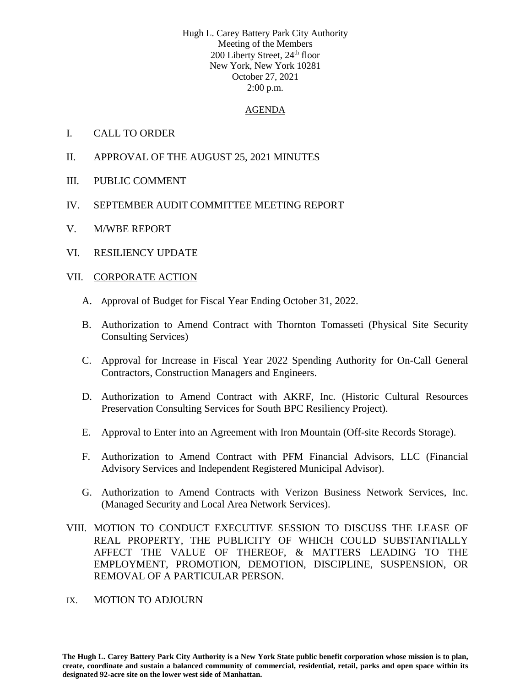Hugh L. Carey Battery Park City Authority Meeting of the Members 200 Liberty Street, 24<sup>th</sup> floor New York, New York 10281 October 27, 2021 2:00 p.m.

### AGENDA

- I. CALL TO ORDER
- II. APPROVAL OF THE AUGUST 25, 2021 MINUTES
- III. PUBLIC COMMENT
- IV. SEPTEMBER AUDIT COMMITTEE MEETING REPORT
- V. M/WBE REPORT
- VI. RESILIENCY UPDATE

## VII. CORPORATE ACTION

- A. Approval of Budget for Fiscal Year Ending October 31, 2022.
- B. Authorization to Amend Contract with Thornton Tomasseti (Physical Site Security Consulting Services)
- C. Approval for Increase in Fiscal Year 2022 Spending Authority for On-Call General Contractors, Construction Managers and Engineers.
- D. Authorization to Amend Contract with AKRF, Inc. (Historic Cultural Resources Preservation Consulting Services for South BPC Resiliency Project).
- E. Approval to Enter into an Agreement with Iron Mountain (Off-site Records Storage).
- F. Authorization to Amend Contract with PFM Financial Advisors, LLC (Financial Advisory Services and Independent Registered Municipal Advisor).
- G. Authorization to Amend Contracts with Verizon Business Network Services, Inc. (Managed Security and Local Area Network Services).
- VIII. MOTION TO CONDUCT EXECUTIVE SESSION TO DISCUSS THE LEASE OF REAL PROPERTY, THE PUBLICITY OF WHICH COULD SUBSTANTIALLY AFFECT THE VALUE OF THEREOF, & MATTERS LEADING TO THE EMPLOYMENT, PROMOTION, DEMOTION, DISCIPLINE, SUSPENSION, OR REMOVAL OF A PARTICULAR PERSON.

### IX. MOTION TO ADJOURN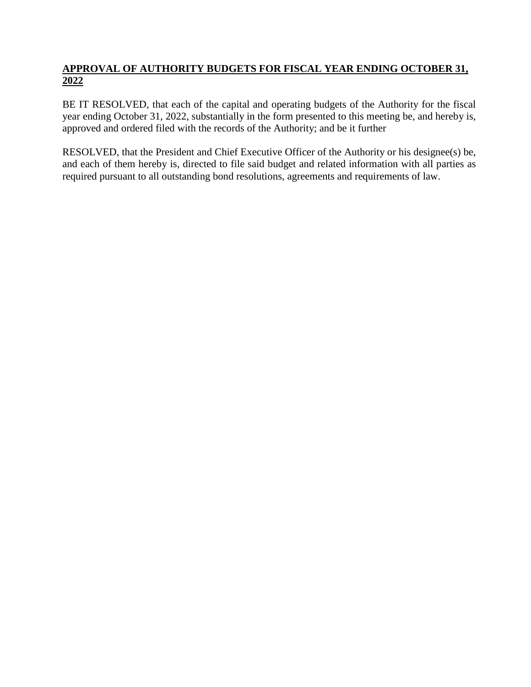# **APPROVAL OF AUTHORITY BUDGETS FOR FISCAL YEAR ENDING OCTOBER 31, 2022**

BE IT RESOLVED, that each of the capital and operating budgets of the Authority for the fiscal year ending October 31, 2022, substantially in the form presented to this meeting be, and hereby is, approved and ordered filed with the records of the Authority; and be it further

RESOLVED, that the President and Chief Executive Officer of the Authority or his designee(s) be, and each of them hereby is, directed to file said budget and related information with all parties as required pursuant to all outstanding bond resolutions, agreements and requirements of law.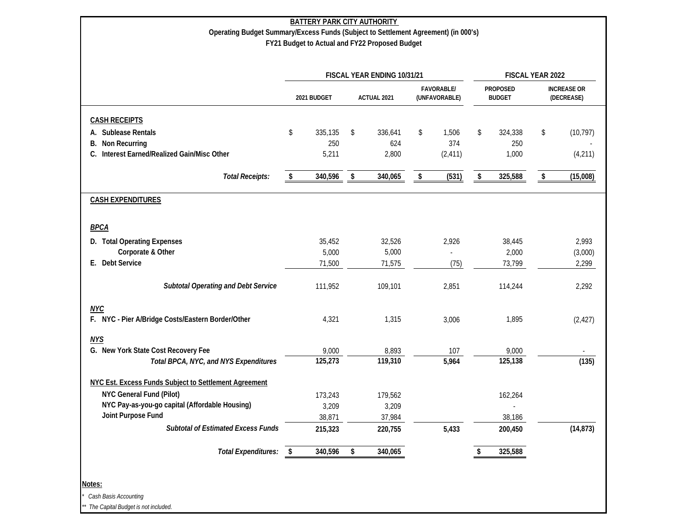|                                                       |      |             | FISCAL YEAR ENDING 10/31/21 |                                    |    | FISCAL YEAR 2022                 |                         |                                  |
|-------------------------------------------------------|------|-------------|-----------------------------|------------------------------------|----|----------------------------------|-------------------------|----------------------------------|
|                                                       |      | 2021 BUDGET | ACTUAL 2021                 | <b>FAVORABLE/</b><br>(UNFAVORABLE) |    | <b>PROPOSED</b><br><b>BUDGET</b> |                         | <b>INCREASE OR</b><br>(DECREASE) |
| <b>CASH RECEIPTS</b>                                  |      |             |                             |                                    |    |                                  |                         |                                  |
| A. Sublease Rentals                                   | \$   | 335,135     | \$<br>336,641               | \$<br>1,506                        | \$ | 324,338                          | \$                      | (10, 797)                        |
| Non Recurring<br>В.                                   |      | 250         | 624                         | 374                                |    | 250                              |                         |                                  |
| Interest Earned/Realized Gain/Misc Other              |      | 5,211       | 2,800                       | (2, 411)                           |    | 1,000                            |                         | (4,211)                          |
| <b>Total Receipts:</b>                                | \$   | 340,596     | \$<br>340,065               | \$<br>(531)                        | \$ | 325,588                          | $\sqrt[6]{\frac{1}{2}}$ | (15,008)                         |
| <b>CASH EXPENDITURES</b>                              |      |             |                             |                                    |    |                                  |                         |                                  |
| <b>BPCA</b>                                           |      |             |                             |                                    |    |                                  |                         |                                  |
| D. Total Operating Expenses                           |      | 35,452      | 32,526                      | 2,926                              |    | 38,445                           |                         | 2,993                            |
| Corporate & Other                                     |      | 5,000       | 5,000                       |                                    |    | 2,000                            |                         | (3,000)                          |
| E. Debt Service                                       |      | 71,500      | 71,575                      | (75)                               |    | 73,799                           |                         | 2,299                            |
| <b>Subtotal Operating and Debt Service</b>            |      | 111,952     | 109,101                     | 2,851                              |    | 114,244                          |                         | 2,292                            |
| <b>NYC</b>                                            |      |             |                             |                                    |    |                                  |                         |                                  |
| F. NYC - Pier A/Bridge Costs/Eastern Border/Other     |      | 4,321       | 1,315                       | 3,006                              |    | 1,895                            |                         | (2, 427)                         |
| <b>NYS</b>                                            |      |             |                             |                                    |    |                                  |                         |                                  |
| G. New York State Cost Recovery Fee                   |      | 9,000       | 8,893                       | 107                                |    | 9,000                            |                         |                                  |
| Total BPCA, NYC, and NYS Expenditures                 |      | 125,273     | 119,310                     | 5,964                              |    | 125,138                          |                         | (135)                            |
| NYC Est. Excess Funds Subject to Settlement Agreement |      |             |                             |                                    |    |                                  |                         |                                  |
| <b>NYC General Fund (Pilot)</b>                       |      | 173,243     | 179,562                     |                                    |    | 162,264                          |                         |                                  |
| NYC Pay-as-you-go capital (Affordable Housing)        |      | 3,209       | 3,209                       |                                    |    |                                  |                         |                                  |
| Joint Purpose Fund                                    |      | 38,871      | 37,984                      |                                    |    | 38,186                           |                         |                                  |
| <b>Subtotal of Estimated Excess Funds</b>             |      | 215,323     | 220,755                     | 5,433                              |    | 200,450                          |                         | (14, 873)                        |
| <b>Total Expenditures:</b>                            | - \$ | 340,596     | \$<br>340,065               |                                    | S  | 325,588                          |                         |                                  |

*\* Cash Basis Accounting*

*\*\* The Capital Budget is not included.*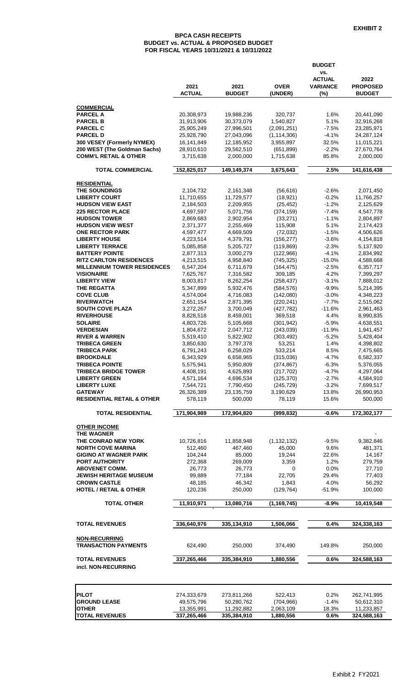#### **BPCA CASH RECEIPTS BUDGET vs. ACTUAL & PROPOSED BUDGET FOR FISCAL YEARS 10/31/2021 & 10/31/2022**

|                                                         |                           |                           |                          | <b>BUDGET</b>                           |                           |
|---------------------------------------------------------|---------------------------|---------------------------|--------------------------|-----------------------------------------|---------------------------|
|                                                         | 2021                      | 2021                      |                          | VS.<br><b>ACTUAL</b><br><b>VARIANCE</b> | 2022<br><b>PROPOSED</b>   |
|                                                         | <b>ACTUAL</b>             | <b>BUDGET</b>             | <b>OVER</b><br>(UNDER)   | (%)                                     | <b>BUDGET</b>             |
| <b>COMMERCIAL</b>                                       |                           |                           |                          |                                         |                           |
| <b>PARCEL A</b>                                         | 20,308,973                | 19,988,236                | 320,737                  | 1.6%                                    | 20,441,090                |
| <b>PARCEL B</b><br><b>PARCEL C</b>                      | 31,913,906                | 30,373,079<br>27,996,501  | 1,540,827<br>(2,091,251) | 5.1%<br>$-7.5%$                         | 32,916,268<br>23,285,971  |
| <b>PARCEL D</b>                                         | 25,905,249<br>25,928,790  | 27,043,096                | (1, 114, 306)            | $-4.1%$                                 | 24, 287, 124              |
| 300 VESEY (Formerly NYMEX)                              | 16,141,849                | 12,185,952                | 3,955,897                | 32.5%                                   | 11,015,221                |
| 200 WEST (The Goldman Sachs)                            | 28,910,610                | 29,562,510                | (651, 899)               | $-2.2%$                                 | 27,670,764                |
| <b>COMM'L RETAIL &amp; OTHER</b>                        | 3,715,638                 | 2,000,000                 | 1,715,638                | 85.8%                                   | 2,000,000                 |
| <b>TOTAL COMMERCIAL</b>                                 | 152,825,017               | 149,149,374               | 3,675,643                | 2.5%                                    | 141,616,438               |
| <b>RESIDENTIAL</b>                                      |                           |                           |                          |                                         |                           |
| <b>THE SOUNDINGS</b><br><b>LIBERTY COURT</b>            | 2,104,732<br>11,710,655   | 2,161,348<br>11,729,577   | (56, 616)<br>(18, 921)   | $-2.6%$<br>$-0.2%$                      | 2,071,450<br>11,766,257   |
| <b>HUDSON VIEW EAST</b>                                 | 2,184,503                 | 2,209,955                 | (25, 452)                | $-1.2%$                                 | 2,125,629                 |
| <b>225 RECTOR PLACE</b>                                 | 4,697,597                 | 5,071,756                 | (374, 159)               | $-7.4%$                                 | 4,547,778                 |
| <b>HUDSON TOWER</b>                                     | 2,869,683                 | 2,902,954                 | (33, 271)                | $-1.1%$                                 | 2,804,897                 |
| <b>HUDSON VIEW WEST</b>                                 | 2,371,377                 | 2,255,469                 | 115,908                  | 5.1%                                    | 2,174,423                 |
| <b>ONE RECTOR PARK</b>                                  | 4,597,477                 | 4,669,509                 | (72, 032)                | $-1.5%$                                 | 4,506,626                 |
| <b>LIBERTY HOUSE</b><br><b>LIBERTY TERRACE</b>          | 4,223,514<br>5,085,858    | 4,379,791<br>5,205,727    | (156, 277)<br>(119, 869) | $-3.6%$<br>$-2.3%$                      | 4,154,818<br>5,137,920    |
| <b>BATTERY POINTE</b>                                   | 2,877,313                 | 3,000,279                 | (122,966)                | $-4.1%$                                 | 2,834,992                 |
| <b>RITZ CARLTON RESIDENCES</b>                          | 4,213,515                 | 4,958,840                 | (745, 325)               | $-15.0%$                                | 4,588,668                 |
| <b>MILLENNIUM TOWER RESIDENCES</b>                      | 6,547,204                 | 6,711,679                 | (164, 475)               | $-2.5%$                                 | 6,357,717                 |
| <b>VISIONAIRE</b>                                       | 7,625,767                 | 7,316,582                 | 309,185                  | 4.2%                                    | 7,399,297                 |
| <b>LIBERTY VIEW</b>                                     | 8,003,817                 | 8,262,254                 | (258, 437)               | $-3.1%$                                 | 7,888,012                 |
| <b>THE REGATTA</b>                                      | 5,347,899                 | 5,932,476                 | (584, 576)               | $-9.9%$                                 | 5,214,395                 |
| <b>COVE CLUB</b><br><b>RIVERWATCH</b>                   | 4,574,004<br>2,651,154    | 4,716,083<br>2,871,395    | (142,080)<br>(220, 241)  | $-3.0%$<br>$-7.7%$                      | 4,348,223<br>2,515,062    |
| <b>SOUTH COVE PLAZA</b>                                 | 3,272,267                 | 3,700,049                 | (427, 782)               | $-11.6%$                                | 2,961,463                 |
| <b>RIVERHOUSE</b>                                       | 8,828,518                 | 8,459,001                 | 369,518                  | 4.4%                                    | 8,990,835                 |
| <b>SOLAIRE</b>                                          | 4,803,726                 | 5,105,668                 | (301, 942)               | $-5.9%$                                 | 4,638,551                 |
| <b>VERDESIAN</b>                                        | 1,804,672                 | 2,047,712                 | (243, 039)               | $-11.9%$                                | 1,941,457                 |
| <b>RIVER &amp; WARREN</b>                               | 5,519,410                 | 5,822,902                 | (303, 492)               | $-5.2%$                                 | 5,428,404                 |
| <b>TRIBECA GREEN</b><br><b>TRIBECA PARK</b>             | 3,850,630<br>6,791,243    | 3,797,378<br>6,258,029    | 53,251<br>533,214        | 1.4%<br>8.5%                            | 4,398,802<br>7,475,665    |
| <b>BROOKDALE</b>                                        | 6,343,929                 | 6,658,965                 | (315,036)                | $-4.7%$                                 | 6,582,337                 |
| <b>TRIBECA POINTE</b>                                   | 5.575.941                 | 5,950,809                 | (374, 867)               | $-6.3%$                                 | 5.376.055                 |
| <b>TRIBECA BRIDGE TOWER</b>                             | 4,408,191                 | 4,625,893                 | (217, 702)               | $-4.7%$                                 | 4,297,064                 |
| <b>LIBERTY GREEN</b>                                    | 4,571,164                 | 4,696,534                 | (125, 370)               | $-2.7%$                                 | 4,584,910                 |
| <b>LIBERTY LUXE</b>                                     | 7,544,721                 | 7,790,450                 | (245, 729)               | $-3.2%$                                 | 7,699,517                 |
| <b>GATEWAY</b><br><b>RESIDENTIAL RETAIL &amp; OTHER</b> | 26,326,389<br>578,119     | 23,135,759<br>500,000     | 3,190,629<br>78,119      | 13.8%<br>15.6%                          | 26,990,953<br>500,000     |
| <b>TOTAL RESIDENTIAL</b>                                | 171,904,989               | 172,904,820               | (999, 832)               | $-0.6%$                                 | 172,302,177               |
| <b>OTHER INCOME</b>                                     |                           |                           |                          |                                         |                           |
| <b>THE WAGNER</b>                                       |                           |                           |                          |                                         |                           |
| THE CONRAD NEW YORK                                     | 10,726,816                | 11,858,948                | (1, 132, 132)            | $-9.5%$                                 | 9,382,846                 |
| <b>NORTH COVE MARINA</b>                                | 512,460                   | 467,460                   | 45,000                   | 9.6%                                    | 481,371                   |
| <b>GIGINO AT WAGNER PARK</b><br><b>PORT AUTHORITY</b>   | 104,244<br>272,368        | 85,000<br>269,009         | 19,244<br>3,359          | 22.6%<br>1.2%                           | 14,167<br>279,759         |
| <b>ABOVENET COMM.</b>                                   | 26,773                    | 26,773                    | 0                        | 0.0%                                    | 27,710                    |
| <b>JEWISH HERITAGE MUSEUM</b>                           | 99,889                    | 77,184                    | 22,705                   | 29.4%                                   | 77,403                    |
| <b>CROWN CASTLE</b>                                     | 48,185                    | 46,342                    | 1,843                    | 4.0%                                    | 56,292                    |
| <b>HOTEL / RETAIL &amp; OTHER</b>                       | 120,236                   | 250,000                   | (129, 764)               | $-51.9%$                                | 100,000                   |
| <b>TOTAL OTHER</b>                                      | 11,910,971                | 13,080,716                | (1, 169, 745)            | $-8.9%$                                 | 10,419,548                |
|                                                         |                           | 335,134,910               |                          | 0.4%                                    | 324,338,163               |
| <b>TOTAL REVENUES</b>                                   | 336,640,976               |                           | 1,506,066                |                                         |                           |
| <b>NON-RECURRING</b><br><b>TRANSACTION PAYMENTS</b>     | 624,490                   | 250,000                   | 374,490                  | 149.8%                                  | 250,000                   |
| <b>TOTAL REVENUES</b>                                   | 337,265,466               | 335,384,910               | 1,880,556                | 0.6%                                    | 324,588,163               |
| incl. NON-RECURRING                                     |                           |                           |                          |                                         |                           |
|                                                         |                           |                           |                          |                                         |                           |
| <b>PILOT</b><br><b>GROUND LEASE</b>                     | 274,333,679<br>49,575,796 | 273,811,266<br>50,280,762 | 522,413<br>(704, 966)    | 0.2%<br>$-1.4%$                         | 262,741,995<br>50,612,310 |
| <b>OTHER</b>                                            | 13,355,991                | 11,292,882                | 2,063,109                | 18.3%                                   | 11,233,857                |
| <b>TOTAL REVENUES</b>                                   | 337,265,466               | 335,384,910               | 1,880,556                | 0.6%                                    | 324,588,163               |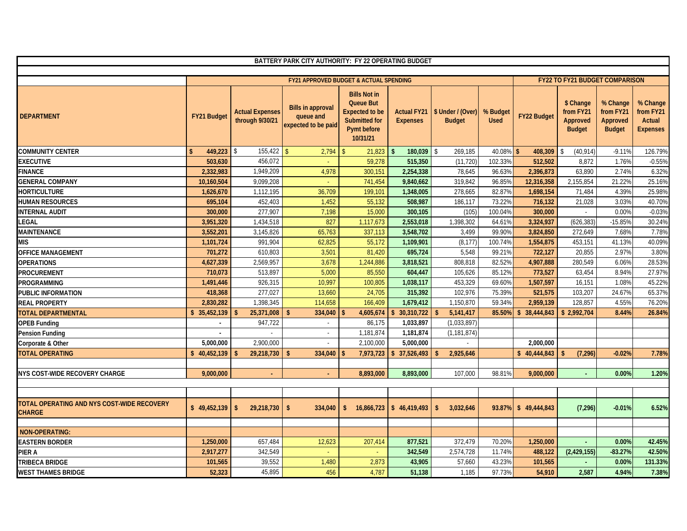|                                                             |               |                                           | BATTERY PARK CITY AUTHORITY: FY 22 OPERATING BUDGET          |                                                                                                              |                                       |                                    |                         |                    |                                                     |                                                    |                                                    |
|-------------------------------------------------------------|---------------|-------------------------------------------|--------------------------------------------------------------|--------------------------------------------------------------------------------------------------------------|---------------------------------------|------------------------------------|-------------------------|--------------------|-----------------------------------------------------|----------------------------------------------------|----------------------------------------------------|
|                                                             |               |                                           | FY21 APPROVED BUDGET & ACTUAL SPENDING                       |                                                                                                              |                                       |                                    |                         |                    | <b>FY22 TO FY21 BUDGET COMPARISON</b>               |                                                    |                                                    |
| <b>DEPARTMENT</b>                                           | FY21 Budget   | <b>Actual Expenses</b><br>through 9/30/21 | <b>Bills in approval</b><br>queue and<br>expected to be paid | <b>Bills Not in</b><br><b>Queue But</b><br><b>Expected to be</b><br>Submitted for<br>Pymt before<br>10/31/21 | <b>Actual FY21</b><br><b>Expenses</b> | \$ Under / (Over)<br><b>Budget</b> | % Budget<br><b>Used</b> | <b>FY22 Budget</b> | \$ Change<br>from FY21<br>Approved<br><b>Budget</b> | % Change<br>from FY21<br>Approved<br><b>Budget</b> | % Change<br>from FY21<br>Actual<br><b>Expenses</b> |
| <b>COMMUNITY CENTER</b>                                     | 449.223<br>\$ | $155.422$   \$<br>\$                      | 2,794                                                        | 21,823<br>$\mathbf{\hat{S}}$                                                                                 | $\mathbf{\hat{s}}$<br>180,039         | \$<br>269.185                      | $40.08\%$ \$            | 408.309            | (40, 914)                                           | $-9.11%$                                           | 126.79%                                            |
| <b>EXECUTIVE</b>                                            | 503.630       | 456,072                                   |                                                              | 59,278                                                                                                       | 515,350                               | (11, 720)                          | 102.33%                 | 512,502            | 8.872                                               | 1.76%                                              | $-0.55%$                                           |
| <b>FINANCE</b>                                              | 2,332,983     | 1,949,209                                 | 4,978                                                        | 300,151                                                                                                      | 2,254,338                             | 78,645                             | 96.63%                  | 2,396,873          | 63,890                                              | 2.74%                                              | 6.32%                                              |
| <b>GENERAL COMPANY</b>                                      | 10,160,504    | 9,099,208                                 |                                                              | 741,454                                                                                                      | 9,840,662                             | 319,842                            | 96.85%                  | 12,316,358         | 2,155,854                                           | 21.22%                                             | 25.16%                                             |
| <b>HORTICULTURE</b>                                         | 1,626,670     | 1,112,195                                 | 36,709                                                       | 199,101                                                                                                      | 1,348,005                             | 278,665                            | 82.87%                  | 1,698,154          | 71,484                                              | 4.39%                                              | 25.98%                                             |
| <b>HUMAN RESOURCES</b>                                      | 695,104       | 452,403                                   | 1,452                                                        | 55,132                                                                                                       | 508,987                               | 186,117                            | 73.22%                  | 716,132            | 21,028                                              | 3.03%                                              | 40.70%                                             |
| <b>INTERNAL AUDIT</b>                                       | 300,000       | 277,907                                   | 7,198                                                        | 15,000                                                                                                       | 300,105                               | (105)                              | 100.04%                 | 300,000            |                                                     | 0.00%                                              | $-0.03%$                                           |
| <b>LEGAL</b>                                                | 3,951,320     | 1,434,518                                 | 827                                                          | 1,117,673                                                                                                    | 2,553,018                             | 1,398,302                          | 64.61%                  | 3,324,937          | (626, 383)                                          | $-15.85%$                                          | 30.24%                                             |
| <b>MAINTENANCE</b>                                          | 3,552,201     | 3,145,826                                 | 65,763                                                       | 337,113                                                                                                      | 3,548,702                             | 3,499                              | 99.90%                  | 3,824,850          | 272,649                                             | 7.68%                                              | 7.78%                                              |
| <b>MIS</b>                                                  | 1,101,724     | 991,904                                   | 62,825                                                       | 55,172                                                                                                       | 1,109,901                             | (8, 177)                           | 100.74%                 | 1,554,875          | 453,151                                             | 41.13%                                             | 40.09%                                             |
| <b>OFFICE MANAGEMENT</b>                                    | 701,272       | 610,803                                   | 3,501                                                        | 81,420                                                                                                       | 695,724                               | 5,548                              | 99.21%                  | 722,127            | 20,855                                              | 2.97%                                              | 3.80%                                              |
| <b>OPERATIONS</b>                                           | 4,627,339     | 2,569,957                                 | 3,678                                                        | 1,244,886                                                                                                    | 3,818,521                             | 808,818                            | 82.52%                  | 4,907,888          | 280,549                                             | 6.06%                                              | 28.53%                                             |
| <b>PROCUREMENT</b>                                          | 710,073       | 513,897                                   | 5,000                                                        | 85,550                                                                                                       | 604,447                               | 105,626                            | 85.12%                  | 773,527            | 63,454                                              | 8.94%                                              | 27.97%                                             |
| <b>PROGRAMMING</b>                                          | 1,491,446     | 926,315                                   | 10,997                                                       | 100,805                                                                                                      | 1,038,117                             | 453,329                            | 69.60%                  | 1,507,597          | 16,151                                              | 1.08%                                              | 45.22%                                             |
| <b>PUBLIC INFORMATION</b>                                   | 418,368       | 277,027                                   | 13,660                                                       | 24,705                                                                                                       | 315,392                               | 102,976                            | 75.39%                  | 521,575            | 103,207                                             | 24.67%                                             | 65.37%                                             |
| <b>REAL PROPERTY</b>                                        | 2,830,282     | 1,398,345                                 | 114,658                                                      | 166,409                                                                                                      | 1,679,412                             | 1,150,870                          | 59.34%                  | 2,959,139          | 128,857                                             | 4.55%                                              | 76.20%                                             |
| <b>TOTAL DEPARTMENTAL</b>                                   | \$35,452,139  | 25,371,008                                | 334,040                                                      | 4,605,674                                                                                                    | 30,310,722                            | 5,141,417                          | 85.50%                  | \$38,444,843       | \$2,992,704                                         | 8.44%                                              | 26.84%                                             |
| <b>OPEB Funding</b>                                         | $\sim$        | 947,722                                   | $\sim$                                                       | 86,175                                                                                                       | 1,033,897                             | (1,033,897)                        |                         |                    |                                                     |                                                    |                                                    |
| <b>Pension Funding</b>                                      |               |                                           | $\sim$                                                       | 1,181,874                                                                                                    | 1,181,874                             | (1, 181, 874)                      |                         |                    |                                                     |                                                    |                                                    |
| Corporate & Other                                           | 5,000,000     | 2,900,000                                 | $\sim$                                                       | 2,100,000                                                                                                    | 5,000,000                             |                                    |                         | 2,000,000          |                                                     |                                                    |                                                    |
| <b>TOTAL OPERATING</b>                                      | \$40,452,139  | 29,218,730                                | 334,040<br>-\$                                               | 7,973,723                                                                                                    | $\frac{1}{2}$ 37,526,493              | 2,925,646<br>-\$                   |                         | \$40,444,843       | (7, 296)<br>-\$                                     | $-0.02%$                                           | 7.78%                                              |
| <b>NYS COST-WIDE RECOVERY CHARGE</b>                        | 9.000.000     |                                           |                                                              | 8,893,000                                                                                                    | 8,893,000                             | 107,000                            | 98.81%                  | 9.000.000          |                                                     | 0.00%                                              | 1.20%                                              |
| TOTAL OPERATING AND NYS COST-WIDE RECOVERY<br><b>CHARGE</b> | \$49,452,139  | $\mathbf{\hat{s}}$<br>29,218,730          | 334.040<br>$\mathbf{\hat{S}}$                                | 16,866,723<br>$\mathbf{s}$                                                                                   | $\frac{1}{2}$ 46,419,493              | 3,032,646<br>\$                    | 93.87%                  | \$49.444.843       | (7, 296)                                            | $-0.01%$                                           | 6.52%                                              |
| NON-OPERATING:                                              |               |                                           |                                                              |                                                                                                              |                                       |                                    |                         |                    |                                                     |                                                    |                                                    |
| <b>EASTERN BORDER</b>                                       | 1,250,000     | 657,484                                   | 12,623                                                       | 207,414                                                                                                      | 877,521                               | 372,479                            | 70.20%                  | 1,250,000          |                                                     | 0.00%                                              | 42.45%                                             |
| <b>PIER A</b>                                               | 2,917,277     | 342,549                                   |                                                              |                                                                                                              | 342,549                               | 2,574,728                          | 11.74%                  | 488,122            | (2, 429, 155)                                       | $-83.27%$                                          | 42.50%                                             |
| <b>TRIBECA BRIDGE</b>                                       | 101,565       | 39,552                                    | 1,480                                                        | 2,873                                                                                                        | 43,905                                | 57,660                             | 43.23%                  | 101,565            |                                                     | 0.00%                                              | 131.33%                                            |
| <b>WEST THAMES BRIDGE</b>                                   | 52,323        | 45,895                                    | 456                                                          | 4,787                                                                                                        | 51,138                                | 1,185                              | 97.73%                  | 54,910             | 2,587                                               | 4.94%                                              | 7.38%                                              |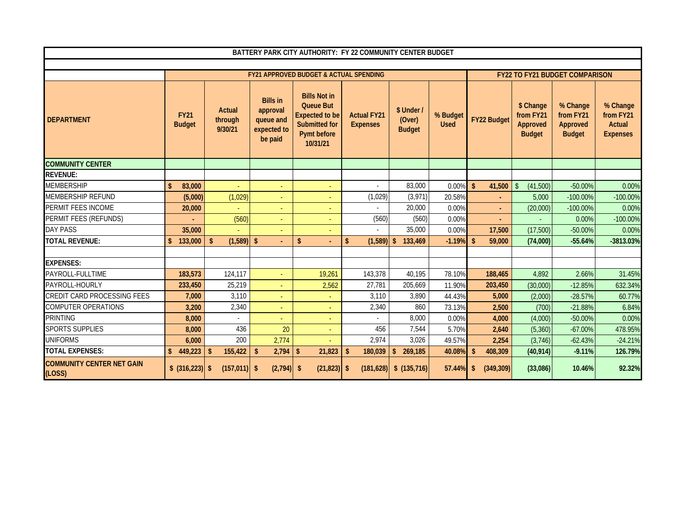|                                            |                              |                                     |                                                                    | BATTERY PARK CITY AUTHORITY: FY 22 COMMUNITY CENTER BUDGET                                                          |                                       |                                       |                         |                              |                                                     |                                                    |                                                           |
|--------------------------------------------|------------------------------|-------------------------------------|--------------------------------------------------------------------|---------------------------------------------------------------------------------------------------------------------|---------------------------------------|---------------------------------------|-------------------------|------------------------------|-----------------------------------------------------|----------------------------------------------------|-----------------------------------------------------------|
|                                            |                              |                                     |                                                                    |                                                                                                                     |                                       |                                       |                         |                              |                                                     |                                                    |                                                           |
|                                            |                              |                                     |                                                                    | <b>FY21 APPROVED BUDGET &amp; ACTUAL SPENDING</b>                                                                   |                                       |                                       |                         |                              |                                                     | <b>FY22 TO FY21 BUDGET COMPARISON</b>              |                                                           |
| <b>DEPARTMENT</b>                          | <b>FY21</b><br><b>Budget</b> | <b>Actual</b><br>through<br>9/30/21 | <b>Bills in</b><br>approval<br>queue and<br>expected to<br>be paid | <b>Bills Not in</b><br><b>Queue But</b><br><b>Expected to be</b><br><b>Submitted for</b><br>Pymt before<br>10/31/21 | <b>Actual FY21</b><br><b>Expenses</b> | \$ Under /<br>(Over)<br><b>Budget</b> | % Budget<br><b>Used</b> | <b>FY22 Budget</b>           | \$ Change<br>from FY21<br>Approved<br><b>Budget</b> | % Change<br>from FY21<br>Approved<br><b>Budget</b> | % Change<br>from FY21<br><b>Actual</b><br><b>Expenses</b> |
| <b>COMMUNITY CENTER</b>                    |                              |                                     |                                                                    |                                                                                                                     |                                       |                                       |                         |                              |                                                     |                                                    |                                                           |
| <b>REVENUE:</b>                            |                              |                                     |                                                                    |                                                                                                                     |                                       |                                       |                         |                              |                                                     |                                                    |                                                           |
| <b>MEMBERSHIP</b>                          | 83,000<br>\$                 |                                     |                                                                    |                                                                                                                     |                                       | 83,000                                | 0.00%                   | $\mathbf{\hat{s}}$<br>41,500 | \$<br>(41,500)                                      | $-50.00%$                                          | 0.00%                                                     |
| <b>MEMBERSHIP REFUND</b>                   | (5,000)                      | (1,029)                             |                                                                    |                                                                                                                     | (1,029)                               | (3,971)                               | 20.58%                  |                              | 5,000                                               | $-100.00\%$                                        | $-100.00%$                                                |
| PERMIT FEES INCOME                         | 20,000                       |                                     |                                                                    |                                                                                                                     |                                       | 20,000                                | 0.00%                   | $\sim$                       | (20,000)                                            | $-100.00\%$                                        | 0.00%                                                     |
| PERMIT FEES (REFUNDS)                      |                              | (560)                               |                                                                    |                                                                                                                     | (560)                                 | (560)                                 | 0.00%                   |                              |                                                     | 0.00%                                              | $-100.00%$                                                |
| DAY PASS                                   | 35,000                       |                                     |                                                                    |                                                                                                                     |                                       | 35,000                                | 0.00%                   | 17,500                       | (17,500)                                            | $-50.00%$                                          | 0.00%                                                     |
| <b>TOTAL REVENUE:</b>                      | \$<br>133,000                | (1,589)                             | $\sqrt{2}$                                                         | \$                                                                                                                  | (1,589)<br>\$                         | -\$<br>133,469                        | $-1.19%$                | $\mathbf{\hat{s}}$<br>59,000 | (74,000)                                            | $-55.64%$                                          | -3813.03%                                                 |
|                                            |                              |                                     |                                                                    |                                                                                                                     |                                       |                                       |                         |                              |                                                     |                                                    |                                                           |
| <b>EXPENSES:</b>                           |                              |                                     |                                                                    |                                                                                                                     |                                       |                                       |                         |                              |                                                     |                                                    |                                                           |
| PAYROLL-FULLTIME                           | 183,573                      | 124,117                             |                                                                    | 19,261                                                                                                              | 143,378                               | 40,195                                | 78.10%                  | 188,465                      | 4,892                                               | 2.66%                                              | 31.45%                                                    |
| PAYROLL-HOURLY                             | 233,450                      | 25,219                              |                                                                    | 2,562                                                                                                               | 27,781                                | 205,669                               | 11.90%                  | 203,450                      | (30,000)                                            | $-12.85%$                                          | 632.34%                                                   |
| CREDIT CARD PROCESSING FEES                | 7,000                        | 3,110                               |                                                                    |                                                                                                                     | 3,110                                 | 3,890                                 | 44.43%                  | 5,000                        | (2,000)                                             | $-28.57%$                                          | 60.77%                                                    |
| COMPUTER OPERATIONS                        | 3,200                        | 2,340                               |                                                                    |                                                                                                                     | 2,340                                 | 860                                   | 73.13%                  | 2,500                        | (700)                                               | $-21.88%$                                          | 6.84%                                                     |
| PRINTING                                   | 8.000                        |                                     |                                                                    |                                                                                                                     |                                       | 8,000                                 | 0.00%                   | 4,000                        | (4,000)                                             | -50.00%                                            | 0.00%                                                     |
| <b>SPORTS SUPPLIES</b>                     | 8.000                        | 436                                 | 20                                                                 |                                                                                                                     | 456                                   | 7,544                                 | 5.70%                   | 2,640                        | (5,360)                                             | $-67.00%$                                          | 478.95%                                                   |
| <b>UNIFORMS</b>                            | 6,000                        | 200                                 | 2,774                                                              |                                                                                                                     | 2,974                                 | 3,026                                 | 49.57%                  | 2,254                        | (3,746)                                             | $-62.43%$                                          | $-24.21%$                                                 |
| <b>TOTAL EXPENSES:</b>                     | 449,223<br>$\mathbf{\$}$     | 155,422<br>-\$                      | 2,794<br>$\mathbf{\hat{S}}$                                        | 21,823<br>\$                                                                                                        | 180,039<br>\$                         | 269,185<br>\$                         | 40.08%                  | 408,309<br><sup>\$</sup>     | (40, 914)                                           | $-9.11%$                                           | 126.79%                                                   |
| <b>COMMUNITY CENTER NET GAIN</b><br>(LOSS) | \$ (316,223)                 | (157, 011)                          | (2,794)<br>\$                                                      | $(21, 823)$ \$<br>-\$                                                                                               | (181, 628)                            | \$ (135,716)                          | 57.44%                  | (349, 309)<br>\$             | (33,086)                                            | 10.46%                                             | 92.32%                                                    |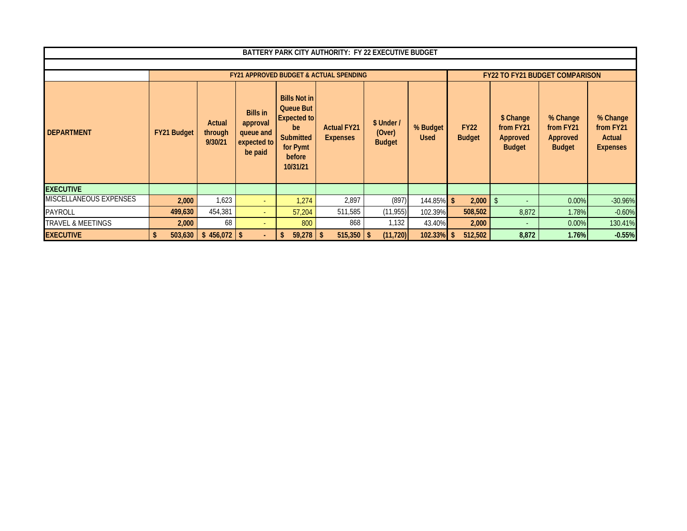|                               |                    |                              |                                                                    |                                                                                                                           | BATTERY PARK CITY AUTHORITY: FY 22 EXECUTIVE BUDGET |                                       |                         |                              |                                                     |                                                    |                                                    |
|-------------------------------|--------------------|------------------------------|--------------------------------------------------------------------|---------------------------------------------------------------------------------------------------------------------------|-----------------------------------------------------|---------------------------------------|-------------------------|------------------------------|-----------------------------------------------------|----------------------------------------------------|----------------------------------------------------|
|                               |                    |                              |                                                                    |                                                                                                                           |                                                     |                                       |                         |                              |                                                     |                                                    |                                                    |
|                               |                    |                              |                                                                    |                                                                                                                           | <b>FY21 APPROVED BUDGET &amp; ACTUAL SPENDING</b>   |                                       |                         |                              |                                                     | <b>FY22 TO FY21 BUDGET COMPARISON</b>              |                                                    |
| <b>DEPARTMENT</b>             | <b>FY21 Budget</b> | Actual<br>through<br>9/30/21 | <b>Bills in</b><br>approval<br>queue and<br>expected to<br>be paid | <b>Bills Not in</b><br><b>Queue But</b><br><b>Expected to</b><br>be<br><b>Submitted</b><br>for Pymt<br>before<br>10/31/21 | <b>Actual FY21</b><br><b>Expenses</b>               | \$ Under /<br>(Over)<br><b>Budget</b> | % Budget<br><b>Used</b> | <b>FY22</b><br><b>Budget</b> | \$ Change<br>from FY21<br>Approved<br><b>Budget</b> | % Change<br>from FY21<br>Approved<br><b>Budget</b> | % Change<br>from FY21<br>Actual<br><b>Expenses</b> |
| <b>EXECUTIVE</b>              |                    |                              |                                                                    |                                                                                                                           |                                                     |                                       |                         |                              |                                                     |                                                    |                                                    |
| <b>MISCELLANEOUS EXPENSES</b> | 2,000              | 1,623                        |                                                                    | 1,274                                                                                                                     | 2,897                                               | (897)                                 | 144.85%                 | -\$<br>2,000                 |                                                     | 0.00%                                              | $-30.96%$                                          |
| <b>PAYROLL</b>                | 499,630            | 454,381                      | ÷.                                                                 | 57,204                                                                                                                    | 511,585                                             | (11, 955)                             | 102.39%                 | 508,502                      | 8,872                                               | 1.78%                                              | $-0.60%$                                           |
| <b>TRAVEL &amp; MEETINGS</b>  | 2,000              | 68                           |                                                                    | 800                                                                                                                       | 868                                                 | 1,132                                 | 43.40%                  | 2,000                        |                                                     | $0.00\%$                                           | 130.41%                                            |
| <b>EXECUTIVE</b>              |                    | $503,630$ \$ 456,072 \$      |                                                                    | 59,278<br>\$                                                                                                              | $515,350$   \$<br>\$                                | (11, 720)                             | 102.33%                 | 512,502<br><sup>\$</sup>     | 8,872                                               | 1.76%                                              | $-0.55%$                                           |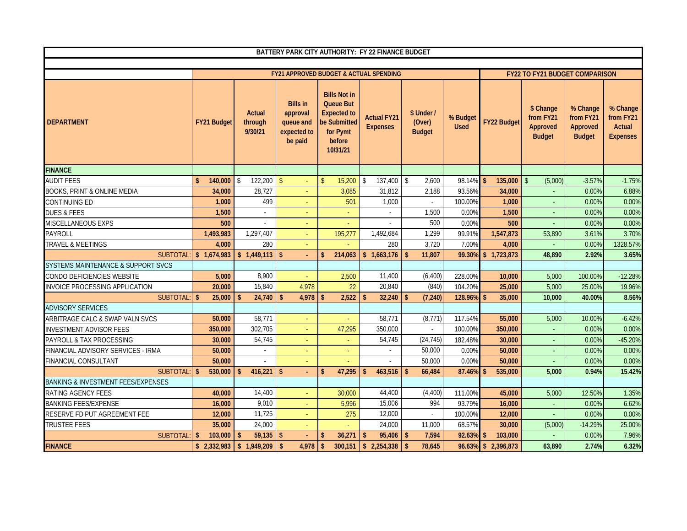|                                               |                         |                                     |                                                                    |                                                                                                                 | BATTERY PARK CITY AUTHORITY: FY 22 FINANCE BUDGET |                                       |                         |                         |                                                            |                                                    |                                                    |
|-----------------------------------------------|-------------------------|-------------------------------------|--------------------------------------------------------------------|-----------------------------------------------------------------------------------------------------------------|---------------------------------------------------|---------------------------------------|-------------------------|-------------------------|------------------------------------------------------------|----------------------------------------------------|----------------------------------------------------|
|                                               |                         |                                     |                                                                    |                                                                                                                 |                                                   |                                       |                         |                         |                                                            |                                                    |                                                    |
|                                               |                         |                                     |                                                                    |                                                                                                                 | <b>FY21 APPROVED BUDGET &amp; ACTUAL SPENDING</b> |                                       |                         |                         | <b>FY22 TO FY21 BUDGET COMPARISON</b>                      |                                                    |                                                    |
| <b>DEPARTMENT</b>                             | FY21 Budget             | <b>Actual</b><br>through<br>9/30/21 | <b>Bills in</b><br>approval<br>queue and<br>expected to<br>be paid | <b>Bills Not in</b><br><b>Queue But</b><br><b>Expected to</b><br>be Submitted<br>for Pymt<br>before<br>10/31/21 | <b>Actual FY21</b><br><b>Expenses</b>             | \$ Under /<br>(Over)<br><b>Budget</b> | % Budget<br><b>Used</b> | FY22 Budget             | \$ Change<br>from FY21<br><b>Approved</b><br><b>Budget</b> | % Change<br>from FY21<br>Approved<br><b>Budget</b> | % Change<br>from FY21<br>Actual<br><b>Expenses</b> |
| <b>FINANCE</b>                                |                         |                                     |                                                                    |                                                                                                                 |                                                   |                                       |                         |                         |                                                            |                                                    |                                                    |
| <b>AUDIT FEES</b>                             | $\mathsf{s}$<br>140,000 | 122,200<br>$\vert$ \$               | $\mathbf{\hat{S}}$                                                 | 15,200<br>$\mathsf{\$}$                                                                                         | \$<br>137,400                                     | \$<br>2,600                           | 98.14% \$               | 135,000                 | $\mathcal{S}$<br>(5,000)                                   | $-3.57%$                                           | $-1.75%$                                           |
| BOOKS, PRINT & ONLINE MEDIA                   | 34,000                  | 28,727                              |                                                                    | 3,085                                                                                                           | 31,812                                            | 2,188                                 | 93.56%                  | 34,000                  |                                                            | $0.00\%$                                           | 6.88%                                              |
| <b>CONTINUING ED</b>                          | 1.000                   | 499                                 |                                                                    | 501                                                                                                             | 1,000                                             |                                       | 100.00%                 | 1.000                   |                                                            | $0.00\%$                                           | 0.00%                                              |
| <b>DUES &amp; FEES</b>                        | 1,500                   |                                     | $\sim$                                                             |                                                                                                                 |                                                   | 1,500                                 | 0.00%                   | 1,500                   |                                                            | 0.00%                                              | 0.00%                                              |
| MISCELLANEOUS EXPS                            | 500                     |                                     |                                                                    |                                                                                                                 |                                                   | 500                                   | 0.00%                   | 500                     |                                                            | 0.00%                                              | 0.00%                                              |
| <b>PAYROLL</b>                                | 1,493,983               | 1,297,407                           |                                                                    | 195,277                                                                                                         | 1,492,684                                         | 1,299                                 | 99.91%                  | 1,547,873               | 53,890                                                     | 3.61%                                              | 3.70%                                              |
| <b>TRAVEL &amp; MEETINGS</b>                  | 4,000                   | 280                                 |                                                                    |                                                                                                                 | 280                                               | 3,720                                 | 7.00%                   | 4,000                   |                                                            | $0.00\%$                                           | 1328.57%                                           |
| SUBTOTAL:                                     | \$1,674,983             | \$1,449,113                         | $\mathbf{\hat{S}}$                                                 | 214,063<br>\$.                                                                                                  | \$1,663,176                                       | 11.807<br>-\$                         | 99.30%                  | \$1,723,873             | 48,890                                                     | 2.92%                                              | 3.65%                                              |
| <b>SYSTEMS MAINTENANCE &amp; SUPPORT SVCS</b> |                         |                                     |                                                                    |                                                                                                                 |                                                   |                                       |                         |                         |                                                            |                                                    |                                                    |
| CONDO DEFICIENCIES WEBSITE                    | 5,000                   | 8,900                               |                                                                    | 2,500                                                                                                           | 11,400                                            | (6, 400)                              | 228.00%                 | 10,000                  | 5,000                                                      | 100.00%                                            | $-12.28%$                                          |
| INVOICE PROCESSING APPLICATION                | 20,000                  | 15,840                              | 4,978                                                              | 22                                                                                                              | 20,840                                            | (840)                                 | 104.20%                 | 25,000                  | 5,000                                                      | 25.00%                                             | 19.96%                                             |
| <b>SUBTOTAL</b>                               | $\mathsf{\$}$<br>25,000 | 24,740<br>$\mathbf{\hat{S}}$        | $\mathbf{\hat{S}}$<br>4,978                                        | 2,522<br>\$                                                                                                     | $\mathbf{\hat{S}}$<br>32,240                      | $\mathbf{\hat{s}}$<br>(7, 240)        | 128.96%                 | $\mathbf{s}$<br>35,000  | 10,000                                                     | 40.00%                                             | 8.56%                                              |
| <b>ADVISORY SERVICES</b>                      |                         |                                     |                                                                    |                                                                                                                 |                                                   |                                       |                         |                         |                                                            |                                                    |                                                    |
| ARBITRAGE CALC & SWAP VALN SVCS               | 50,000                  | 58,771                              |                                                                    | $\sim$                                                                                                          | 58,771                                            | (8, 771)                              | 117.54%                 | 55,000                  | 5,000                                                      | 10.00%                                             | $-6.42%$                                           |
| <b>INVESTMENT ADVISOR FEES</b>                | 350,000                 | 302,705                             | $\sim$                                                             | 47,295                                                                                                          | 350,000                                           | $\sim$                                | 100.00%                 | 350,000                 | ÷.                                                         | 0.00%                                              | 0.00%                                              |
| PAYROLL & TAX PROCESSING                      | 30,000                  | 54,745                              | $\sim$                                                             | ÷.                                                                                                              | 54,745                                            | (24, 745)                             | 182.48%                 | 30,000                  | $\sim$                                                     | $0.00\%$                                           | $-45.20%$                                          |
| FINANCIAL ADVISORY SERVICES - IRMA            | 50,000                  | $\sim$                              | $\sim$                                                             | $\blacksquare$                                                                                                  | $\sim$                                            | 50,000                                | 0.00%                   | 50,000                  | $\sim$                                                     | 0.00%                                              | 0.00%                                              |
| <b>FINANCIAL CONSULTANT</b>                   | 50,000                  |                                     |                                                                    |                                                                                                                 | $\overline{\phantom{a}}$                          | 50,000                                | 0.00%                   | 50,000                  |                                                            | 0.00%                                              | 0.00%                                              |
| <b>SUBTOTAL:</b>                              | \$<br>530,000           | 416,221<br>$\mathbf{\hat{s}}$       | $\mathbf{\hat{S}}$                                                 | 47,295<br>\$                                                                                                    | 463,516<br>\$.                                    | -\$<br>66,484                         | 87.46%                  | 535,000<br>$\mathbf{s}$ | 5,000                                                      | 0.94%                                              | 15.42%                                             |
| <b>BANKING &amp; INVESTMENT FEES/EXPENSES</b> |                         |                                     |                                                                    |                                                                                                                 |                                                   |                                       |                         |                         |                                                            |                                                    |                                                    |
| RATING AGENCY FEES                            | 40,000                  | 14,400                              |                                                                    | 30,000                                                                                                          | 44,400                                            | (4, 400)                              | 111.00%                 | 45,000                  | 5,000                                                      | 12.50%                                             | 1.35%                                              |
| <b>BANKING FEES/EXPENSE</b>                   | 16,000                  | 9,010                               |                                                                    | 5,996                                                                                                           | 15,006                                            | 994                                   | 93.79%                  | 16,000                  |                                                            | 0.00%                                              | 6.62%                                              |
| RESERVE FD PUT AGREEMENT FEE                  | 12,000                  | 11,725                              |                                                                    | 275                                                                                                             | 12,000                                            | $\overline{a}$                        | 100.00%                 | 12,000                  |                                                            | 0.00%                                              | 0.00%                                              |
| <b>TRUSTEE FEES</b>                           | 35,000                  | 24.000                              |                                                                    | ÷.                                                                                                              | 24,000                                            | 11,000                                | 68.57%                  | 30,000                  | (5,000)                                                    | $-14.29%$                                          | 25.00%                                             |
| <b>SUBTOTAL:</b>                              | 103,000<br>\$           | 59,135<br>-\$                       | $\mathsf{\$}$                                                      | 36,271<br>\$                                                                                                    | 95,406<br>$\mathbf{\hat{S}}$                      | 7,594<br>$\sqrt{2}$                   | 92.63%                  | $\sqrt{2}$<br>103,000   |                                                            | 0.00%                                              | 7.96%                                              |
| <b>FINANCE</b>                                | \$2,332,983             | 1,949,209<br>15                     | $\mathbf{\hat{S}}$<br>4,978                                        | $\mathbf{s}$                                                                                                    | $300,151$ \$ 2,254,338                            | $\sqrt{2}$<br>78,645                  |                         | 96.63% \$2,396,873      | 63,890                                                     | 2.74%                                              | 6.32%                                              |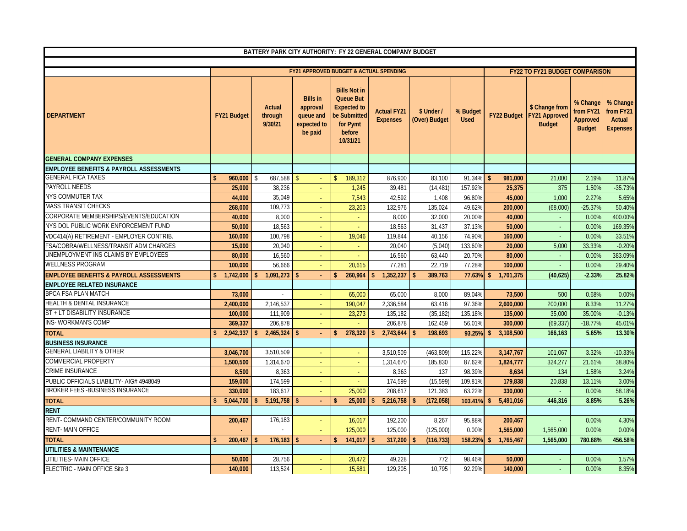|                                                    |                                 | BATTERY PARK CITY AUTHORITY: FY 22 GENERAL COMPANY BUDGET |                                                                    |                                                                                                                 |                                        |                                  |                         |                            |                                                              |                                                    |                                                    |
|----------------------------------------------------|---------------------------------|-----------------------------------------------------------|--------------------------------------------------------------------|-----------------------------------------------------------------------------------------------------------------|----------------------------------------|----------------------------------|-------------------------|----------------------------|--------------------------------------------------------------|----------------------------------------------------|----------------------------------------------------|
|                                                    |                                 |                                                           |                                                                    |                                                                                                                 |                                        |                                  |                         |                            |                                                              |                                                    |                                                    |
|                                                    |                                 |                                                           |                                                                    |                                                                                                                 | FY21 APPROVED BUDGET & ACTUAL SPENDING |                                  |                         |                            | <b>FY22 TO FY21 BUDGET COMPARISON</b>                        |                                                    |                                                    |
| <b>DEPARTMENT</b>                                  | <b>FY21 Budget</b>              | <b>Actual</b><br>through<br>9/30/21                       | <b>Bills in</b><br>approval<br>queue and<br>expected to<br>be paid | <b>Bills Not in</b><br><b>Queue But</b><br><b>Expected to</b><br>be Submitted<br>for Pymt<br>before<br>10/31/21 | <b>Actual FY21</b><br><b>Expenses</b>  | \$ Under /<br>(Over) Budget      | % Budget<br><b>Used</b> |                            | \$ Change from<br>FY22 Budget FY21 Approved<br><b>Budget</b> | % Change<br>from FY21<br>Approved<br><b>Budget</b> | % Change<br>from FY21<br>Actual<br><b>Expenses</b> |
| <b>GENERAL COMPANY EXPENSES</b>                    |                                 |                                                           |                                                                    |                                                                                                                 |                                        |                                  |                         |                            |                                                              |                                                    |                                                    |
| <b>EMPLOYEE BENEFITS &amp; PAYROLL ASSESSMENTS</b> |                                 |                                                           |                                                                    |                                                                                                                 |                                        |                                  |                         |                            |                                                              |                                                    |                                                    |
| <b>GENERAL FICA TAXES</b>                          | \$.<br>960,000                  | -\$                                                       | ÷                                                                  | 189,312                                                                                                         | 876,900                                | 83,100                           | $91.34\%$ \$            | 981,000                    | 21,000                                                       | 2.19%                                              | 11.87%                                             |
| PAYROLL NEEDS                                      | 25,000                          | 38,236                                                    |                                                                    | 1,245                                                                                                           | 39,481                                 | (14, 481)                        | 157.929                 | 25,375                     | 375                                                          | 1.50%                                              | $-35.73%$                                          |
| <b>NYS COMMUTER TAX</b>                            | 44,000                          | 35,049                                                    | ÷                                                                  | 7,543                                                                                                           | 42.592                                 | 1.408                            | 96.80%                  | 45,000                     | 1,000                                                        | 2.27%                                              | 5.65%                                              |
| <b>MASS TRANSIT CHECKS</b>                         | 268,000                         | 109,773                                                   |                                                                    | 23,203                                                                                                          | 132,976                                | 135,024                          | 49.62%                  | 200,000                    | (68,000)                                                     | $-25.37%$                                          | 50.40%                                             |
| CORPORATE MEMBERSHIPS/EVENTS/EDUCATION             | 40,000                          | 8,000                                                     | ÷                                                                  | ÷                                                                                                               | 8,000                                  | 32,000                           | 20.00%                  | 40,000                     | ÷.                                                           | 0.00%                                              | 400.00%                                            |
| NYS DOL PUBLIC WORK ENFORCEMENT FUND               | 50,000                          | 18,563                                                    |                                                                    |                                                                                                                 | 18,563                                 | 31,437                           | 37.139                  | 50,000                     | $\sim$                                                       | 0.00%                                              | 169.35%                                            |
| VDC414(A) RETIREMENT - EMPLOYER CONTRIB.           | 160,000                         | 100,798                                                   | ÷.                                                                 | 19,046                                                                                                          | 119,844                                | 40.156                           | 74.90%                  | 160,000                    | $\omega$                                                     | 0.00%                                              | 33.51%                                             |
| FSA/COBRA/WELLNESS/TRANSIT ADM CHARGES             | 15,000                          | 20,040                                                    |                                                                    |                                                                                                                 | 20,040                                 | (5,040)                          | 133.60%                 | 20,000                     | 5,000                                                        | 33.33%                                             | $-0.20%$                                           |
| UNEMPLOYMENT INS CLAIMS BY EMPLOYEES               | 80,000                          | 16,560                                                    |                                                                    |                                                                                                                 | 16,560                                 | 63,440                           | 20.70%                  | 80,000                     | $\sim$                                                       | 0.00%                                              | 383.09%                                            |
| <b>WELLNESS PROGRAM</b>                            | 100,000                         | 56,666                                                    | ÷.                                                                 | 20,615                                                                                                          | 77,281                                 | 22,719                           | 77.28%                  | 100,000                    | $\omega$                                                     | 0.00%                                              | 29.40%                                             |
| <b>EMPLOYEE BENEFITS &amp; PAYROLL ASSESSMENTS</b> | $\mathbf{s}$<br>1.742.000       | 1,091,273<br>\$                                           | $\mathbf{s}$                                                       | 260.964<br>\$                                                                                                   | 1,352,237<br>$\mathsf{s}$              | 389.763                          | 77.63%                  | 1,701,375<br>$\sqrt{2}$    | (40, 625)                                                    | $-2.33%$                                           | 25.82%                                             |
| <b>EMPLOYEE RELATED INSURANCE</b>                  |                                 |                                                           |                                                                    |                                                                                                                 |                                        |                                  |                         |                            |                                                              |                                                    |                                                    |
| <b>BPCA FSA PLAN MATCH</b>                         | 73,000                          | $\sim$                                                    | ÷                                                                  | 65,000                                                                                                          | 65,000                                 | 8,000                            | 89.04%                  | 73,500                     | 500                                                          | 0.68%                                              | 0.00%                                              |
| <b>HEALTH &amp; DENTAL INSURANCE</b>               | 2,400,000                       | 2,146,537                                                 | ÷                                                                  | 190.047                                                                                                         | 2,336,584                              | 63,416                           | 97.36%                  | 2,600,000                  | 200,000                                                      | 8.33%                                              | 11.27%                                             |
| ST + LT DISABILITY INSURANCE                       | 100,000                         | 111,909                                                   |                                                                    | 23,273                                                                                                          | 135,182                                | (35, 182)                        | 135.18%                 | 135,000                    | 35,000                                                       | 35.00%                                             | $-0.13%$                                           |
| <b>INS-WORKMAN'S COMP</b>                          | 369.337                         | 206.878                                                   | ÷.                                                                 |                                                                                                                 | 206.878                                | 162.459                          | 56.01%                  | 300,000                    | (69, 337)                                                    | $-18.77%$                                          | 45.01%                                             |
| <b>TOTAL</b>                                       | 2,942,337<br>$\mathbf{\hat{S}}$ | 2,465,324                                                 | $\mathbf{\hat{s}}$                                                 | 278,320                                                                                                         | 2,743,644<br>\$                        | 198,693                          | 93.25%                  | 3,108,500<br>\$            | 166,163                                                      | 5.65%                                              | 13.30%                                             |
| <b>BUSINESS INSURANCE</b>                          |                                 |                                                           |                                                                    |                                                                                                                 |                                        |                                  |                         |                            |                                                              |                                                    |                                                    |
| <b>GENERAL LIABILITY &amp; OTHER</b>               | 3,046,700                       | 3,510,509                                                 |                                                                    |                                                                                                                 | 3,510,509                              | (463, 809)                       | 115.22%                 | 3,147,767                  | 101,067                                                      | 3.32%                                              | $-10.33%$                                          |
| <b>COMMERCIAL PROPERTY</b>                         | 1,500,500                       | 1,314,670                                                 |                                                                    | ÷                                                                                                               | 1,314,670                              | 185,830                          | 87.62%                  | 1,824,777                  | 324,277                                                      | 21.61%                                             | 38.80%                                             |
| <b>CRIME INSURANCE</b>                             | 8.500                           | 8.363                                                     | ÷                                                                  | ÷                                                                                                               | 8.363                                  | 137                              | 98.39%                  | 8,634                      | 134                                                          | 1.58%                                              | 3.24%                                              |
| PUBLIC OFFICIALS LIABILITY- AIG# 4948049           | 159,000                         | 174,599                                                   |                                                                    |                                                                                                                 | 174,599                                | (15, 599)                        | 109.81%                 | 179,838                    | 20,838                                                       | 13.11%                                             | 3.00%                                              |
| <b>BROKER FEES - BUSINESS INSURANCE</b>            | 330,000                         | 183,617                                                   | $\sim$                                                             | 25,000                                                                                                          | 208,617                                | 121,383                          | 63.22%                  | 330,000                    | ä,                                                           | 0.00%                                              | 58.18%                                             |
| <b>TOTAL</b>                                       | 5,044,700<br>$\mathsf{\$}$      | 5,191,758                                                 | $\mathsf{\$}$                                                      | 25,000                                                                                                          | $\mathbf{s}$<br>5,216,758              | (172, 058)<br>$\mathbf{\hat{S}}$ | 103.41%                 | 5,491,016<br>\$            | 446,316                                                      | 8.85%                                              | 5.26%                                              |
| <b>RENT</b>                                        |                                 |                                                           |                                                                    |                                                                                                                 |                                        |                                  |                         |                            |                                                              |                                                    |                                                    |
| RENT- COMMAND CENTER/COMMUNITY ROOM                | 200,467                         | 176,183                                                   | $\sim$                                                             | 16,017                                                                                                          | 192,200                                | 8.267                            | 95.88%                  | 200,467                    | $\sim$                                                       | 0.00%                                              | 4.30%                                              |
| <b>RENT-MAIN OFFICE</b>                            |                                 |                                                           |                                                                    | 125,000                                                                                                         | 125,000                                | (125,000)                        | 0.00%                   | 1,565,000                  | 1,565,000                                                    | 0.00%                                              | 0.00%                                              |
| <b>TOTAL</b>                                       | 200,467                         | 176,183<br>s.                                             | $\mathsf{\$}$                                                      | 141,017<br>\$                                                                                                   | \$<br>317,200                          | (116, 733)<br>\$                 | 158.23%                 | $\mathsf{\$}$<br>1,765,467 | 1,565,000                                                    | 780.68%                                            | 456.58%                                            |
| <b>UTILITIES &amp; MAINTENANCE</b>                 |                                 |                                                           |                                                                    |                                                                                                                 |                                        |                                  |                         |                            |                                                              |                                                    |                                                    |
| UTILITIES- MAIN OFFICE                             | 50,000                          | 28,756                                                    |                                                                    | 20,472                                                                                                          | 49,228                                 | 772                              | 98.46%                  | 50,000                     |                                                              | 0.00%                                              | 1.57%                                              |
| ELECTRIC - MAIN OFFICE Site 3                      | 140,000                         | 113,524                                                   |                                                                    | 15.681                                                                                                          | 129,205                                | 10,795                           | 92.29%                  | 140,000                    | $\sim$                                                       | 0.00%                                              | 8.35%                                              |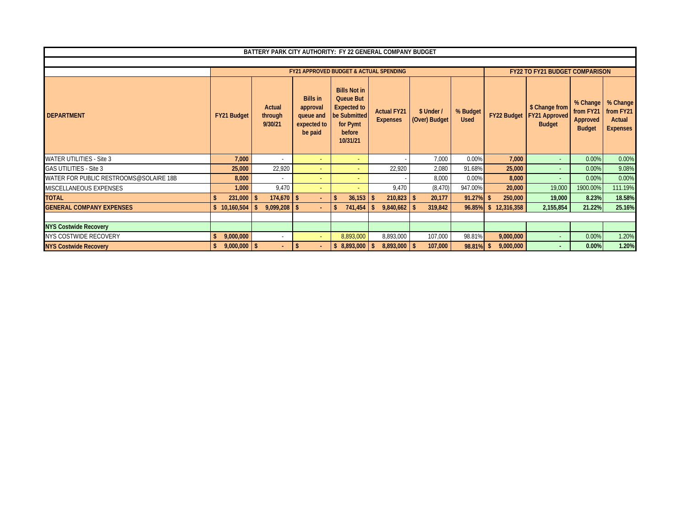|                                        |                |                              |               |                                                                    |                                                                                                                 | BATTERY PARK CITY AUTHORITY: FY 22 GENERAL COMPANY BUDGET |                             |                         |    |                    |                                                         |                                                    |                                                    |
|----------------------------------------|----------------|------------------------------|---------------|--------------------------------------------------------------------|-----------------------------------------------------------------------------------------------------------------|-----------------------------------------------------------|-----------------------------|-------------------------|----|--------------------|---------------------------------------------------------|----------------------------------------------------|----------------------------------------------------|
|                                        |                |                              |               |                                                                    |                                                                                                                 |                                                           |                             |                         |    |                    |                                                         |                                                    |                                                    |
|                                        |                |                              |               |                                                                    |                                                                                                                 | <b>FY21 APPROVED BUDGET &amp; ACTUAL SPENDING</b>         |                             |                         |    |                    | <b>FY22 TO FY21 BUDGET COMPARISON</b>                   |                                                    |                                                    |
| <b>DEPARTMENT</b>                      | FY21 Budget    | Actual<br>through<br>9/30/21 |               | <b>Bills in</b><br>approval<br>queue and<br>expected to<br>be paid | <b>Bills Not in</b><br><b>Queue But</b><br><b>Expected to</b><br>be Submitted<br>for Pymt<br>before<br>10/31/21 | <b>Actual FY21</b><br><b>Expenses</b>                     | \$ Under /<br>(Over) Budget | % Budget<br><b>Used</b> |    | <b>FY22 Budget</b> | \$ Change from<br><b>FY21 Approved</b><br><b>Budget</b> | % Change<br>from FY21<br>Approved<br><b>Budget</b> | % Change<br>from FY21<br>Actual<br><b>Expenses</b> |
| <b>WATER UTILITIES - Site 3</b>        | 7,000          |                              |               |                                                                    |                                                                                                                 |                                                           | 7,000                       | 0.00%                   |    | 7,000              |                                                         | 0.00%                                              | 0.00%                                              |
| <b>GAS UTILITIES - Site 3</b>          | 25,000         | 22,920                       |               |                                                                    |                                                                                                                 | 22,920                                                    | 2,080                       | 91.68%                  |    | 25,000             | $\sim$                                                  | 0.00%                                              | 9.08%                                              |
| WATER FOR PUBLIC RESTROOMS@SOLAIRE 18B | 8,000          | $\sim$                       |               | ۰                                                                  |                                                                                                                 |                                                           | 8,000                       | 0.00%                   |    | 8,000              |                                                         | 0.00%                                              | 0.00%                                              |
| MISCELLANEOUS EXPENSES                 | 1,000          | 9,470                        |               | $\overline{a}$                                                     |                                                                                                                 | 9,470                                                     | (8, 470)                    | 947.00%                 |    | 20,000             | 19,000                                                  | 1900.00%                                           | 111.19%                                            |
| <b>TOTAL</b>                           | 231,000        | \$                           |               | $\sim$                                                             | 36,153                                                                                                          | $210,823$ \$                                              | 20,177                      | 91.27%                  |    | 250,000            | 19,000                                                  | 8.23%                                              | 18.58%                                             |
| <b>GENERAL COMPANY EXPENSES</b>        | \$10,160,504   | $9,099,208$ \$               |               |                                                                    | 741,454                                                                                                         | 9,840,662                                                 | 319,842                     | 96.85%                  | s. | 12,316,358         | 2,155,854                                               | 21.22%                                             | 25.16%                                             |
|                                        |                |                              |               |                                                                    |                                                                                                                 |                                                           |                             |                         |    |                    |                                                         |                                                    |                                                    |
| <b>NYS Costwide Recovery</b>           |                |                              |               |                                                                    |                                                                                                                 |                                                           |                             |                         |    |                    |                                                         |                                                    |                                                    |
| NYS COSTWIDE RECOVERY                  | 9,000,000      |                              |               |                                                                    | 8,893,000                                                                                                       | 8,893,000                                                 | 107,000                     | 98.81%                  |    | 9,000,000          | $\sim$                                                  | 0.00%                                              | 1.20%                                              |
| <b>NYS Costwide Recovery</b>           | $9,000,000$ \$ | $\sim$                       | <sup>\$</sup> |                                                                    | 8,893,000                                                                                                       | $8,893,000$ \$                                            | 107,000                     | 98.81%                  | -S | 9,000,000          |                                                         | 0.00%                                              | 1.20%                                              |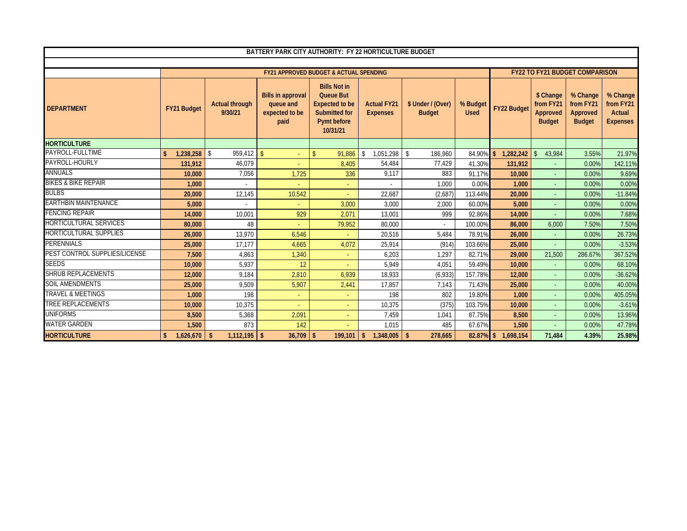|                                |                      |                                  | BATTERY PARK CITY AUTHORITY: FY 22 HORTICULTURE BUDGET          |                                                                                                                     |                                       |                                    |                         |                            |                                                     |                                                    |                                                    |
|--------------------------------|----------------------|----------------------------------|-----------------------------------------------------------------|---------------------------------------------------------------------------------------------------------------------|---------------------------------------|------------------------------------|-------------------------|----------------------------|-----------------------------------------------------|----------------------------------------------------|----------------------------------------------------|
|                                |                      |                                  |                                                                 |                                                                                                                     |                                       |                                    |                         |                            |                                                     |                                                    |                                                    |
|                                |                      |                                  |                                                                 | <b>FY21 APPROVED BUDGET &amp; ACTUAL SPENDING</b>                                                                   |                                       |                                    |                         |                            |                                                     | <b>FY22 TO FY21 BUDGET COMPARISON</b>              |                                                    |
| <b>DEPARTMENT</b>              | FY21 Budget          | <b>Actual through</b><br>9/30/21 | <b>Bills in approval</b><br>queue and<br>expected to be<br>paid | <b>Bills Not in</b><br><b>Queue But</b><br><b>Expected to be</b><br><b>Submitted for</b><br>Pymt before<br>10/31/21 | <b>Actual FY21</b><br><b>Expenses</b> | \$ Under / (Over)<br><b>Budget</b> | % Budget<br><b>Used</b> | <b>FY22 Budget</b>         | \$ Change<br>from FY21<br>Approved<br><b>Budget</b> | % Change<br>from FY21<br>Approved<br><b>Budget</b> | % Change<br>from FY21<br>Actual<br><b>Expenses</b> |
| <b>HORTICULTURE</b>            |                      |                                  |                                                                 |                                                                                                                     |                                       |                                    |                         |                            |                                                     |                                                    |                                                    |
| PAYROLL-FULLTIME               | $1.238.258$ \$<br>\$ | 959.412                          | $\sqrt{3}$                                                      | $\mathsf{\$}$<br>91.886                                                                                             | \$<br>1.051.298                       | $\mathcal{S}$<br>186.960           | 84.90%                  | 1.282.242<br><sup>\$</sup> | 43.984                                              | 3.55%                                              | 21.97%                                             |
| PAYROLL-HOURLY                 | 131,912              | 46,079                           |                                                                 | 8,405                                                                                                               | 54,484                                | 77,429                             | 41.30%                  | 131,912                    |                                                     | 0.00%                                              | 142.11%                                            |
| <b>ANNUALS</b>                 | 10,000               | 7,056                            | 1,725                                                           | 336                                                                                                                 | 9,117                                 | 883                                | 91.17%                  | 10,000                     | $\sim$                                              | 0.00%                                              | 9.69%                                              |
| <b>BIKES &amp; BIKE REPAIR</b> | 1.000                |                                  |                                                                 | $\blacksquare$                                                                                                      |                                       | 1.000                              | 0.00%                   | 1.000                      | $\omega$                                            | 0.00%                                              | 0.00%                                              |
| <b>BULBS</b>                   | 20,000               | 12,145                           | 10,542                                                          | ÷.                                                                                                                  | 22,687                                | (2,687)                            | 113.44%                 | 20,000                     |                                                     | 0.00%                                              | $-11.84%$                                          |
| <b>EARTHBIN MAINTENANCE</b>    | 5,000                |                                  |                                                                 | 3,000                                                                                                               | 3,000                                 | 2,000                              | 60.00%                  | 5,000                      | $\blacksquare$                                      | 0.00%                                              | 0.00%                                              |
| <b>FENCING REPAIR</b>          | 14,000               | 10.001                           | 929                                                             | 2,071                                                                                                               | 13,001                                | 999                                | 92.86%                  | 14,000                     | $\sim$                                              | 0.00%                                              | 7.68%                                              |
| <b>HORTICULTURAL SERVICES</b>  | 80,000               | 48                               |                                                                 | 79,952                                                                                                              | 80,000                                |                                    | 100.00%                 | 86,000                     | 6,000                                               | 7.50%                                              | 7.50%                                              |
| <b>HORTICULTURAL SUPPLIES</b>  | 26,000               | 13,970                           | 6,546                                                           |                                                                                                                     | 20,516                                | 5,484                              | 78.91%                  | 26,000                     |                                                     | 0.00%                                              | 26.73%                                             |
| <b>PERENNIALS</b>              | 25,000               | 17.177                           | 4,665                                                           | 4,072                                                                                                               | 25,914                                | (914)                              | 103.66%                 | 25,000                     |                                                     | 0.00%                                              | $-3.53%$                                           |
| PEST CONTROL SUPPLIES/LICENSE  | 7,500                | 4,863                            | 1,340                                                           | ÷                                                                                                                   | 6,203                                 | 1,297                              | 82.71%                  | 29,000                     | 21,500                                              | 286.67%                                            | 367.52%                                            |
| <b>SEEDS</b>                   | 10,000               | 5,937                            | 12                                                              |                                                                                                                     | 5,949                                 | 4,051                              | 59.49%                  | 10,000                     | $\sim$                                              | 0.00%                                              | 68.10%                                             |
| <b>SHRUB REPLACEMENTS</b>      | 12,000               | 9.184                            | 2,810                                                           | 6,939                                                                                                               | 18,933                                | (6,933)                            | 157.78%                 | 12,000                     | $\sim$                                              | 0.00%                                              | $-36.62%$                                          |
| <b>SOIL AMENDMENTS</b>         | 25,000               | 9,509                            | 5,907                                                           | 2,441                                                                                                               | 17,857                                | 7,143                              | 71.43%                  | 25,000                     | $\omega$                                            | 0.00%                                              | 40.00%                                             |
| <b>TRAVEL &amp; MEETINGS</b>   | 1,000                | 198                              |                                                                 | ÷                                                                                                                   | 198                                   | 802                                | 19.80%                  | 1,000                      |                                                     | 0.00%                                              | 405.05%                                            |
| <b>TREE REPLACEMENTS</b>       | 10,000               | 10,375                           |                                                                 | ÷                                                                                                                   | 10,375                                | (375)                              | 103.75%                 | 10,000                     | $\sim$                                              | 0.00%                                              | $-3.61%$                                           |
| <b>UNIFORMS</b>                | 8,500                | 5,368                            | 2,091                                                           | ÷                                                                                                                   | 7,459                                 | 1,041                              | 87.75%                  | 8,500                      |                                                     | 0.00%                                              | 13.96%                                             |
| <b>WATER GARDEN</b>            | 1,500                | 873                              | 142                                                             |                                                                                                                     | 1,015                                 | 485                                | 67.67%                  | 1,500                      |                                                     | 0.00%                                              | 47.78%                                             |
| <b>HORTICULTURE</b>            | 1,626,670<br>\$.     | $1,112,195$ \$<br>s.             | 36,709                                                          | 199,101<br>$\mathbf{\hat{S}}$                                                                                       | 1,348,005<br><sup>\$</sup>            | $\mathbf{\hat{S}}$<br>278,665      | 82.87% \$               | 1.698.154                  | 71,484                                              | 4.39%                                              | 25.98%                                             |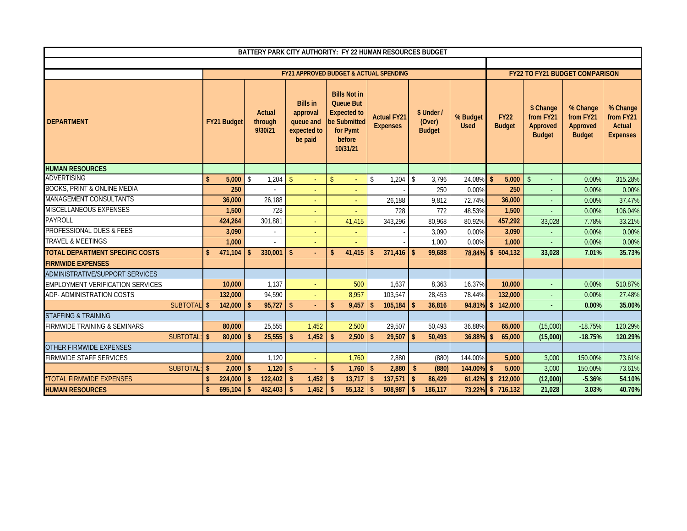|                                         |                    |                    |                    |                              | BATTERY PARK CITY AUTHORITY: FY 22 HUMAN RESOURCES BUDGET          |                    |                                                                                                                 |                    |                                       |                    |                                       |                         |                    |                              |                                                     |                                                    |                                                    |
|-----------------------------------------|--------------------|--------------------|--------------------|------------------------------|--------------------------------------------------------------------|--------------------|-----------------------------------------------------------------------------------------------------------------|--------------------|---------------------------------------|--------------------|---------------------------------------|-------------------------|--------------------|------------------------------|-----------------------------------------------------|----------------------------------------------------|----------------------------------------------------|
|                                         |                    |                    |                    |                              |                                                                    |                    |                                                                                                                 |                    |                                       |                    |                                       |                         |                    |                              |                                                     |                                                    |                                                    |
|                                         |                    |                    |                    |                              | FY21 APPROVED BUDGET & ACTUAL SPENDING                             |                    |                                                                                                                 |                    |                                       |                    |                                       |                         |                    |                              |                                                     | <b>FY22 TO FY21 BUDGET COMPARISON</b>              |                                                    |
| <b>DEPARTMENT</b>                       |                    | <b>FY21 Budget</b> |                    | Actual<br>through<br>9/30/21 | <b>Bills in</b><br>approval<br>queue and<br>expected to<br>be paid |                    | <b>Bills Not in</b><br><b>Queue But</b><br><b>Expected to</b><br>be Submitted<br>for Pymt<br>before<br>10/31/21 |                    | <b>Actual FY21</b><br><b>Expenses</b> |                    | \$ Under /<br>(Over)<br><b>Budget</b> | % Budget<br><b>Used</b> |                    | <b>FY22</b><br><b>Budget</b> | \$ Change<br>from FY21<br>Approved<br><b>Budget</b> | % Change<br>from FY21<br>Approved<br><b>Budget</b> | % Change<br>from FY21<br>Actual<br><b>Expenses</b> |
| <b>HUMAN RESOURCES</b>                  |                    |                    |                    |                              |                                                                    |                    |                                                                                                                 |                    |                                       |                    |                                       |                         |                    |                              |                                                     |                                                    |                                                    |
| <b>ADVERTISING</b>                      | $\mathbf{\hat{S}}$ | 5.000              | Ŝ.                 | 1,204                        | $\mathbf{\hat{S}}$                                                 | $\mathbf{\hat{S}}$ |                                                                                                                 | $\mathbb{S}$       | 1,204                                 | \$                 | 3,796                                 | 24.08%                  | \$                 | 5,000                        | $\mathsf{\$}$                                       | 0.00%                                              | 315.28%                                            |
| <b>BOOKS, PRINT &amp; ONLINE MEDIA</b>  |                    | 250                |                    |                              |                                                                    |                    |                                                                                                                 |                    |                                       |                    | 250                                   | 0.00%                   |                    | 250                          |                                                     | 0.00%                                              | 0.00%                                              |
| <b>MANAGEMENT CONSULTANTS</b>           |                    | 36,000             |                    | 26,188                       |                                                                    |                    |                                                                                                                 |                    | 26,188                                |                    | 9,812                                 | 72.74%                  |                    | 36,000                       |                                                     | 0.00%                                              | 37.47%                                             |
| <b>MISCELLANEOUS EXPENSES</b>           |                    | 1,500              |                    | 728                          | $\blacksquare$                                                     |                    |                                                                                                                 |                    | 728                                   |                    | 772                                   | 48.53%                  |                    | 1,500                        |                                                     | 0.00%                                              | 106.04%                                            |
| <b>PAYROLL</b>                          |                    | 424,264            |                    | 301,881                      |                                                                    |                    | 41.415                                                                                                          |                    | 343,296                               |                    | 80,968                                | 80.92%                  |                    | 457,292                      | 33,028                                              | 7.78%                                              | 33.21%                                             |
| PROFESSIONAL DUES & FEES                |                    | 3,090              |                    | $\mathbf{r}$                 |                                                                    |                    | $\sim$                                                                                                          |                    |                                       |                    | 3,090                                 | 0.00%                   |                    | 3,090                        |                                                     | 0.00%                                              | 0.00%                                              |
| <b>TRAVEL &amp; MEETINGS</b>            |                    | 1,000              |                    |                              |                                                                    |                    |                                                                                                                 |                    |                                       |                    | 1,000                                 | 0.00%                   |                    | 1.000                        |                                                     | 0.00%                                              | 0.00%                                              |
| TOTAL DEPARTMENT SPECIFIC COSTS         | \$                 | 471,104            | \$                 | 330,001                      | \$                                                                 | \$                 | 41,415                                                                                                          | \$                 | 371,416                               | -\$                | 99,688                                | 78.84%                  |                    | \$504,132                    | 33,028                                              | 7.01%                                              | 35.73%                                             |
| <b>FIRMWIDE EXPENSES</b>                |                    |                    |                    |                              |                                                                    |                    |                                                                                                                 |                    |                                       |                    |                                       |                         |                    |                              |                                                     |                                                    |                                                    |
| ADMINISTRATIVE/SUPPORT SERVICES         |                    |                    |                    |                              |                                                                    |                    |                                                                                                                 |                    |                                       |                    |                                       |                         |                    |                              |                                                     |                                                    |                                                    |
| <b>EMPLOYMENT VERIFICATION SERVICES</b> |                    | 10,000             |                    | 1,137                        |                                                                    |                    | 500                                                                                                             |                    | 1,637                                 |                    | 8,363                                 | 16.37%                  |                    | 10,000                       |                                                     | 0.00%                                              | 510.87%                                            |
| ADP- ADMINISTRATION COSTS               |                    | 132,000            |                    | 94,590                       |                                                                    |                    | 8,957                                                                                                           |                    | 103,547                               |                    | 28,453                                | 78.44%                  |                    | 132,000                      |                                                     | 0.00%                                              | 27.48%                                             |
| SUBTOTAL \$                             |                    | 142,000            | $\mathbf{\hat{S}}$ | 95,727                       | $\mathbf{\hat{S}}$                                                 | \$                 | 9.457                                                                                                           | \$                 | 105,184                               | $\mathbf{\hat{S}}$ | 36,816                                | 94.81%                  |                    | \$142,000                    |                                                     | 0.00%                                              | 35.00%                                             |
| <b>STAFFING &amp; TRAINING</b>          |                    |                    |                    |                              |                                                                    |                    |                                                                                                                 |                    |                                       |                    |                                       |                         |                    |                              |                                                     |                                                    |                                                    |
| FIRMWIDE TRAINING & SEMINARS            |                    | 80,000             |                    | 25,555                       | 1,452                                                              |                    | 2,500                                                                                                           |                    | 29,507                                |                    | 50,493                                | 36.88%                  |                    | 65,000                       | (15,000)                                            | $-18.75%$                                          | 120.29%                                            |
| SUBTOTAL: \$                            |                    | 80,000             | $\mathbf{\hat{S}}$ | 25,555                       | 1.452                                                              | $\mathbf{s}$       | 2,500                                                                                                           | $\mathbf{\hat{s}}$ | 29,507                                | $\mathbf{\hat{S}}$ | 50.493                                | 36.88%                  | \$                 | 65,000                       | (15,000)                                            | $-18.75%$                                          | 120.29%                                            |
| OTHER FIRMWIDE EXPENSES                 |                    |                    |                    |                              |                                                                    |                    |                                                                                                                 |                    |                                       |                    |                                       |                         |                    |                              |                                                     |                                                    |                                                    |
| <b>FIRMWIDE STAFF SERVICES</b>          |                    | 2,000              |                    | 1.120                        |                                                                    |                    | 1,760                                                                                                           |                    | 2,880                                 |                    | (880)                                 | 144.00%                 |                    | 5,000                        | 3,000                                               | 150.00%                                            | 73.61%                                             |
| SUBTOTAL: \$                            |                    | 2,000              | $\mathbf{\hat{s}}$ | $1,120$ \$                   |                                                                    | \$                 | 1,760                                                                                                           | $\mathbf{\hat{S}}$ | 2,880                                 | $\mathbf{s}$       | (880)                                 | 144.00%                 | $\mathbf{\hat{S}}$ | 5,000                        | 3,000                                               | 150.00%                                            | 73.61%                                             |
| *TOTAL FIRMWIDE EXPENSES                | \$                 | 224,000            | $\mathbf{\hat{S}}$ | 122,402                      | 1,452<br>$\mathbf{\hat{S}}$                                        | \$                 | 13,717                                                                                                          | $\mathsf{\$}$      | 137,571                               | $\mathsf{\$}$      | 86,429                                | 61.42%                  |                    | \$212,000                    | (12,000)                                            | $-5.36%$                                           | 54.10%                                             |
| <b>HUMAN RESOURCES</b>                  | $\mathbf{\hat{S}}$ | 695,104            | $\mathbf{\hat{s}}$ | 452,403                      | $\sqrt{2}$<br>1,452                                                | $\mathbf{s}$       | 55,132                                                                                                          | $\mathsf{\$}$      | 508,987                               | $\sqrt{2}$         | 186,117                               | 73.22%                  |                    | \$716,132                    | 21,028                                              | 3.03%                                              | 40.70%                                             |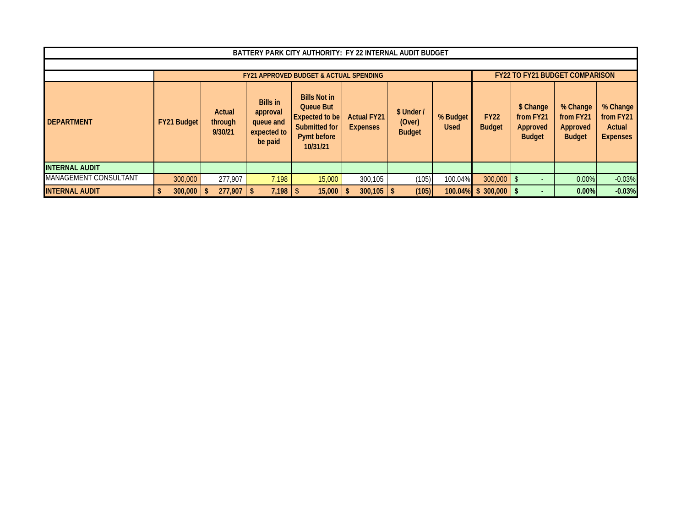|                              |                    |                              |                                                                    | BATTERY PARK CITY AUTHORITY: FY 22 INTERNAL AUDIT BUDGET                                                     |                                       |                                       |                         |                              |                                                     |                                                    |                                                    |
|------------------------------|--------------------|------------------------------|--------------------------------------------------------------------|--------------------------------------------------------------------------------------------------------------|---------------------------------------|---------------------------------------|-------------------------|------------------------------|-----------------------------------------------------|----------------------------------------------------|----------------------------------------------------|
|                              |                    |                              |                                                                    |                                                                                                              |                                       |                                       |                         |                              |                                                     |                                                    |                                                    |
|                              |                    |                              |                                                                    | <b>FY21 APPROVED BUDGET &amp; ACTUAL SPENDING</b>                                                            |                                       |                                       |                         |                              | <b>FY22 TO FY21 BUDGET COMPARISON</b>               |                                                    |                                                    |
| <b>DEPARTMENT</b>            | <b>FY21 Budget</b> | Actual<br>through<br>9/30/21 | <b>Bills in</b><br>approval<br>queue and<br>expected to<br>be paid | <b>Bills Not in</b><br><b>Queue But</b><br>Expected to be<br>Submitted for<br><b>Pymt before</b><br>10/31/21 | <b>Actual FY21</b><br><b>Expenses</b> | \$ Under /<br>(Over)<br><b>Budget</b> | % Budget<br><b>Used</b> | <b>FY22</b><br><b>Budget</b> | \$ Change<br>from FY21<br>Approved<br><b>Budget</b> | % Change<br>from FY21<br>Approved<br><b>Budget</b> | % Change<br>from FY21<br>Actual<br><b>Expenses</b> |
| <b>INTERNAL AUDIT</b>        |                    |                              |                                                                    |                                                                                                              |                                       |                                       |                         |                              |                                                     |                                                    |                                                    |
| <b>MANAGEMENT CONSULTANT</b> | 300,000            | 277.907                      | 7.198                                                              | 15,000                                                                                                       | 300,105                               | (105)                                 | 100.04%                 | 300,000                      |                                                     | $0.00\%$                                           | $-0.03%$                                           |
| <b>INTERNAL AUDIT</b>        | 300,000            | 277.907                      | $7.198$   \$                                                       | 15,000                                                                                                       | 300,105                               | (105)                                 | 100.04%                 | 300.000<br>s.                |                                                     | $0.00\%$                                           | $-0.03%$                                           |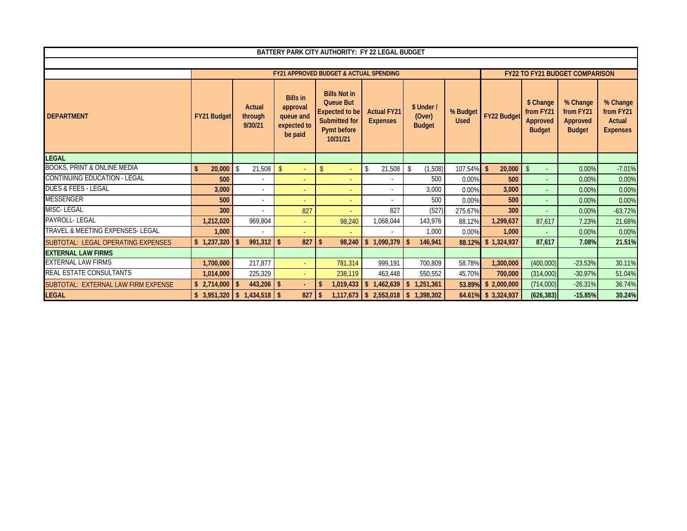|                                             |                    |                                     |                                                                    | BATTERY PARK CITY AUTHORITY: FY 22 LEGAL BUDGET                                                                     |                                       |                                       |                         |                              |                                                     |                                                    |                                                           |
|---------------------------------------------|--------------------|-------------------------------------|--------------------------------------------------------------------|---------------------------------------------------------------------------------------------------------------------|---------------------------------------|---------------------------------------|-------------------------|------------------------------|-----------------------------------------------------|----------------------------------------------------|-----------------------------------------------------------|
|                                             |                    |                                     |                                                                    |                                                                                                                     |                                       |                                       |                         |                              |                                                     |                                                    |                                                           |
|                                             |                    |                                     |                                                                    | <b>FY21 APPROVED BUDGET &amp; ACTUAL SPENDING</b>                                                                   |                                       |                                       |                         |                              |                                                     | <b>FY22 TO FY21 BUDGET COMPARISON</b>              |                                                           |
| <b>DEPARTMENT</b>                           | <b>FY21 Budget</b> | <b>Actual</b><br>through<br>9/30/21 | <b>Bills in</b><br>approval<br>queue and<br>expected to<br>be paid | <b>Bills Not in</b><br><b>Queue But</b><br><b>Expected to be</b><br><b>Submitted for</b><br>Pymt before<br>10/31/21 | <b>Actual FY21</b><br><b>Expenses</b> | \$ Under /<br>(Over)<br><b>Budget</b> | % Budget<br><b>Used</b> | <b>FY22 Budget</b>           | \$ Change<br>from FY21<br>Approved<br><b>Budget</b> | % Change<br>from FY21<br>Approved<br><b>Budget</b> | % Change<br>from FY21<br><b>Actual</b><br><b>Expenses</b> |
| LEGAL                                       |                    |                                     |                                                                    |                                                                                                                     |                                       |                                       |                         |                              |                                                     |                                                    |                                                           |
| <b>BOOKS, PRINT &amp; ONLINE MEDIA</b>      | \$<br>20,000       | 21,508<br>-\$                       | $\mathbf{\hat{S}}$                                                 | $\mathbb{S}$<br>÷                                                                                                   | \$<br>21,508                          | (1,508)<br>$\mathbf{\hat{S}}$         | 107.54%                 | $\mathbf{\hat{S}}$<br>20,000 | $\mathbf{\hat{S}}$                                  | 0.00%                                              | $-7.01%$                                                  |
| CONTINUING EDUCATION - LEGAL                | 500                |                                     | ٠                                                                  | $\sim$                                                                                                              |                                       | 500                                   | 0.00%                   | 500                          |                                                     | 0.00%                                              | 0.00%                                                     |
| <b>DUES &amp; FEES - LEGAL</b>              | 3.000              | $\overline{\phantom{a}}$            | ÷                                                                  | ÷                                                                                                                   |                                       | 3,000                                 | 0.00%                   | 3,000                        |                                                     | 0.00%                                              | 0.00%                                                     |
| VESSENGER                                   | 500                | $\overline{\phantom{a}}$            |                                                                    | ÷                                                                                                                   |                                       | 500                                   | 0.00%                   | 500                          |                                                     | 0.00%                                              | 0.00%                                                     |
| MISC-LEGAL                                  | 300                |                                     | 827                                                                | ÷                                                                                                                   | 827                                   | (527)                                 | 275.67%                 | 300                          |                                                     | 0.00%                                              | $-63.72%$                                                 |
| PAYROLL- LEGAL                              | 1,212,020          | 969,804                             |                                                                    | 98,240                                                                                                              | 1,068,044                             | 143,976                               | 88.12%                  | 1,299,637                    | 87.617                                              | 7.23%                                              | 21.68%                                                    |
| <b>TRAVEL &amp; MEETING EXPENSES- LEGAL</b> | 1.000              |                                     |                                                                    |                                                                                                                     |                                       | 1,000                                 | 0.00%                   | 1.000                        |                                                     | 0.00%                                              | 0.00%                                                     |
| SUBTOTAL: LEGAL OPERATING EXPENSES          | \$1,237,320        | $991,312$ \$<br>$\mathbf{\hat{S}}$  | 827                                                                | 98,240<br>$\mathbf{\hat{S}}$                                                                                        | 1,090,379<br>$\mathbf{s}$             | 146,941<br>- \$                       | 88.12%                  | \$1,324,937                  | 87.617                                              | 7.08%                                              | 21.51%                                                    |
| <b>EXTERNAL LAW FIRMS</b>                   |                    |                                     |                                                                    |                                                                                                                     |                                       |                                       |                         |                              |                                                     |                                                    |                                                           |
| EXTERNAL LAW FIRMS                          | 1,700,000          | 217,877                             | $\sim$                                                             | 781.314                                                                                                             | 999,191                               | 700,809                               | 58.78%                  | 1,300,000                    | (400,000)                                           | $-23.53%$                                          | 30.11%                                                    |
| <b>REAL ESTATE CONSULTANTS</b>              | 1.014.000          | 225,329                             | ÷                                                                  | 238,119                                                                                                             | 463,448                               | 550,552                               | 45.70%                  | 700,000                      | (314,000)                                           | $-30.97%$                                          | 51.04%                                                    |
| SUBTOTAL: EXTERNAL LAW FIRM EXPENSE         | \$2,714,000        | -\$                                 |                                                                    | 1,019,433<br>-S                                                                                                     | 1,462,639<br>\$                       | 1,251,361<br>\$                       | 53.89%                  | \$2,000,000                  | (714,000)                                           | $-26.31%$                                          | 36.74%                                                    |
| <b>LEGAL</b>                                | \$3,951,320        |                                     | 827                                                                |                                                                                                                     | $1,117,673$ \$ 2,553,018 \$ 1,398,302 |                                       |                         | 64.61% \$3,324,937           | (626, 383)                                          | $-15.85%$                                          | 30.24%                                                    |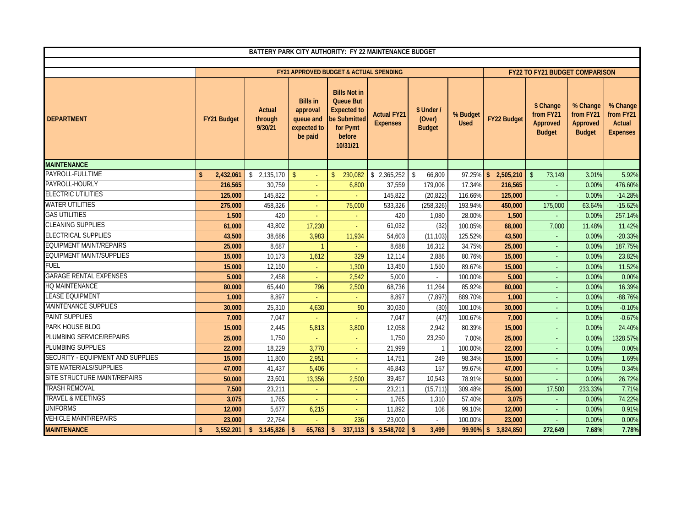| BATTERY PARK CITY AUTHORITY: FY 22 MAINTENANCE BUDGET |                    |                              |                                                                    |                                                                                                                 |                                       |                                       |                         |                            |                                                     |                                                    |                                                    |
|-------------------------------------------------------|--------------------|------------------------------|--------------------------------------------------------------------|-----------------------------------------------------------------------------------------------------------------|---------------------------------------|---------------------------------------|-------------------------|----------------------------|-----------------------------------------------------|----------------------------------------------------|----------------------------------------------------|
|                                                       |                    |                              |                                                                    |                                                                                                                 |                                       |                                       |                         |                            |                                                     |                                                    |                                                    |
|                                                       |                    |                              |                                                                    | <b>FY21 APPROVED BUDGET &amp; ACTUAL SPENDING</b>                                                               |                                       |                                       |                         |                            | <b>FY22 TO FY21 BUDGET COMPARISON</b>               |                                                    |                                                    |
| <b>DEPARTMENT</b>                                     | <b>FY21 Budget</b> | Actual<br>through<br>9/30/21 | <b>Bills in</b><br>approval<br>queue and<br>expected to<br>be paid | <b>Bills Not in</b><br><b>Queue But</b><br><b>Expected to</b><br>be Submitted<br>for Pymt<br>before<br>10/31/21 | <b>Actual FY21</b><br><b>Expenses</b> | \$ Under /<br>(Over)<br><b>Budget</b> | % Budget<br><b>Used</b> | <b>FY22 Budget</b>         | \$ Change<br>from FY21<br>Approved<br><b>Budget</b> | % Change<br>from FY21<br>Approved<br><b>Budget</b> | % Change<br>from FY21<br>Actual<br><b>Expenses</b> |
| <b>MAINTENANCE</b>                                    |                    |                              |                                                                    |                                                                                                                 |                                       |                                       |                         |                            |                                                     |                                                    |                                                    |
| PAYROLL-FULLTIME                                      | 2,432,061<br>\$    | \$2,135,170                  | $\mathbf{\hat{s}}$                                                 | $\sqrt{2}$<br>230,082                                                                                           | \$2,365,252                           | \$<br>66,809                          | 97.25%                  | 2,505,210<br>$\mathsf{\$}$ | 73,149<br>$\mathsf{\$}$                             | 3.01%                                              | 5.92%                                              |
| PAYROLL-HOURLY                                        | 216,565            | 30,759                       | ÷                                                                  | 6,800                                                                                                           | 37,559                                | 179,006                               | 17.34%                  | 216,565                    |                                                     | 0.00%                                              | 476.60%                                            |
| <b>ELECTRIC UTILITIES</b>                             | 125,000            | 145,822                      | $\sim$                                                             |                                                                                                                 | 145,822                               | (20, 822)                             | 116.66%                 | 125,000                    | ÷.                                                  | 0.00%                                              | $-14.28%$                                          |
| <b>WATER UTILITIES</b>                                | 275,000            | 458,326                      |                                                                    | 75,000                                                                                                          | 533,326                               | (258, 326)                            | 193.94%                 | 450,000                    | 175,000                                             | 63.64%                                             | $-15.62%$                                          |
| <b>GAS UTILITIES</b>                                  | 1,500              | 420                          |                                                                    |                                                                                                                 | 420                                   | 1,080                                 | 28.00%                  | 1,500                      |                                                     | 0.00%                                              | 257.14%                                            |
| <b>CLEANING SUPPLIES</b>                              | 61,000             | 43,802                       | 17,230                                                             |                                                                                                                 | 61,032                                | (32)                                  | 100.05%                 | 68,000                     | 7,000                                               | 11.48%                                             | 11.42%                                             |
| <b>ELECTRICAL SUPPLIES</b>                            | 43,500             | 38,686                       | 3,983                                                              | 11,934                                                                                                          | 54,603                                | (11, 103)                             | 125.52%                 | 43,500                     | ä,                                                  | 0.00%                                              | $-20.33%$                                          |
| <b>EQUIPMENT MAINT/REPAIRS</b>                        | 25,000             | 8,687                        |                                                                    |                                                                                                                 | 8,688                                 | 16,312                                | 34.75%                  | 25,000                     | ω,                                                  | 0.00%                                              | 187.75%                                            |
| <b>EQUIPMENT MAINT/SUPPLIES</b>                       | 15,000             | 10,173                       | 1,612                                                              | 329                                                                                                             | 12,114                                | 2,886                                 | 80.76%                  | 15,000                     | ä,                                                  | 0.00%                                              | 23.82%                                             |
| <b>FUEL</b>                                           | 15,000             | 12,150                       | $\omega_{\rm c}$                                                   | 1,300                                                                                                           | 13,450                                | 1,550                                 | 89.67%                  | 15,000                     | ä,                                                  | 0.00%                                              | 11.52%                                             |
| <b>GARAGE RENTAL EXPENSES</b>                         | 5,000              | 2,458                        | $\omega_{\rm c}$                                                   | 2,542                                                                                                           | 5,000                                 | $\mathbf{r}$                          | 100.00%                 | 5,000                      | $\omega$                                            | 0.00%                                              | 0.00%                                              |
| HQ MAINTENANCE                                        | 80,000             | 65,440                       | 796                                                                | 2,500                                                                                                           | 68,736                                | 11,264                                | 85.92%                  | 80,000                     | $\omega_{\rm c}$                                    | 0.00%                                              | 16.39%                                             |
| <b>LEASE EQUIPMENT</b>                                | 1,000              | 8,897                        | $\omega$                                                           |                                                                                                                 | 8,897                                 | (7, 897)                              | 889.70%                 | 1,000                      | $\omega_{\rm c}$                                    | 0.00%                                              | $-88.76%$                                          |
| <b>MAINTENANCE SUPPLIES</b>                           | 30,000             | 25,310                       | 4,630                                                              | 90                                                                                                              | 30,030                                | (30)                                  | 100.10%                 | 30,000                     | $\omega_{\rm c}$                                    | 0.00%                                              | $-0.10%$                                           |
| <b>PAINT SUPPLIES</b>                                 | 7,000              | 7,047                        | $\sim$                                                             |                                                                                                                 | 7.047                                 | (47)                                  | 100.67%                 | 7,000                      | $\equiv$                                            | 0.00%                                              | $-0.67%$                                           |
| PARK HOUSE BLDG                                       | 15,000             | 2,445                        | 5,813                                                              | 3,800                                                                                                           | 12,058                                | 2,942                                 | 80.39%                  | 15,000                     | $\equiv$                                            | 0.00%                                              | 24.40%                                             |
| PLUMBING SERVICE/REPAIRS                              | 25,000             | 1,750                        |                                                                    |                                                                                                                 | 1,750                                 | 23,250                                | 7.00%                   | 25,000                     | $\omega_{\rm c}$                                    | 0.00%                                              | 1328.57%                                           |
| PLUMBING SUPPLIES                                     | 22,000             | 18,229                       | 3,770                                                              |                                                                                                                 | 21,999                                | $\mathbf{1}$                          | 100.00%                 | 22,000                     | ÷.                                                  | 0.00%                                              | 0.00%                                              |
| SECURITY - EQUIPMENT AND SUPPLIES                     | 15,000             | 11,800                       | 2,951                                                              |                                                                                                                 | 14,751                                | 249                                   | 98.34%                  | 15,000                     |                                                     | 0.00%                                              | 1.69%                                              |
| SITE MATERIALS/SUPPLIES                               | 47,000             | 41,437                       | 5,406                                                              |                                                                                                                 | 46,843                                | 157                                   | 99.67%                  | 47,000                     |                                                     | 0.00%                                              | 0.34%                                              |
| SITE STRUCTURE MAINT/REPAIRS                          | 50,000             | 23,601                       | 13,356                                                             | 2,500                                                                                                           | 39,457                                | 10,543                                | 78.91%                  | 50,000                     | ÷.                                                  | 0.00%                                              | 26.72%                                             |
| <b>TRASH REMOVAL</b>                                  | 7,500              | 23,211                       | $\omega$                                                           | $\sim$                                                                                                          | 23,211                                | (15, 711)                             | 309.48%                 | 25,000                     | 17,500                                              | 233.33%                                            | 7.71%                                              |
| <b>TRAVEL &amp; MEETINGS</b>                          | 3,075              | 1,765                        |                                                                    | $\sim$                                                                                                          | 1,765                                 | 1,310                                 | 57.40%                  | 3,075                      | $\omega$                                            | 0.00%                                              | 74.22%                                             |
| <b>UNIFORMS</b>                                       | 12,000             | 5,677                        | 6,215                                                              |                                                                                                                 | 11,892                                | 108                                   | 99.10%                  | 12,000                     | ÷.                                                  | 0.00%                                              | 0.91%                                              |
| <b>VEHICLE MAINT/REPAIRS</b>                          | 23,000             | 22,764                       |                                                                    | 236                                                                                                             | 23,000                                |                                       | 100.00%                 | 23,000                     |                                                     | 0.00%                                              | 0.00%                                              |
| <b>MAINTENANCE</b>                                    | 3,552,201<br>\$    | \$3,145,826                  | 65,763<br>$\mathbf{\hat{S}}$                                       | $\mathsf{s}$<br>337,113                                                                                         | \$3.548.702                           | 3.499<br>$\mathbf{s}$                 | 99.90%                  | $\mathbf{s}$<br>3,824,850  | 272,649                                             | 7.68%                                              | 7.78%                                              |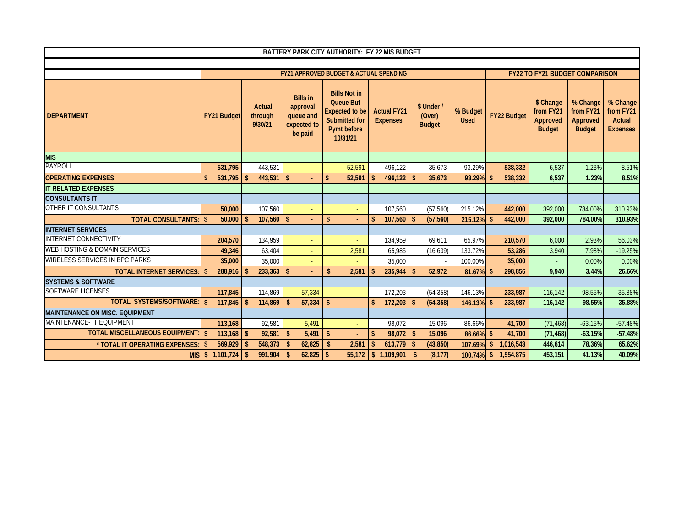|                                          |                               |                                        |                                                                    | BATTERY PARK CITY AUTHORITY: FY 22 MIS BUDGET                                                                       |                                       |                                     |                         |                               |                                                     |                                                    |                                                    |
|------------------------------------------|-------------------------------|----------------------------------------|--------------------------------------------------------------------|---------------------------------------------------------------------------------------------------------------------|---------------------------------------|-------------------------------------|-------------------------|-------------------------------|-----------------------------------------------------|----------------------------------------------------|----------------------------------------------------|
|                                          |                               |                                        |                                                                    |                                                                                                                     |                                       |                                     |                         |                               |                                                     |                                                    |                                                    |
|                                          |                               |                                        |                                                                    | <b>FY21 APPROVED BUDGET &amp; ACTUAL SPENDING</b>                                                                   |                                       |                                     |                         |                               | <b>FY22 TO FY21 BUDGET COMPARISON</b>               |                                                    |                                                    |
| <b>DEPARTMENT</b>                        | <b>FY21 Budget</b>            | Actual<br>through<br>9/30/21           | <b>Bills in</b><br>approval<br>queue and<br>expected to<br>be paid | <b>Bills Not in</b><br><b>Queue But</b><br><b>Expected to be</b><br><b>Submitted for</b><br>Pymt before<br>10/31/21 | <b>Actual FY21</b><br><b>Expenses</b> | \$ Under<br>(Over)<br><b>Budget</b> | % Budget<br><b>Used</b> | <b>FY22 Budget</b>            | \$ Change<br>from FY21<br>Approved<br><b>Budget</b> | % Change<br>from FY21<br>Approved<br><b>Budget</b> | % Change<br>from FY21<br>Actual<br><b>Expenses</b> |
| <b>MIS</b>                               |                               |                                        |                                                                    |                                                                                                                     |                                       |                                     |                         |                               |                                                     |                                                    |                                                    |
| <b>PAYROLL</b>                           | 531,795                       | 443,531                                |                                                                    | 52,591                                                                                                              | 496,122                               | 35,673                              | 93.29%                  | 538,332                       | 6,537                                               | 1.23%                                              | 8.51%                                              |
| <b>OPERATING EXPENSES</b>                | 531,795                       | $\mathbf{\hat{z}}$                     |                                                                    | 52,591<br>\$                                                                                                        | $\mathbf{\hat{S}}$<br>496,122         | 35,673<br>$\overline{\mathbf{S}}$   | 93.29%                  | 538,332<br>\$                 | 6,537                                               | 1.23%                                              | 8.51%                                              |
| <b>IT RELATED EXPENSES</b>               |                               |                                        |                                                                    |                                                                                                                     |                                       |                                     |                         |                               |                                                     |                                                    |                                                    |
| <b>CONSULTANTS IT</b>                    |                               |                                        |                                                                    |                                                                                                                     |                                       |                                     |                         |                               |                                                     |                                                    |                                                    |
| <b>OTHER IT CONSULTANTS</b>              | 50,000                        | 107,560                                |                                                                    | $\omega$                                                                                                            | 107,560                               | (57, 560)                           | 215.12%                 | 442,000                       | 392,000                                             | 784.00%                                            | 310.93%                                            |
| <b>TOTAL CONSULTANTS: \$</b>             | 50,000                        | $107,560$ \ \ \$<br>$\mathbf{\hat{z}}$ |                                                                    | \$                                                                                                                  | 107,560<br>$\mathbf{\hat{s}}$         | (57, 560)<br>$\vert$ s              | 215.12%                 | \$<br>442,000                 | 392,000                                             | 784.00%                                            | 310.93%                                            |
| <b>INTERNET SERVICES</b>                 |                               |                                        |                                                                    |                                                                                                                     |                                       |                                     |                         |                               |                                                     |                                                    |                                                    |
| <b>INTERNET CONNECTIVITY</b>             | 204,570                       | 134,959                                | $\sim$                                                             | $\omega$                                                                                                            | 134,959                               | 69,611                              | 65.97%                  | 210,570                       | 6,000                                               | 2.93%                                              | 56.03%                                             |
| <b>WEB HOSTING &amp; DOMAIN SERVICES</b> | 49,346                        | 63,404                                 |                                                                    | 2,581                                                                                                               | 65.985                                | (16, 639)                           | 133.72%                 | 53,286                        | 3,940                                               | 7.98%                                              | $-19.25%$                                          |
| <b>WIRELESS SERVICES IN BPC PARKS</b>    | 35,000                        | 35,000                                 |                                                                    |                                                                                                                     | 35,000                                |                                     | 100.00%                 | 35,000                        |                                                     | 0.00%                                              | 0.00%                                              |
| <b>TOTAL INTERNET SERVICES:</b>          | 288,916<br>-\$                | 233,363                                | $\mathsf{\$}$                                                      | 2,581<br>$\mathbf{\hat{s}}$                                                                                         | 235,944<br>$\mathbf{\hat{s}}$         | 52,972                              | 81.67%                  | 298.856                       | 9.940                                               | 3.44%                                              | 26.66%                                             |
| <b>SYSTEMS &amp; SOFTWARE</b>            |                               |                                        |                                                                    |                                                                                                                     |                                       |                                     |                         |                               |                                                     |                                                    |                                                    |
| <b>SOFTWARE LICENSES</b>                 | 117,845                       | 114,869                                | 57,334                                                             | $\omega_{\rm c}$                                                                                                    | 172,203                               | (54, 358)                           | 146.13%                 | 233,987                       | 116,142                                             | 98.55%                                             | 35.88%                                             |
| TOTAL SYSTEMS/SOFTWARE: \$               | 117,845                       | 114,869<br>$\mathbf{\hat{S}}$          | 57,334<br>$\mathbf{s}$                                             | $\mathbf{s}$<br>÷.                                                                                                  | $\mathbf{\hat{S}}$<br>172,203         | (54, 358)<br>l \$                   | 146.13%                 | $\mathbf{\hat{S}}$<br>233,987 | 116,142                                             | 98.55%                                             | 35.88%                                             |
| <b>MAINTENANCE ON MISC. EQUIPMENT</b>    |                               |                                        |                                                                    |                                                                                                                     |                                       |                                     |                         |                               |                                                     |                                                    |                                                    |
| MAINTENANCE- IT EQUIPMENT                | 113,168                       | 92.581                                 | 5.491                                                              | ÷                                                                                                                   | 98.072                                | 15.096                              | 86.66%                  | 41,700                        | (71, 468)                                           | $-63.15%$                                          | $-57.48%$                                          |
| <b>TOTAL MISCELLANEOUS EQUIPMENT:</b>    | $\mathbf{\hat{S}}$<br>113,168 | $\vert$ s<br>92,581                    | $\mathbf{s}$<br>5,491                                              | $\mathsf{\$}$<br>÷.                                                                                                 | $\mathbf{\hat{S}}$<br>98,072          | 15,096<br>l \$                      | 86.66%                  | 41,700<br>s.                  | (71, 468)                                           | $-63.15%$                                          | $-57.48%$                                          |
| * TOTAL IT OPERATING EXPENSES:           | 569,929<br>-\$                | $548,373$ \$<br>$\mathbf{\hat{z}}$     | 62,825                                                             | 2,581<br>\$                                                                                                         | 613,779<br>\$                         | (43, 850)<br>l \$                   | 107.69%                 | $\mathsf{s}$<br>1,016,543     | 446,614                                             | 78.36%                                             | 65.62%                                             |
| <b>MISI</b>                              | 1,101,724<br>$\sqrt{3}$       | 991.904<br>-\$                         | $\mathbf{s}$<br>$62,825$ \ \ \$                                    | 55,172                                                                                                              | \$1,109,901                           | $\mathbf{s}$<br>(8, 177)            | 100.74%                 | $\mathbf{s}$<br>1,554,875     | 453,151                                             | 41.13%                                             | 40.09%                                             |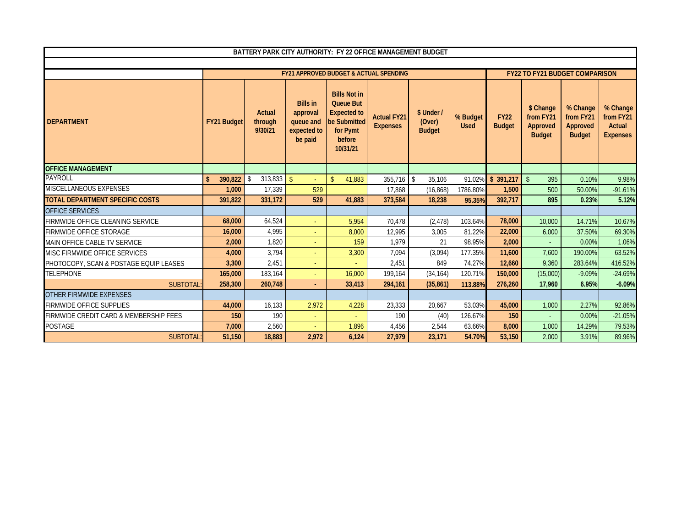|                                        | BATTERY PARK CITY AUTHORITY: FY 22 OFFICE MANAGEMENT BUDGET |                                                                                            |                                                                    |                                                                                                                 |                                       |                                       |                         |                              |                                                     |                                                    |                                                           |  |
|----------------------------------------|-------------------------------------------------------------|--------------------------------------------------------------------------------------------|--------------------------------------------------------------------|-----------------------------------------------------------------------------------------------------------------|---------------------------------------|---------------------------------------|-------------------------|------------------------------|-----------------------------------------------------|----------------------------------------------------|-----------------------------------------------------------|--|
|                                        |                                                             | <b>FY22 TO FY21 BUDGET COMPARISON</b><br><b>FY21 APPROVED BUDGET &amp; ACTUAL SPENDING</b> |                                                                    |                                                                                                                 |                                       |                                       |                         |                              |                                                     |                                                    |                                                           |  |
|                                        |                                                             |                                                                                            |                                                                    |                                                                                                                 |                                       |                                       |                         |                              |                                                     |                                                    |                                                           |  |
| <b>DEPARTMENT</b>                      | <b>FY21 Budget</b>                                          | Actual<br>through<br>9/30/21                                                               | <b>Bills in</b><br>approval<br>queue and<br>expected to<br>be paid | <b>Bills Not in</b><br><b>Queue But</b><br><b>Expected to</b><br>be Submitted<br>for Pymt<br>before<br>10/31/21 | <b>Actual FY21</b><br><b>Expenses</b> | \$ Under /<br>(Over)<br><b>Budget</b> | % Budget<br><b>Used</b> | <b>FY22</b><br><b>Budget</b> | \$ Change<br>from FY21<br>Approved<br><b>Budget</b> | % Change<br>from FY21<br>Approved<br><b>Budget</b> | % Change<br>from FY21<br><b>Actual</b><br><b>Expenses</b> |  |
| <b>OFFICE MANAGEMENT</b>               |                                                             |                                                                                            |                                                                    |                                                                                                                 |                                       |                                       |                         |                              |                                                     |                                                    |                                                           |  |
| <b>PAYROLL</b>                         | 390,822<br>$\mathbf{\hat{s}}$                               | 313,833<br>-S                                                                              | $\mathcal{S}$<br>$\omega$ .                                        | 41,883<br>$\mathbf{\hat{S}}$                                                                                    | $355,716$ \$                          | 35,106                                | 91.02%                  | \$391,217                    | $\mathsf{\$}$<br>395                                | 0.10%                                              | 9.98%                                                     |  |
| MISCELLANEOUS EXPENSES                 | 1,000                                                       | 17,339                                                                                     | 529                                                                |                                                                                                                 | 17,868                                | (16, 868)                             | 1786.80%                | 1,500                        | 500                                                 | 50.00%                                             | $-91.61%$                                                 |  |
| <b>TOTAL DEPARTMENT SPECIFIC COSTS</b> | 391,822                                                     | 331,172                                                                                    | 529                                                                | 41,883                                                                                                          | 373,584                               | 18,238                                | 95.35%                  | 392,717                      | 895                                                 | 0.23%                                              | 5.12%                                                     |  |
| OFFICE SERVICES                        |                                                             |                                                                                            |                                                                    |                                                                                                                 |                                       |                                       |                         |                              |                                                     |                                                    |                                                           |  |
| FIRMWIDE OFFICE CLEANING SERVICE       | 68,000                                                      | 64,524                                                                                     | $\sim$                                                             | 5,954                                                                                                           | 70,478                                | (2, 478)                              | 103.64%                 | 78,000                       | 10,000                                              | 14.71%                                             | 10.67%                                                    |  |
| <b>FIRMWIDE OFFICE STORAGE</b>         | 16,000                                                      | 4,995                                                                                      | $\blacksquare$                                                     | 8,000                                                                                                           | 12,995                                | 3,005                                 | 81.22%                  | 22,000                       | 6,000                                               | 37.50%                                             | 69.30%                                                    |  |
| MAIN OFFICE CABLE TV SERVICE           | 2,000                                                       | 1.820                                                                                      | $\sim$                                                             | 159                                                                                                             | 1,979                                 | 21                                    | 98.95%                  | 2,000                        |                                                     | 0.00%                                              | 1.06%                                                     |  |
| MISC FIRMWIDE OFFICE SERVICES          | 4,000                                                       | 3,794                                                                                      | $\sim$                                                             | 3,300                                                                                                           | 7,094                                 | (3,094)                               | 177.35%                 | 11,600                       | 7,600                                               | 190.00%                                            | 63.52%                                                    |  |
| PHOTOCOPY, SCAN & POSTAGE EQUIP LEASES | 3,300                                                       | 2,451                                                                                      | $\sim$                                                             |                                                                                                                 | 2,451                                 | 849                                   | 74.27%                  | 12,660                       | 9,360                                               | 283.64%                                            | 416.52%                                                   |  |
| <b>TELEPHONE</b>                       | 165,000                                                     | 183,164                                                                                    | $\omega$ .                                                         | 16,000                                                                                                          | 199.164                               | (34, 164)                             | 120.71%                 | 150,000                      | (15,000)                                            | $-9.09%$                                           | $-24.69%$                                                 |  |
| <b>SUBTOTAL</b>                        | 258,300                                                     | 260,748                                                                                    | ÷.                                                                 | 33,413                                                                                                          | 294.161                               | (35, 861)                             | 113.88%                 | 276,260                      | 17.960                                              | 6.95%                                              | $-6.09%$                                                  |  |
| OTHER FIRMWIDE EXPENSES                |                                                             |                                                                                            |                                                                    |                                                                                                                 |                                       |                                       |                         |                              |                                                     |                                                    |                                                           |  |
| <b>FIRMWIDE OFFICE SUPPLIES</b>        | 44,000                                                      | 16,133                                                                                     | 2,972                                                              | 4,228                                                                                                           | 23,333                                | 20,667                                | 53.03%                  | 45,000                       | 1,000                                               | 2.27%                                              | 92.86%                                                    |  |
| FIRMWIDE CREDIT CARD & MEMBERSHIP FEES | 150                                                         | 190                                                                                        | $\sim$                                                             |                                                                                                                 | 190                                   | (40)                                  | 126.67%                 | 150                          |                                                     | 0.00%                                              | $-21.05%$                                                 |  |
| <b>POSTAGE</b>                         | 7,000                                                       | 2,560                                                                                      | u.                                                                 | 1,896                                                                                                           | 4,456                                 | 2,544                                 | 63.66%                  | 8,000                        | 1,000                                               | 14.29%                                             | 79.53%                                                    |  |
| <b>SUBTOTAL</b>                        | 51,150                                                      | 18,883                                                                                     | 2,972                                                              | 6,124                                                                                                           | 27,979                                | 23,171                                | 54.70%                  | 53,150                       | 2,000                                               | 3.91%                                              | 89.96%                                                    |  |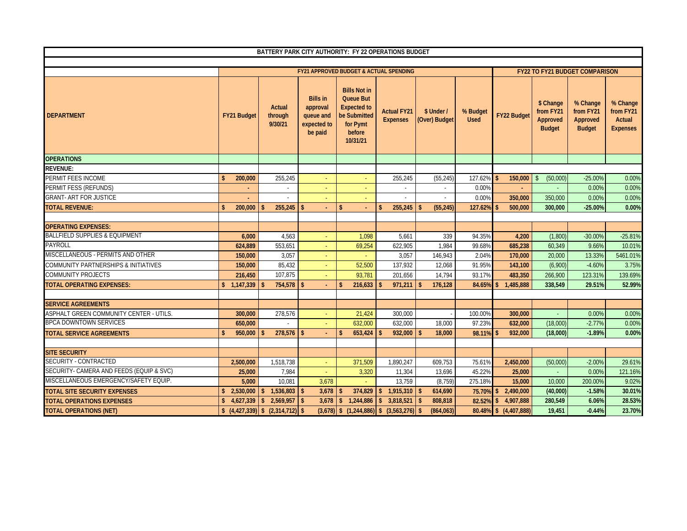|                                                 |                               |                                                                                                                     |                                                                    | BATTERY PARK CITY AUTHORITY: FY 22 OPERATIONS BUDGET                                                            |                                       |                             |                         |                       |                                                     |                                                    |                                                    |
|-------------------------------------------------|-------------------------------|---------------------------------------------------------------------------------------------------------------------|--------------------------------------------------------------------|-----------------------------------------------------------------------------------------------------------------|---------------------------------------|-----------------------------|-------------------------|-----------------------|-----------------------------------------------------|----------------------------------------------------|----------------------------------------------------|
|                                                 |                               |                                                                                                                     |                                                                    |                                                                                                                 |                                       |                             |                         |                       |                                                     |                                                    |                                                    |
|                                                 |                               |                                                                                                                     |                                                                    | <b>FY21 APPROVED BUDGET &amp; ACTUAL SPENDING</b>                                                               |                                       |                             |                         |                       |                                                     | <b>FY22 TO FY21 BUDGET COMPARISON</b>              |                                                    |
| <b>DEPARTMENT</b>                               | <b>FY21 Budget</b>            | <b>Actual</b><br>through<br>9/30/21                                                                                 | <b>Bills in</b><br>approval<br>queue and<br>expected to<br>be paid | <b>Bills Not in</b><br><b>Queue But</b><br><b>Expected to</b><br>be Submitted<br>for Pymt<br>before<br>10/31/21 | <b>Actual FY21</b><br><b>Expenses</b> | \$ Under /<br>(Over) Budget | % Budget<br><b>Used</b> | FY22 Budget           | \$ Change<br>from FY21<br>Approved<br><b>Budget</b> | % Change<br>from FY21<br>Approved<br><b>Budget</b> | % Change<br>from FY21<br>Actual<br><b>Expenses</b> |
| <b>OPERATIONS</b>                               |                               |                                                                                                                     |                                                                    |                                                                                                                 |                                       |                             |                         |                       |                                                     |                                                    |                                                    |
| REVENUE:                                        |                               |                                                                                                                     |                                                                    |                                                                                                                 |                                       |                             |                         |                       |                                                     |                                                    |                                                    |
| PERMIT FEES INCOME                              | 200,000<br>\$.                | 255,245                                                                                                             | ÷                                                                  | $\sim$                                                                                                          | 255,245                               | (55, 245)                   | 127.62%                 | 150,000<br>\$         | \$<br>(50,000)                                      | $-25.00%$                                          | 0.00%                                              |
| PERMIT FESS (REFUNDS)                           |                               |                                                                                                                     | ÷                                                                  | ÷                                                                                                               |                                       |                             | 0.00%                   |                       |                                                     | 0.00%                                              | 0.00%                                              |
| <b>GRANT- ART FOR JUSTICE</b>                   |                               |                                                                                                                     |                                                                    |                                                                                                                 |                                       |                             | 0.00%                   | 350,000               | 350,000                                             | 0.00%                                              | 0.00%                                              |
| <b>TOTAL REVENUE:</b>                           | 200,000<br>$\mathbf{\hat{z}}$ | 255,245                                                                                                             | $\mathbf{\hat{s}}$<br>÷.                                           | $\mathbf{s}$<br>÷.                                                                                              | 255,245<br>\$                         | (55, 245)<br>\$             | 127.62%                 | 500,000               | 300,000                                             | $-25.00%$                                          | 0.00%                                              |
| <b>OPERATING EXPENSES:</b>                      |                               |                                                                                                                     |                                                                    |                                                                                                                 |                                       |                             |                         |                       |                                                     |                                                    |                                                    |
| <b>BALLFIELD SUPPLIES &amp; EQUIPMENT</b>       | 6,000                         | 4,563                                                                                                               | ÷.                                                                 | 1,098                                                                                                           | 5,661                                 | 339                         | 94.35%                  | 4,200                 | (1,800)                                             | $-30.00%$                                          | $-25.81%$                                          |
| PAYROLL                                         | 624.889                       | 553.651                                                                                                             | ÷.                                                                 | 69,254                                                                                                          | 622.905                               | 1.984                       | 99.68%                  | 685.238               | 60.349                                              | 9.66%                                              | 10.01%                                             |
| MISCELLANEOUS - PERMITS AND OTHER               | 150,000                       | 3,057                                                                                                               | $\sim$                                                             | ÷                                                                                                               | 3,057                                 | 146,943                     | 2.04%                   | 170,000               | 20,000                                              | 13.33%                                             | 5461.01%                                           |
| <b>COMMUNITY PARTNERSHIPS &amp; INITIATIVES</b> | 150,000                       | 85,432                                                                                                              | $\omega$                                                           | 52,500                                                                                                          | 137,932                               | 12,068                      | 91.95%                  | 143,100               | (6,900)                                             | $-4.60%$                                           | 3.75%                                              |
| <b>COMMUNITY PROJECTS</b>                       | 216.450                       | 107.875                                                                                                             | $\sim$                                                             | 93.781                                                                                                          | 201.656                               | 14,794                      | 93.17%                  | 483,350               | 266.900                                             | 123.31%                                            | 139.69%                                            |
| <b>TOTAL OPERATING EXPENSES:</b>                | \$1,147,339                   | $754,578$ \$                                                                                                        |                                                                    | 216,633<br>\$                                                                                                   | 971,211                               | 176,128<br>\$               | 84.65%                  | 1,485,888<br>\$.      | 338,549                                             | 29.51%                                             | 52.99%                                             |
|                                                 |                               |                                                                                                                     |                                                                    |                                                                                                                 |                                       |                             |                         |                       |                                                     |                                                    |                                                    |
| <b>SERVICE AGREEMENTS</b>                       |                               |                                                                                                                     |                                                                    |                                                                                                                 |                                       |                             |                         |                       |                                                     |                                                    |                                                    |
| ASPHALT GREEN COMMUNITY CENTER - UTILS.         | 300,000                       | 278,576                                                                                                             |                                                                    | 21,424                                                                                                          | 300,000                               |                             | 100.00%                 | 300,000               |                                                     | 0.00%                                              | 0.00%                                              |
| <b>BPCA DOWNTOWN SERVICES</b>                   | 650,000                       |                                                                                                                     |                                                                    | 632.000                                                                                                         | 632.000                               | 18.000                      | 97.23%                  | 632,000               | (18,000)                                            | $-2.77%$                                           | 0.00%                                              |
| <b>TOTAL SERVICE AGREEMENTS</b>                 | 950,000<br>$\mathbf{\hat{S}}$ | 278,576                                                                                                             | <b>S</b>                                                           | $\mathsf{s}$<br>653,424                                                                                         | 932,000                               | \$<br>18,000                | 98.11%                  | 932,000<br>\$.        | (18,000)                                            | $-1.89%$                                           | 0.00%                                              |
| <b>SITE SECURITY</b>                            |                               |                                                                                                                     |                                                                    |                                                                                                                 |                                       |                             |                         |                       |                                                     |                                                    |                                                    |
| SECURITY - CONTRACTED                           | 2,500,000                     | 1,518,738                                                                                                           |                                                                    | 371,509                                                                                                         | 1,890,247                             | 609,753                     | 75.61%                  | 2,450,000             | (50,000)                                            | $-2.00%$                                           | 29.61%                                             |
| SECURITY- CAMERA AND FEEDS (EQUIP & SVC)        | 25,000                        | 7,984                                                                                                               |                                                                    | 3,320                                                                                                           | 11,304                                | 13,696                      | 45.22%                  | 25,000                |                                                     | 0.00%                                              | 121.16%                                            |
| MISCELLANEOUS EMERGENCY/SAFETY EQUIP.           | 5,000                         | 10,081                                                                                                              | 3,678                                                              |                                                                                                                 | 13,759                                | (8, 759)                    | 275.18%                 | 15,000                | 10,000                                              | 200.00%                                            | 9.02%                                              |
| <b>TOTAL SITE SECURITY EXPENSES</b>             | \$2,530,000                   | 1,536,803<br>$\mathbf{\hat{s}}$                                                                                     | 3,678<br>- \$                                                      | 374,829<br>$\mathsf{s}$                                                                                         | 1,915,310<br>\$                       | 614,690<br>\$               | 75.70%                  | 2,490,000<br>\$       | (40,000)                                            | $-1.58%$                                           | 30.01%                                             |
| <b>TOTAL OPERATIONS EXPENSES</b>                | \$4,627,339                   | $\frac{1}{2}$ 2,569,957                                                                                             | $\mathbf{s}$<br>3,678                                              | $\mathbf{s}$<br>1.244.886                                                                                       | 3,818,521<br>\$                       | 808,818<br>\$               | 82.52%                  | 4,907,888<br>\$       | 280,549                                             | 6.06%                                              | 28.53%                                             |
| <b>TOTAL OPERATIONS (NET)</b>                   |                               | $\left  \frac{1}{2}(4.427,339) \right  \left  \frac{1}{2}(2.314,712) \right  \left  \frac{1}{2}(4.427,339) \right $ |                                                                    | $(3,678)$ \$ $(1,244,886)$ \$                                                                                   | (3,563,276)                           | (864,063)<br><sup>\$</sup>  |                         | 80.48% \$ (4,407,888) | 19,451                                              | $-0.44%$                                           | 23.70%                                             |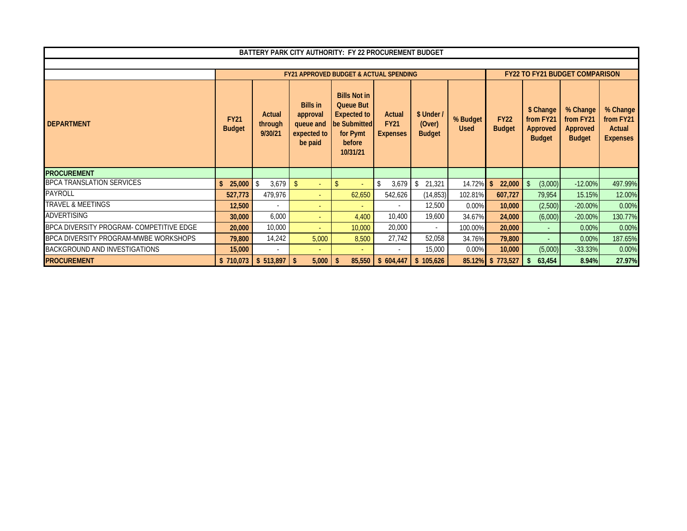| BATTERY PARK CITY AUTHORITY: FY 22 PROCUREMENT BUDGET |                              |                              |                                                                    |                                                                                                          |                                          |                                       |                         |                              |                                                     |                                                    |                                                    |
|-------------------------------------------------------|------------------------------|------------------------------|--------------------------------------------------------------------|----------------------------------------------------------------------------------------------------------|------------------------------------------|---------------------------------------|-------------------------|------------------------------|-----------------------------------------------------|----------------------------------------------------|----------------------------------------------------|
|                                                       |                              |                              |                                                                    |                                                                                                          |                                          |                                       |                         |                              |                                                     |                                                    |                                                    |
|                                                       |                              |                              |                                                                    | <b>FY21 APPROVED BUDGET &amp; ACTUAL SPENDING</b>                                                        |                                          |                                       |                         |                              |                                                     | <b>FY22 TO FY21 BUDGET COMPARISON</b>              |                                                    |
| <b>DEPARTMENT</b>                                     | <b>FY21</b><br><b>Budget</b> | Actual<br>through<br>9/30/21 | <b>Bills in</b><br>approval<br>queue and<br>expected to<br>be paid | <b>Bills Not in</b><br>Queue But<br><b>Expected to</b><br>be Submitted<br>for Pymt<br>before<br>10/31/21 | Actual<br><b>FY21</b><br><b>Expenses</b> | \$ Under /<br>(Over)<br><b>Budget</b> | % Budget<br><b>Used</b> | <b>FY22</b><br><b>Budget</b> | \$ Change<br>from FY21<br>Approved<br><b>Budget</b> | % Change<br>from FY21<br>Approved<br><b>Budget</b> | % Change<br>from FY21<br>Actual<br><b>Expenses</b> |
| <b>PROCUREMENT</b>                                    |                              |                              |                                                                    |                                                                                                          |                                          |                                       |                         |                              |                                                     |                                                    |                                                    |
| <b>BPCA TRANSLATION SERVICES</b>                      | 25,000                       | 3,679                        |                                                                    | <sup>\$</sup>                                                                                            | 3,679<br>-\$                             | 21,321                                | 14.72%                  | $\mathsf{\$}$<br>22,000      | (3,000)                                             | $-12.00%$                                          | 497.99%                                            |
| <b>PAYROLL</b>                                        | 527,773                      | 479,976                      | $\sim$                                                             | 62,650                                                                                                   | 542,626                                  | (14, 853)                             | 102.81%                 | 607,727                      | 79,954                                              | 15.15%                                             | 12.00%                                             |
| <b>TRAVEL &amp; MEETINGS</b>                          | 12,500                       |                              | $\overline{\phantom{a}}$                                           |                                                                                                          |                                          | 12,500                                | 0.00%                   | 10,000                       | (2,500)                                             | $-20.00\%$                                         | 0.00%                                              |
| <b>ADVERTISING</b>                                    | 30,000                       | 6,000                        | $\sim$                                                             | 4,400                                                                                                    | 10,400                                   | 19,600                                | 34.67%                  | 24,000                       | (6,000)                                             | $-20.00\%$                                         | 130.77%                                            |
| BPCA DIVERSITY PROGRAM- COMPETITIVE EDGE              | 20,000                       | 10,000                       | $\sim$                                                             | 10,000                                                                                                   | 20,000                                   | $\sim$                                | 100.00%                 | 20,000                       | $\sim$                                              | 0.00%                                              | 0.00%                                              |
| BPCA DIVERSITY PROGRAM-MWBE WORKSHOPS                 | 79,800                       | 14,242                       | 5,000                                                              | 8,500                                                                                                    | 27,742                                   | 52,058                                | 34.76%                  | 79,800                       |                                                     | 0.00%                                              | 187.65%                                            |
| BACKGROUND AND INVESTIGATIONS                         | 15,000                       |                              |                                                                    | $\sim$                                                                                                   |                                          | 15,000                                | 0.00%                   | 10,000                       | (5,000)                                             | $-33.33%$                                          | 0.00%                                              |
| <b>PROCUREMENT</b>                                    | \$710,073                    | $$513,897$ \ \ \$            | 5,000                                                              | 85,550<br>-\$                                                                                            | \$604,447                                | \$105,626                             | 85.12%                  | \$773,527                    | 63,454                                              | 8.94%                                              | 27.97%                                             |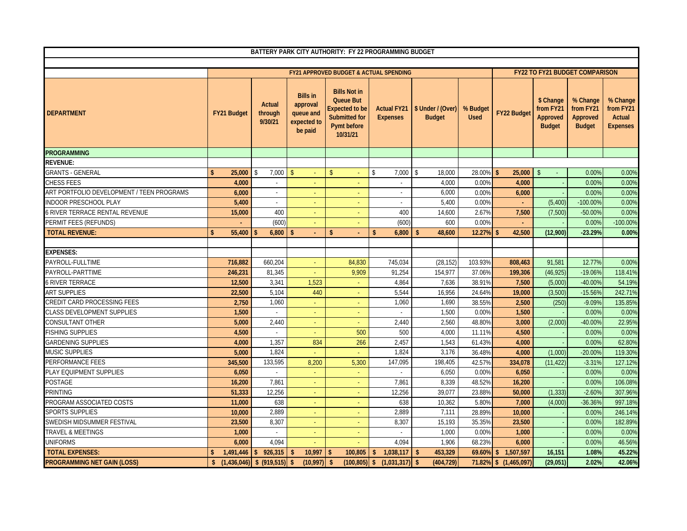|                                           | BATTERY PARK CITY AUTHORITY: FY 22 PROGRAMMING BUDGET |                              |                                                                    |                                                                                                                     |                                       |                                    |                         |                       |                                                     |                                                    |                                                    |
|-------------------------------------------|-------------------------------------------------------|------------------------------|--------------------------------------------------------------------|---------------------------------------------------------------------------------------------------------------------|---------------------------------------|------------------------------------|-------------------------|-----------------------|-----------------------------------------------------|----------------------------------------------------|----------------------------------------------------|
|                                           |                                                       |                              |                                                                    |                                                                                                                     |                                       |                                    |                         |                       |                                                     |                                                    |                                                    |
|                                           |                                                       |                              |                                                                    | <b>FY21 APPROVED BUDGET &amp; ACTUAL SPENDING</b>                                                                   |                                       |                                    |                         |                       |                                                     | <b>FY22 TO FY21 BUDGET COMPARISON</b>              |                                                    |
| <b>DEPARTMENT</b>                         | <b>FY21 Budget</b>                                    | Actual<br>through<br>9/30/21 | <b>Bills in</b><br>approval<br>queue and<br>expected to<br>be paid | <b>Bills Not in</b><br><b>Queue But</b><br><b>Expected to be</b><br><b>Submitted for</b><br>Pymt before<br>10/31/21 | <b>Actual FY21</b><br><b>Expenses</b> | \$ Under / (Over)<br><b>Budget</b> | % Budget<br><b>Used</b> | <b>FY22 Budget</b>    | \$ Change<br>from FY21<br>Approved<br><b>Budget</b> | % Change<br>from FY21<br>Approved<br><b>Budget</b> | % Change<br>from FY21<br>Actual<br><b>Expenses</b> |
| <b>PROGRAMMING</b>                        |                                                       |                              |                                                                    |                                                                                                                     |                                       |                                    |                         |                       |                                                     |                                                    |                                                    |
| REVENUE:                                  |                                                       |                              |                                                                    |                                                                                                                     |                                       |                                    |                         |                       |                                                     |                                                    |                                                    |
| <b>GRANTS - GENERAL</b>                   | 25,000<br>$\mathsf{\$}$                               | 7,000<br>\$                  | $\mathsf{\$}$                                                      | $\mathbf{\hat{S}}$                                                                                                  | $\mathsf{\$}$<br>7,000                | 18,000<br>\$                       | 28.00%                  | 25,000<br>\$.         | $\mathsf{\$}$<br>$\sim$                             | 0.00%                                              | 0.00%                                              |
| <b>CHESS FEES</b>                         | 4,000                                                 | $\omega$                     |                                                                    |                                                                                                                     | $\blacksquare$                        | 4,000                              | 0.009                   | 4,000                 |                                                     | 0.00%                                              | 0.00%                                              |
| ART PORTFOLIO DEVELOPMENT / TEEN PROGRAMS | 6,000                                                 | ÷.                           |                                                                    |                                                                                                                     | $\sim$                                | 6,000                              | 0.00%                   | 6.000                 |                                                     | 0.00%                                              | 0.00%                                              |
| <b>INDOOR PRESCHOOL PLAY</b>              | 5,400                                                 | $\sim$                       |                                                                    |                                                                                                                     |                                       | 5,400                              | 0.00%                   |                       | (5,400)                                             | -100.00%                                           | 0.00%                                              |
| <b>6 RIVER TERRACE RENTAL REVENUE</b>     | 15,000                                                | 400                          |                                                                    | ÷                                                                                                                   | 400                                   | 14,600                             | 2.679                   | 7,500                 | (7,500)                                             | $-50.00%$                                          | 0.00%                                              |
| PERMIT FEES (REFUNDS)                     |                                                       | (600)                        | ÷                                                                  | ÷                                                                                                                   | (600)                                 | 600                                | 0.00%                   | ÷.                    |                                                     | 0.00%                                              | $-100.00%$                                         |
| <b>TOTAL REVENUE:</b>                     | 55,400<br>Ŝ.                                          | 6,800                        | $\mathbf{\hat{S}}$                                                 | $\mathbf{\hat{S}}$                                                                                                  | 6,800<br>\$                           | 48,600                             | 12.27%                  | 42,500                | (12,900)                                            | $-23.29%$                                          | 0.00%                                              |
|                                           |                                                       |                              |                                                                    |                                                                                                                     |                                       |                                    |                         |                       |                                                     |                                                    |                                                    |
| <b>EXPENSES:</b>                          |                                                       |                              |                                                                    |                                                                                                                     |                                       |                                    |                         |                       |                                                     |                                                    |                                                    |
| PAYROLL-FULLTIME                          | 716,882                                               | 660,204                      | ÷.                                                                 | 84,830                                                                                                              | 745,034                               | (28, 152)                          | 103.93%                 | 808,463               | 91,581                                              | 12.77%                                             | 0.00%                                              |
| PAYROLL-PARTTIME                          | 246.231                                               | 81,345                       |                                                                    | 9,909                                                                                                               | 91.254                                | 154.977                            | 37.069                  | 199,306               | (46, 925)                                           | $-19.06%$                                          | 118.41%                                            |
| <b>6 RIVER TERRACE</b>                    | 12,500                                                | 3,341                        | 1,523                                                              | ÷.                                                                                                                  | 4,864                                 | 7,636                              | 38.91%                  | 7,500                 | (5,000)                                             | $-40.00%$                                          | 54.19%                                             |
| <b>ART SUPPLIES</b>                       | 22,500                                                | 5,104                        | 440                                                                |                                                                                                                     | 5,544                                 | 16,956                             | 24.649                  | 19,000                | (3,500)                                             | $-15.56%$                                          | 242.71%                                            |
| <b>CREDIT CARD PROCESSING FEES</b>        | 2,750                                                 | 1,060                        | ÷.                                                                 | ÷.                                                                                                                  | 1,060                                 | 1,690                              | 38.559                  | 2,500                 | (250)                                               | $-9.09%$                                           | 135.85%                                            |
| <b>CLASS DEVELOPMENT SUPPLIES</b>         | 1,500                                                 | $\omega$                     | $\equiv$                                                           | $\sim$                                                                                                              |                                       | 1,500                              | 0.00%                   | 1,500                 |                                                     | 0.00%                                              | 0.00%                                              |
| CONSULTANT OTHER                          | 5,000                                                 | 2,440                        | $\sim$                                                             |                                                                                                                     | 2,440                                 | 2,560                              | 48.80%                  | 3,000                 | (2,000)                                             | $-40.00%$                                          | 22.95%                                             |
| <b>FISHING SUPPLIES</b>                   | 4,500                                                 | $\sim$                       | $\sim$                                                             | 500                                                                                                                 | 500                                   | 4,000                              | 11.11%                  | 4,500                 |                                                     | 0.00%                                              | 0.00%                                              |
| <b>GARDENING SUPPLIES</b>                 | 4,000                                                 | 1,357                        | 834                                                                | 266                                                                                                                 | 2,457                                 | 1,543                              | 61.439                  | 4.000                 |                                                     | 0.00%                                              | 62.80%                                             |
| <b>MUSIC SUPPLIES</b>                     | 5,000                                                 | 1,824                        | G.                                                                 | u.                                                                                                                  | 1,824                                 | 3,176                              | 36.489                  | 4,000                 | (1,000)                                             | $-20.00%$                                          | 119.30%                                            |
| PERFORMANCE FEES                          | 345,500                                               | 133,595                      | 8,200                                                              | 5,300                                                                                                               | 147,095                               | 198,405                            | 42.57%                  | 334,078               | (11, 422)                                           | $-3.31%$                                           | 127.12%                                            |
| PLAY EQUIPMENT SUPPLIES                   | 6,050                                                 | $\mathcal{L}$                |                                                                    |                                                                                                                     | $\sim$                                | 6,050                              | 0.00%                   | 6.050                 |                                                     | 0.00%                                              | 0.00%                                              |
| <b>POSTAGE</b>                            | 16,200                                                | 7.861                        |                                                                    |                                                                                                                     | 7.861                                 | 8.339                              | 48.52%                  | 16,200                |                                                     | 0.00%                                              | 106.08%                                            |
| <b>PRINTING</b>                           | 51,333                                                | 12,256                       | ÷.                                                                 | ÷,                                                                                                                  | 12,256                                | 39,077                             | 23.889                  | 50,000                | (1, 333)                                            | $-2.60%$                                           | 307.96%                                            |
| PROGRAM ASSOCIATED COSTS                  | 11,000                                                | 638                          | $\sim$                                                             | ÷                                                                                                                   | 638                                   | 10,362                             | 5.80%                   | 7,000                 | (4,000)                                             | $-36.36%$                                          | 997.18%                                            |
| <b>SPORTS SUPPLIES</b>                    | 10,000                                                | 2,889                        | $\sim$                                                             |                                                                                                                     | 2,889                                 | 7,111                              | 28.899                  | 10,000                |                                                     | 0.00%                                              | 246.14%                                            |
| SWEDISH MIDSUMMER FESTIVAL                | 23,500                                                | 8,307                        | $\sim$                                                             | ÷                                                                                                                   | 8,307                                 | 15,193                             | 35.359                  | 23,500                |                                                     | 0.00%                                              | 182.89%                                            |
| <b>TRAVEL &amp; MEETINGS</b>              | 1,000                                                 |                              |                                                                    | ÷                                                                                                                   |                                       | 1,000                              | 0.00%                   | 1,000                 |                                                     | 0.00%                                              | 0.00%                                              |
| <b>UNIFORMS</b>                           | 6.000                                                 | 4.094                        | $\sim$                                                             | $\sim$                                                                                                              | 4.094                                 | 1,906                              | 68.23%                  | 6.000                 |                                                     | 0.00%                                              | 46.56%                                             |
| <b>TOTAL EXPENSES:</b>                    | 1,491,446<br>\$                                       | \$926,315                    | 10,997<br>$\sqrt[6]{\frac{1}{2}}$                                  | 100,805                                                                                                             | $\sqrt[6]{\frac{1}{2}}$<br>1,038,117  | 453,329                            | 69.60%                  | \$1,507,597           | 16,151                                              | 1.08%                                              | 45.22%                                             |
| <b>PROGRAMMING NET GAIN (LOSS)</b>        |                                                       |                              | $(10,997)$ \$                                                      |                                                                                                                     | $(100,805)$ \$ $(1,031,317)$ \$       | (404, 729)                         |                         | 71.82% \$ (1,465,097) | (29,051)                                            | 2.02%                                              | 42.06%                                             |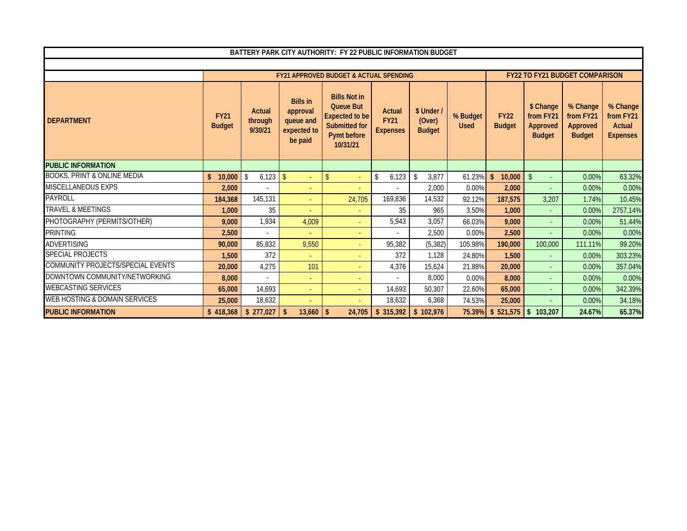| BATTERY PARK CITY AUTHORITY: FY 22 PUBLIC INFORMATION BUDGET |                              |                              |                                                                    |                                                                                                                     |                                          |                                       |                         |                              |                                                     |                                                    |                                                    |
|--------------------------------------------------------------|------------------------------|------------------------------|--------------------------------------------------------------------|---------------------------------------------------------------------------------------------------------------------|------------------------------------------|---------------------------------------|-------------------------|------------------------------|-----------------------------------------------------|----------------------------------------------------|----------------------------------------------------|
|                                                              |                              |                              |                                                                    |                                                                                                                     |                                          |                                       |                         |                              |                                                     |                                                    |                                                    |
|                                                              |                              |                              |                                                                    | <b>FY21 APPROVED BUDGET &amp; ACTUAL SPENDING</b>                                                                   |                                          |                                       |                         |                              |                                                     | <b>FY22 TO FY21 BUDGET COMPARISON</b>              |                                                    |
| <b>DEPARTMENT</b>                                            | <b>FY21</b><br><b>Budget</b> | Actual<br>through<br>9/30/21 | <b>Bills in</b><br>approval<br>queue and<br>expected to<br>be paid | <b>Bills Not in</b><br><b>Queue But</b><br><b>Expected to be</b><br><b>Submitted for</b><br>Pymt before<br>10/31/21 | Actual<br><b>FY21</b><br><b>Expenses</b> | \$ Under /<br>(Over)<br><b>Budget</b> | % Budget<br><b>Used</b> | <b>FY22</b><br><b>Budget</b> | \$ Change<br>from FY21<br>Approved<br><b>Budget</b> | % Change<br>from FY21<br>Approved<br><b>Budget</b> | % Change<br>from FY21<br>Actual<br><b>Expenses</b> |
| <b>PUBLIC INFORMATION</b>                                    |                              |                              |                                                                    |                                                                                                                     |                                          |                                       |                         |                              |                                                     |                                                    |                                                    |
| <b>BOOKS, PRINT &amp; ONLINE MEDIA</b>                       | $\mathbf{s}$<br>10,000       | $\mathbb{S}$<br>6.123        | $\mathbf{\hat{S}}$<br>÷                                            | $\mathsf{\$}$<br>÷.                                                                                                 | $\mathfrak{L}$<br>6,123                  | 3,877<br>\$                           | 61.23%                  | $\mathbf{s}$<br>10,000       | $\mathsf{\$}$                                       | 0.00%                                              | 63.32%                                             |
| <b>MISCELLANEOUS EXPS</b>                                    | 2,000                        |                              | $\sim$                                                             |                                                                                                                     |                                          | 2.000                                 | 0.00%                   | 2,000                        |                                                     | 0.00%                                              | 0.00%                                              |
| <b>PAYROLL</b>                                               | 184,368                      | 145,131                      | ÷.                                                                 | 24,705                                                                                                              | 169.836                                  | 14,532                                | 92.12%                  | 187,575                      | 3.207                                               | 1.74%                                              | 10.45%                                             |
| <b>TRAVEL &amp; MEETINGS</b>                                 | 1,000                        | 35                           | ÷                                                                  | ٠                                                                                                                   | 35                                       | 965                                   | 3.50%                   | 1,000                        | $\sim$                                              | 0.00%                                              | 2757.14%                                           |
| PHOTOGRAPHY (PERMITS/OTHER)                                  | 9,000                        | 1,934                        | 4,009                                                              |                                                                                                                     | 5,943                                    | 3,057                                 | 66.03%                  | 9,000                        |                                                     | 0.00%                                              | 51.44%                                             |
| <b>PRINTING</b>                                              | 2,500                        | ٠                            |                                                                    |                                                                                                                     | ٠                                        | 2,500                                 | 0.00%                   | 2,500                        |                                                     | 0.00%                                              | 0.00%                                              |
| <b>ADVERTISING</b>                                           | 90,000                       | 85,832                       | 9,550                                                              | ÷                                                                                                                   | 95,382                                   | (5, 382)                              | 105.98%                 | 190,000                      | 100,000                                             | 111.11%                                            | 99.20%                                             |
| <b>SPECIAL PROJECTS</b>                                      | 1,500                        | 372                          |                                                                    |                                                                                                                     | 372                                      | 1,128                                 | 24.80%                  | 1,500                        |                                                     | 0.00%                                              | 303.23%                                            |
| COMMUNITY PROJECTS/SPECIAL EVENTS                            | 20,000                       | 4,275                        | 101                                                                | ÷                                                                                                                   | 4.376                                    | 15.624                                | 21.88%                  | 20,000                       |                                                     | 0.00%                                              | 357.04%                                            |
| DOWNTOWN COMMUNITY/NETWORKING                                | 8,000                        | ÷                            | ÷                                                                  | ٠                                                                                                                   | ÷.                                       | 8.000                                 | 0.00%                   | 8,000                        |                                                     | 0.00%                                              | 0.00%                                              |
| <b>WEBCASTING SERVICES</b>                                   | 65,000                       | 14.693                       | ÷.                                                                 | ÷                                                                                                                   | 14.693                                   | 50,307                                | 22.60%                  | 65,000                       | $\sim$                                              | 0.00%                                              | 342.39%                                            |
| WEB HOSTING & DOMAIN SERVICES                                | 25,000                       | 18,632                       | ÷                                                                  | ÷                                                                                                                   | 18.632                                   | 6,368                                 | 74.53%                  | 25,000                       |                                                     | 0.00%                                              | 34.18%                                             |
| <b>PUBLIC INFORMATION</b>                                    | \$418.368                    | \$277.027                    | 13,660<br>\$                                                       | 24.705<br>-\$                                                                                                       | \$315.392                                | \$102.976                             | 75.39%                  | \$521,575                    | 103,207<br>$\vert$ s                                | 24.67%                                             | 65.37%                                             |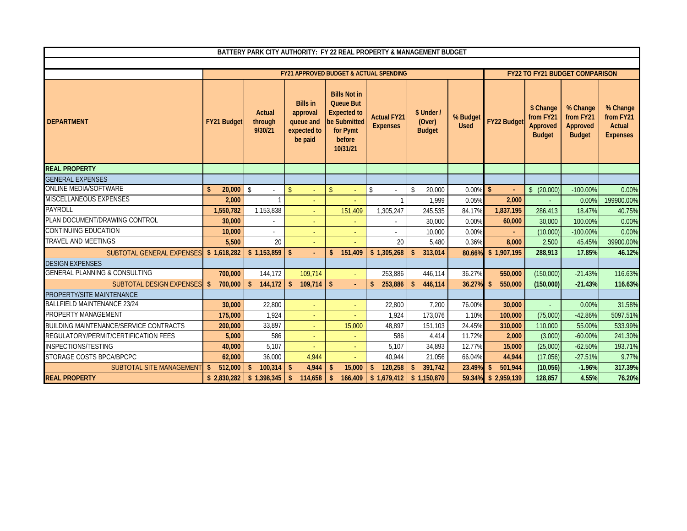|                                               |                          |                                     |                                                                    | FY21 APPROVED BUDGET & ACTUAL SPENDING                                                                          |                                       |                                       |                         |                               |                                                     | <b>FY22 TO FY21 BUDGET COMPARISON</b>              |                                                           |
|-----------------------------------------------|--------------------------|-------------------------------------|--------------------------------------------------------------------|-----------------------------------------------------------------------------------------------------------------|---------------------------------------|---------------------------------------|-------------------------|-------------------------------|-----------------------------------------------------|----------------------------------------------------|-----------------------------------------------------------|
| <b>DEPARTMENT</b>                             | <b>FY21 Budget</b>       | <b>Actual</b><br>through<br>9/30/21 | <b>Bills in</b><br>approval<br>queue and<br>expected to<br>be paid | <b>Bills Not in</b><br><b>Queue But</b><br><b>Expected to</b><br>be Submitted<br>for Pymt<br>before<br>10/31/21 | <b>Actual FY21</b><br><b>Expenses</b> | \$ Under /<br>(Over)<br><b>Budget</b> | % Budget<br><b>Used</b> | <b>FY22 Budget</b>            | \$ Change<br>from FY21<br>Approved<br><b>Budget</b> | % Change<br>from FY21<br>Approved<br><b>Budget</b> | % Change<br>from FY21<br><b>Actual</b><br><b>Expenses</b> |
| <b>REAL PROPERTY</b>                          |                          |                                     |                                                                    |                                                                                                                 |                                       |                                       |                         |                               |                                                     |                                                    |                                                           |
| <b>GENERAL EXPENSES</b>                       |                          |                                     |                                                                    |                                                                                                                 |                                       |                                       |                         |                               |                                                     |                                                    |                                                           |
| <b>ONLINE MEDIA/SOFTWARE</b>                  | 20,000<br>\$             | \$                                  | $\mathsf{\$}$                                                      | $\mathbf{\hat{S}}$                                                                                              | $\mathsf{\$}$                         | 20,000<br>$\mathcal{S}$               | 0.00%                   | -\$                           | \$ (20,000)                                         | $-100.00\%$                                        | 0.00%                                                     |
| MISCELLANEOUS EXPENSES                        | 2,000                    | -1                                  | $\sim$                                                             |                                                                                                                 | $\mathbf{1}$                          | 1.999                                 | 0.05%                   | 2,000                         |                                                     | 0.00%                                              | 199900.00%                                                |
| <b>PAYROLL</b>                                | 1,550,782                | 1,153,838                           |                                                                    | 151.409                                                                                                         | 1.305.247                             | 245,535                               | 84.17%                  | 1,837,195                     | 286,413                                             | 18.47%                                             | 40.75%                                                    |
| PLAN DOCUMENT/DRAWING CONTROL                 | 30,000                   |                                     |                                                                    |                                                                                                                 |                                       | 30,000                                | 0.00%                   | 60,000                        | 30,000                                              | 100.00%                                            | 0.00%                                                     |
| <b>CONTINUING EDUCATION</b>                   | 10,000                   |                                     |                                                                    |                                                                                                                 |                                       | 10,000                                | 0.00%                   |                               | (10,000)                                            | $-100.00\%$                                        | 0.00%                                                     |
| <b>TRAVEL AND MEETINGS</b>                    | 5,500                    | 20                                  | $\sim$                                                             |                                                                                                                 | 20                                    | 5,480                                 | 0.36%                   | 8,000                         | 2,500                                               | 45.45%                                             | 39900.00%                                                 |
| SUBTOTAL GENERAL EXPENSES                     | \$1,618,282              | \$1,153,859                         | $\mathbf{\hat{s}}$                                                 | 151,409<br>\$                                                                                                   | \$1,305,268                           | 313,014                               | 80.66%                  | \$1,907,195                   | 288,913                                             | 17.85%                                             | 46.12%                                                    |
| <b>DESIGN EXPENSES</b>                        |                          |                                     |                                                                    |                                                                                                                 |                                       |                                       |                         |                               |                                                     |                                                    |                                                           |
| <b>GENERAL PLANNING &amp; CONSULTING</b>      | 700.000                  | 144.172                             | 109.714                                                            |                                                                                                                 | 253,886                               | 446.114                               | 36.27%                  | 550.000                       | (150,000)                                           | $-21.43%$                                          | 116.63%                                                   |
| SUBTOTAL DESIGN EXPENSES                      | 700,000<br><sup>\$</sup> | $\mathsf{s}$<br>144,172             | 109,714<br>$\mathbf{\hat{S}}$                                      | $\mathbf{s}$                                                                                                    | 253,886<br>\$.                        | 446,114<br>-S                         | 36.27%                  | $\mathsf{\$}$<br>550,000      | (150.000)                                           | $-21.43%$                                          | 116.63%                                                   |
| PROPERTY/SITE MAINTENANCE                     |                          |                                     |                                                                    |                                                                                                                 |                                       |                                       |                         |                               |                                                     |                                                    |                                                           |
| <b>BALLFIELD MAINTENANCE 23/24</b>            | 30,000                   | 22,800                              | $\sim$                                                             |                                                                                                                 | 22.800                                | 7.200                                 | 76.00%                  | 30,000                        |                                                     | 0.00%                                              | 31.58%                                                    |
| PROPERTY MANAGEMENT                           | 175,000                  | 1.924                               |                                                                    |                                                                                                                 | 1.924                                 | 173.076                               | 1.10%                   | 100,000                       | (75,000)                                            | $-42.86%$                                          | 5097.51%                                                  |
| <b>BUILDING MAINTENANCE/SERVICE CONTRACTS</b> | 200,000                  | 33,897                              | $\sim$                                                             | 15,000                                                                                                          | 48,897                                | 151.103                               | 24.45%                  | 310,000                       | 110,000                                             | 55.00%                                             | 533.99%                                                   |
| REGULATORY/PERMIT/CERTIFICATION FEES          | 5,000                    | 586                                 |                                                                    |                                                                                                                 | 586                                   | 4,414                                 | 11.72%                  | 2,000                         | (3,000)                                             | $-60.00%$                                          | 241.30%                                                   |
| <b>INSPECTIONS/TESTING</b>                    | 40,000                   | 5,107                               |                                                                    |                                                                                                                 | 5.107                                 | 34,893                                | 12.77%                  | 15,000                        | (25,000)                                            | $-62.50%$                                          | 193.71%                                                   |
| STORAGE COSTS BPCA/BPCPC                      | 62,000                   | 36,000                              | 4,944                                                              |                                                                                                                 | 40,944                                | 21.056                                | 66.04%                  | 44,944                        | (17,056)                                            | $-27.51%$                                          | 9.77%                                                     |
| SUBTOTAL SITE MANAGEMENT                      | 512,000<br>\$            | $\mathsf{s}$<br>100,314             | 4,944<br>\$.                                                       | 15,000<br>\$.                                                                                                   | 120,258<br>\$                         | 391,742<br>$\mathbf{\hat{S}}$         | 23.49%                  | 501,944<br>$\mathbf{\hat{S}}$ | (10,056)                                            | $-1.96%$                                           | 317.39%                                                   |
| <b>REAL PROPERTY</b>                          | \$2,830,282              | \$1,398,345                         | 114,658<br><b>¢</b>                                                | 166.409<br>-S.                                                                                                  | \$1.679.412                           | \$1.150.870                           | 59.34%                  | \$2,959,139                   | 128.857                                             | 4.55%                                              | 76.20%                                                    |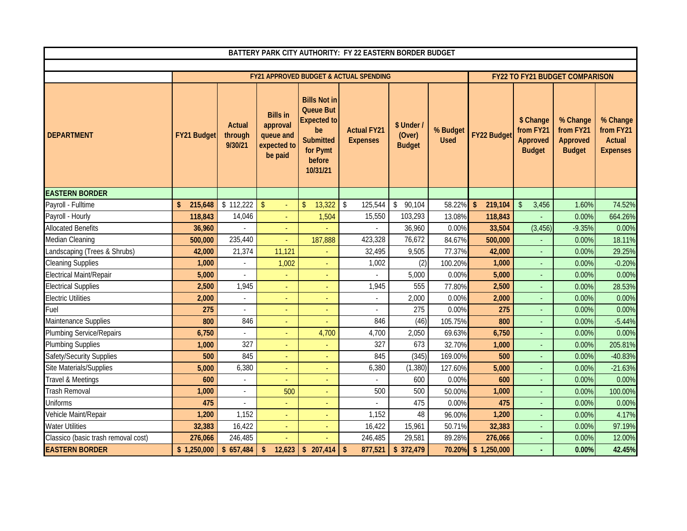| BATTERY PARK CITY AUTHORITY: FY 22 EASTERN BORDER BUDGET |                    |                              |                                                                    |                                                                                                                           |                                                   |                                       |                         |                                    |                                                     |                                                    |                                                           |
|----------------------------------------------------------|--------------------|------------------------------|--------------------------------------------------------------------|---------------------------------------------------------------------------------------------------------------------------|---------------------------------------------------|---------------------------------------|-------------------------|------------------------------------|-----------------------------------------------------|----------------------------------------------------|-----------------------------------------------------------|
|                                                          |                    |                              |                                                                    |                                                                                                                           |                                                   |                                       |                         |                                    |                                                     |                                                    |                                                           |
|                                                          |                    |                              |                                                                    |                                                                                                                           | <b>FY21 APPROVED BUDGET &amp; ACTUAL SPENDING</b> |                                       |                         |                                    |                                                     | <b>FY22 TO FY21 BUDGET COMPARISON</b>              |                                                           |
| <b>DEPARTMENT</b>                                        | <b>FY21 Budget</b> | Actual<br>through<br>9/30/21 | <b>Bills in</b><br>approval<br>queue and<br>expected to<br>be paid | <b>Bills Not in</b><br><b>Queue But</b><br><b>Expected to</b><br>be<br><b>Submitted</b><br>for Pymt<br>before<br>10/31/21 | <b>Actual FY21</b><br><b>Expenses</b>             | \$ Under /<br>(Over)<br><b>Budget</b> | % Budget<br><b>Used</b> | <b>FY22 Budget</b>                 | \$ Change<br>from FY21<br>Approved<br><b>Budget</b> | % Change<br>from FY21<br>Approved<br><b>Budget</b> | % Change<br>from FY21<br><b>Actual</b><br><b>Expenses</b> |
| <b>EASTERN BORDER</b>                                    |                    |                              |                                                                    |                                                                                                                           |                                                   |                                       |                         |                                    |                                                     |                                                    |                                                           |
| Payroll - Fulltime                                       | \$<br>215,648      | \$112,222                    | $\mathsf{\$}$                                                      | 13,322<br>$\mathsf{\$}$                                                                                                   | \$<br>125,544                                     | \$<br>90,104                          | 58.22%                  | $\sqrt[6]{\frac{1}{2}}$<br>219,104 | $\mathbb{S}$<br>3,456                               | 1.60%                                              | 74.52%                                                    |
| Payroll - Hourly                                         | 118,843            | 14,046                       |                                                                    | 1,504                                                                                                                     | 15,550                                            | 103,293                               | 13.08%                  | 118,843                            |                                                     | 0.00%                                              | 664.26%                                                   |
| <b>Allocated Benefits</b>                                | 36,960             |                              |                                                                    |                                                                                                                           |                                                   | 36,960                                | 0.00%                   | 33,504                             | (3, 456)                                            | $-9.35%$                                           | 0.00%                                                     |
| Median Cleaning                                          | 500,000            | 235,440                      |                                                                    | 187,888                                                                                                                   | 423,328                                           | 76,672                                | 84.67%                  | 500,000                            |                                                     | 0.00%                                              | 18.11%                                                    |
| Landscaping (Trees & Shrubs)                             | 42,000             | 21,374                       | 11,121                                                             |                                                                                                                           | 32,495                                            | 9,505                                 | 77.37%                  | 42,000                             |                                                     | 0.00%                                              | 29.25%                                                    |
| Cleaning Supplies                                        | 1,000              |                              | 1,002                                                              |                                                                                                                           | 1,002                                             | (2)                                   | 100.20%                 | 1,000                              |                                                     | 0.00%                                              | $-0.20%$                                                  |
| Electrical Maint/Repair                                  | 5,000              |                              |                                                                    |                                                                                                                           |                                                   | 5,000                                 | 0.00%                   | 5,000                              |                                                     | 0.00%                                              | 0.00%                                                     |
| <b>Electrical Supplies</b>                               | 2,500              | 1,945                        |                                                                    |                                                                                                                           | 1,945                                             | 555                                   | 77.80%                  | 2,500                              |                                                     | 0.00%                                              | 28.53%                                                    |
| <b>Electric Utilities</b>                                | 2,000              |                              |                                                                    |                                                                                                                           |                                                   | 2,000                                 | 0.00%                   | 2,000                              |                                                     | 0.00%                                              | 0.00%                                                     |
| Fuel                                                     | 275                |                              |                                                                    |                                                                                                                           |                                                   | 275                                   | 0.00%                   | 275                                |                                                     | 0.00%                                              | 0.00%                                                     |
| Maintenance Supplies                                     | 800                | 846                          |                                                                    |                                                                                                                           | 846                                               | (46)                                  | 105.75%                 | 800                                |                                                     | 0.00%                                              | $-5.44%$                                                  |
| <b>Plumbing Service/Repairs</b>                          | 6,750              |                              | ٠                                                                  | 4,700                                                                                                                     | 4,700                                             | 2,050                                 | 69.63%                  | 6,750                              |                                                     | 0.00%                                              | 0.00%                                                     |
| <b>Plumbing Supplies</b>                                 | 1,000              | 327                          |                                                                    |                                                                                                                           | 327                                               | 673                                   | 32.70%                  | 1,000                              |                                                     | 0.00%                                              | 205.81%                                                   |
| Safety/Security Supplies                                 | 500                | 845                          |                                                                    |                                                                                                                           | 845                                               | (345)                                 | 169.00%                 | 500                                |                                                     | 0.00%                                              | $-40.83%$                                                 |
| Site Materials/Supplies                                  | 5,000              | 6,380                        |                                                                    |                                                                                                                           | 6,380                                             | (1, 380)                              | 127.60%                 | 5,000                              |                                                     | 0.00%                                              | $-21.63%$                                                 |
| Travel & Meetings                                        | 600                | $\sim$                       |                                                                    | Ξ                                                                                                                         |                                                   | 600                                   | 0.00%                   | 600                                | Ξ                                                   | 0.00%                                              | 0.00%                                                     |
| <b>Trash Removal</b>                                     | 1,000              | $\sim$                       | 500                                                                |                                                                                                                           | 500                                               | 500                                   | 50.00%                  | 1,000                              |                                                     | 0.00%                                              | 100.00%                                                   |
| Uniforms                                                 | 475                |                              |                                                                    |                                                                                                                           |                                                   | 475                                   | 0.00%                   | 475                                |                                                     | 0.00%                                              | 0.00%                                                     |
| Vehicle Maint/Repair                                     | 1,200              | 1,152                        |                                                                    |                                                                                                                           | 1,152                                             | 48                                    | 96.00%                  | 1,200                              |                                                     | 0.00%                                              | 4.17%                                                     |
| <b>Water Utilities</b>                                   | 32,383             | 16,422                       | $\blacksquare$                                                     |                                                                                                                           | 16,422                                            | 15,961                                | 50.71%                  | 32,383                             | ٠                                                   | 0.00%                                              | 97.19%                                                    |
| Classico (basic trash removal cost)                      | 276,066            | 246,485                      |                                                                    |                                                                                                                           | 246,485                                           | 29,581                                | 89.28%                  | 276,066                            | ÷                                                   | 0.00%                                              | 12.00%                                                    |
| <b>EASTERN BORDER</b>                                    | \$1,250,000        | \$657,484                    | \$<br>12,623                                                       | \$207,414                                                                                                                 | 877,521<br>\$                                     | \$372,479                             | 70.20%                  | \$1,250,000                        |                                                     | 0.00%                                              | 42.45%                                                    |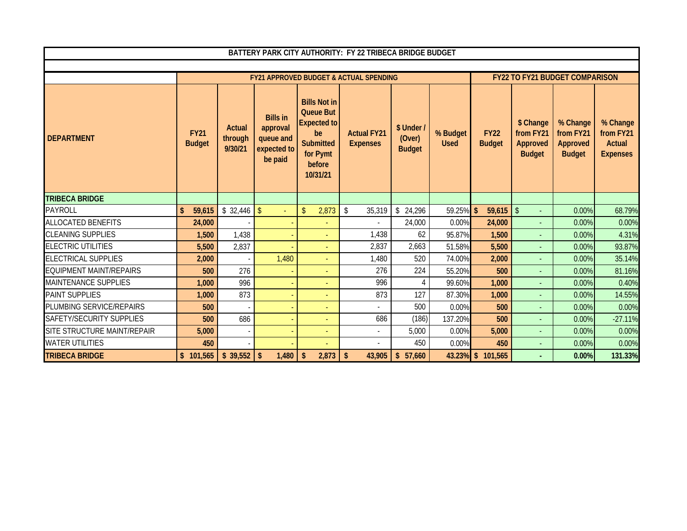|                                | BATTERY PARK CITY AUTHORITY: FY 22 TRIBECA BRIDGE BUDGET |                              |                                                                    |                                                                                                                           |                                                   |                                     |                         |                              |                                                     |                                                    |                                                           |
|--------------------------------|----------------------------------------------------------|------------------------------|--------------------------------------------------------------------|---------------------------------------------------------------------------------------------------------------------------|---------------------------------------------------|-------------------------------------|-------------------------|------------------------------|-----------------------------------------------------|----------------------------------------------------|-----------------------------------------------------------|
|                                |                                                          |                              |                                                                    |                                                                                                                           |                                                   |                                     |                         |                              |                                                     |                                                    |                                                           |
|                                |                                                          |                              |                                                                    |                                                                                                                           | <b>FY21 APPROVED BUDGET &amp; ACTUAL SPENDING</b> |                                     |                         |                              |                                                     | <b>FY22 TO FY21 BUDGET COMPARISON</b>              |                                                           |
| <b>DEPARTMENT</b>              | <b>FY21</b><br><b>Budget</b>                             | Actual<br>through<br>9/30/21 | <b>Bills in</b><br>approval<br>queue and<br>expected to<br>be paid | <b>Bills Not in</b><br><b>Queue But</b><br><b>Expected to</b><br>be<br><b>Submitted</b><br>for Pymt<br>before<br>10/31/21 | <b>Actual FY21</b><br><b>Expenses</b>             | \$ Under<br>(Over)<br><b>Budget</b> | % Budget<br><b>Used</b> | <b>FY22</b><br><b>Budget</b> | \$ Change<br>from FY21<br>Approved<br><b>Budget</b> | % Change<br>from FY21<br>Approved<br><b>Budget</b> | % Change<br>from FY21<br><b>Actual</b><br><b>Expenses</b> |
| <b>TRIBECA BRIDGE</b>          |                                                          |                              |                                                                    |                                                                                                                           |                                                   |                                     |                         |                              |                                                     |                                                    |                                                           |
| <b>PAYROLL</b>                 | $\mathbf{\hat{S}}$<br>59,615                             |                              | $\omega$ .                                                         | 2,873<br>$\mathsf{\$}$                                                                                                    | \$<br>35,319                                      | \$24,296                            | 59.25% \$               | $59,615$ \$                  | $\omega$                                            | 0.00%                                              | 68.79%                                                    |
| <b>ALLOCATED BENEFITS</b>      | 24,000                                                   |                              |                                                                    |                                                                                                                           |                                                   | 24,000                              | 0.00%                   | 24,000                       | $\overline{\phantom{a}}$                            | 0.00%                                              | 0.00%                                                     |
| <b>CLEANING SUPPLIES</b>       | 1,500                                                    | 1,438                        |                                                                    |                                                                                                                           | 1,438                                             | 62                                  | 95.87%                  | 1,500                        | $\overline{\phantom{a}}$                            | 0.00%                                              | 4.31%                                                     |
| <b>ELECTRIC UTILITIES</b>      | 5,500                                                    | 2,837                        |                                                                    |                                                                                                                           | 2,837                                             | 2,663                               | 51.58%                  | 5,500                        | $\omega$                                            | 0.00%                                              | 93.87%                                                    |
| <b>ELECTRICAL SUPPLIES</b>     | 2.000                                                    |                              | 1,480                                                              |                                                                                                                           | 1,480                                             | 520                                 | 74.00%                  | 2,000                        | $\mathbf{r}$                                        | 0.00%                                              | 35.14%                                                    |
| <b>EQUIPMENT MAINT/REPAIRS</b> | 500                                                      | 276                          |                                                                    |                                                                                                                           | 276                                               | 224                                 | 55.20%                  | 500                          | $\blacksquare$                                      | 0.00%                                              | 81.16%                                                    |
| <b>MAINTENANCE SUPPLIES</b>    | 1,000                                                    | 996                          |                                                                    |                                                                                                                           | 996                                               | 4                                   | 99.60%                  | 1,000                        | $\overline{\phantom{a}}$                            | 0.00%                                              | 0.40%                                                     |
| <b>PAINT SUPPLIES</b>          | 1,000                                                    | 873                          |                                                                    |                                                                                                                           | 873                                               | 127                                 | 87.30%                  | 1,000                        | $\overline{\phantom{a}}$                            | 0.00%                                              | 14.55%                                                    |
| PLUMBING SERVICE/REPAIRS       | 500                                                      |                              |                                                                    |                                                                                                                           | $\overline{a}$                                    | 500                                 | 0.00%                   | 500                          |                                                     | 0.00%                                              | 0.00%                                                     |
| SAFETY/SECURITY SUPPLIES       | 500                                                      | 686                          |                                                                    |                                                                                                                           | 686                                               | (186)                               | 137.20%                 | 500                          | $\overline{\phantom{a}}$                            | 0.00%                                              | $-27.11%$                                                 |
| SITE STRUCTURE MAINT/REPAIR    | 5,000                                                    |                              |                                                                    | $\blacksquare$                                                                                                            | $\blacksquare$                                    | 5,000                               | 0.00%                   | 5,000                        | $\omega$                                            | 0.00%                                              | 0.00%                                                     |
| <b>WATER UTILITIES</b>         | 450                                                      |                              |                                                                    |                                                                                                                           | $\blacksquare$                                    | 450                                 | 0.00%                   | 450                          | $\sim$                                              | 0.00%                                              | 0.00%                                                     |
| <b>TRIBECA BRIDGE</b>          | \$101,565                                                | \$39,552                     | $\sqrt{2}$<br>1,480                                                | \$<br>2,873                                                                                                               | $\mathbf{\hat{S}}$<br>43,905                      | \$57,660                            |                         | 43.23% \$ 101,565            |                                                     | 0.00%                                              | 131.33%                                                   |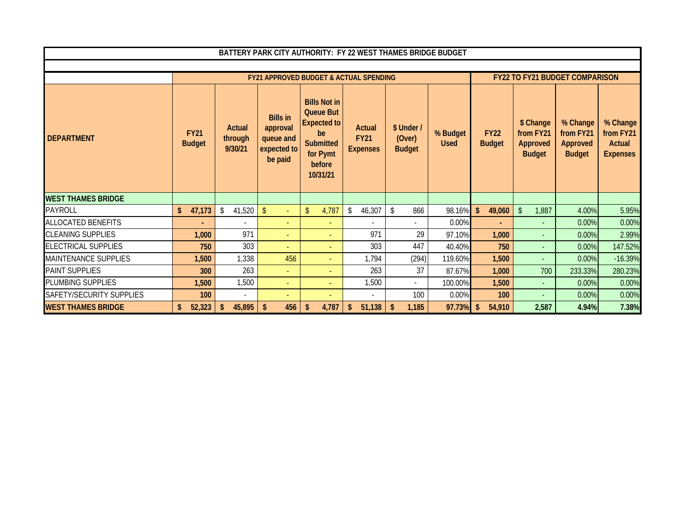| BATTERY PARK CITY AUTHORITY: FY 22 WEST THAMES BRIDGE BUDGET |                              |                              |                                                                    |                                                                                                                    |                                          |                                       |                         |                              |                                                     |                                                           |                                                    |
|--------------------------------------------------------------|------------------------------|------------------------------|--------------------------------------------------------------------|--------------------------------------------------------------------------------------------------------------------|------------------------------------------|---------------------------------------|-------------------------|------------------------------|-----------------------------------------------------|-----------------------------------------------------------|----------------------------------------------------|
|                                                              |                              |                              |                                                                    |                                                                                                                    |                                          |                                       |                         |                              |                                                     |                                                           |                                                    |
|                                                              |                              |                              | <b>FY21 APPROVED BUDGET &amp; ACTUAL SPENDING</b>                  |                                                                                                                    |                                          |                                       |                         |                              | <b>FY22 TO FY21 BUDGET COMPARISON</b>               |                                                           |                                                    |
| <b>DEPARTMENT</b>                                            | <b>FY21</b><br><b>Budget</b> | Actual<br>through<br>9/30/21 | <b>Bills in</b><br>approval<br>queue and<br>expected to<br>be paid | <b>Bills Not in</b><br><b>Queue But</b><br>Expected to<br>be<br><b>Submitted</b><br>for Pymt<br>before<br>10/31/21 | Actual<br><b>FY21</b><br><b>Expenses</b> | \$ Under /<br>(Over)<br><b>Budget</b> | % Budget<br><b>Used</b> | <b>FY22</b><br><b>Budget</b> | \$ Change<br>from FY21<br>Approved<br><b>Budget</b> | % Change<br>from FY21<br><b>Approved</b><br><b>Budget</b> | % Change<br>from FY21<br>Actual<br><b>Expenses</b> |
| <b>WEST THAMES BRIDGE</b>                                    |                              |                              |                                                                    |                                                                                                                    |                                          |                                       |                         |                              |                                                     |                                                           |                                                    |
| PAYROLL                                                      | $\mathsf{\$}$<br>47,173      | \$<br>41,520                 | $\mathsf{\$}$                                                      | 4,787<br>$\mathbf{\hat{S}}$                                                                                        | $\sqrt[6]{\frac{1}{2}}$<br>46,307        | 866<br>\$                             | 98.16%                  | $\mathbf{\hat{S}}$<br>49,060 | $\mathcal{S}$<br>1,887                              | 4.00%                                                     | 5.95%                                              |
| <b>ALLOCATED BENEFITS</b>                                    |                              |                              | ٠                                                                  |                                                                                                                    |                                          |                                       | 0.00%                   | ÷                            | $\blacksquare$                                      | 0.00%                                                     | 0.00%                                              |
| <b>CLEANING SUPPLIES</b>                                     | 1,000                        | 971                          | $\sim$                                                             |                                                                                                                    | 971                                      | 29                                    | 97.10%                  | 1,000                        | $\overline{a}$                                      | 0.00%                                                     | 2.99%                                              |
| <b>ELECTRICAL SUPPLIES</b>                                   | 750                          | 303                          |                                                                    |                                                                                                                    | 303                                      | 447                                   | 40.40%                  | 750                          |                                                     | 0.00%                                                     | 147.52%                                            |
| <b>MAINTENANCE SUPPLIES</b>                                  | 1,500                        | 1,338                        | 456                                                                |                                                                                                                    | 1,794                                    | (294)                                 | 119.60%                 | 1,500                        | $\overline{a}$                                      | 0.00%                                                     | $-16.39%$                                          |
| <b>PAINT SUPPLIES</b>                                        | 300                          | 263                          | $\sim$                                                             |                                                                                                                    | 263                                      | 37                                    | 87.67%                  | 1,000                        | 700                                                 | 233.33%                                                   | 280.23%                                            |
| PLUMBING SUPPLIES                                            | 1,500                        | 1,500                        | $\overline{\phantom{a}}$                                           |                                                                                                                    | 1,500                                    | $\overline{\phantom{a}}$              | 100.00%                 | 1,500                        | $\overline{\phantom{a}}$                            | 0.00%                                                     | 0.00%                                              |
| SAFETY/SECURITY SUPPLIES                                     | 100                          | $\overline{\phantom{a}}$     |                                                                    |                                                                                                                    | $\blacksquare$                           | 100                                   | 0.00%                   | 100                          | $\blacksquare$                                      | 0.00%                                                     | 0.00%                                              |
| <b>WEST THAMES BRIDGE</b>                                    | 52,323<br>\$                 | 45,895<br>\$                 | 456<br>\$                                                          | 4,787<br>\$                                                                                                        | 51,138                                   | 1,185                                 | 97.73%                  | 54,910                       | 2,587                                               | 4.94%                                                     | 7.38%                                              |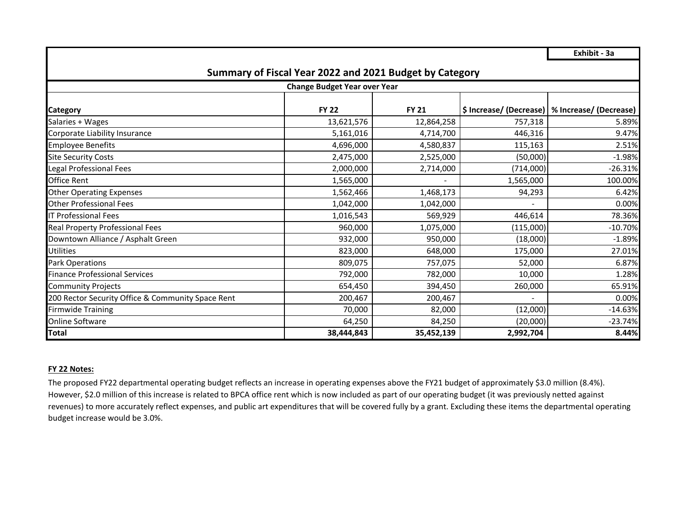**Exhibit - 3a**

| Summary of Fiscal Year 2022 and 2021 Budget by Category |              |                          |           |                                                  |  |  |  |  |  |  |  |  |
|---------------------------------------------------------|--------------|--------------------------|-----------|--------------------------------------------------|--|--|--|--|--|--|--|--|
| <b>Change Budget Year over Year</b>                     |              |                          |           |                                                  |  |  |  |  |  |  |  |  |
| Category                                                | <b>FY 22</b> | <b>FY 21</b>             |           | \$ Increase/ (Decrease)   % Increase/ (Decrease) |  |  |  |  |  |  |  |  |
| Salaries + Wages                                        | 13,621,576   | 12,864,258               | 757,318   | 5.89%                                            |  |  |  |  |  |  |  |  |
| Corporate Liability Insurance                           | 5,161,016    | 4,714,700                | 446,316   | 9.47%                                            |  |  |  |  |  |  |  |  |
| <b>Employee Benefits</b>                                | 4,696,000    | 4,580,837                | 115,163   | 2.51%                                            |  |  |  |  |  |  |  |  |
| <b>Site Security Costs</b>                              | 2,475,000    | 2,525,000                | (50,000)  | $-1.98%$                                         |  |  |  |  |  |  |  |  |
| Legal Professional Fees                                 | 2,000,000    | 2,714,000                | (714,000) | $-26.31%$                                        |  |  |  |  |  |  |  |  |
| Office Rent                                             | 1,565,000    | $\overline{\phantom{a}}$ | 1,565,000 | 100.00%                                          |  |  |  |  |  |  |  |  |
| <b>Other Operating Expenses</b>                         | 1,562,466    | 1,468,173                | 94,293    | 6.42%                                            |  |  |  |  |  |  |  |  |
| <b>Other Professional Fees</b>                          | 1,042,000    | 1,042,000                |           | 0.00%                                            |  |  |  |  |  |  |  |  |
| <b>IT Professional Fees</b>                             | 1,016,543    | 569,929                  | 446,614   | 78.36%                                           |  |  |  |  |  |  |  |  |
| Real Property Professional Fees                         | 960,000      | 1,075,000                | (115,000) | $-10.70%$                                        |  |  |  |  |  |  |  |  |
| Downtown Alliance / Asphalt Green                       | 932,000      | 950,000                  | (18,000)  | $-1.89%$                                         |  |  |  |  |  |  |  |  |
| <b>Utilities</b>                                        | 823,000      | 648,000                  | 175,000   | 27.01%                                           |  |  |  |  |  |  |  |  |
| Park Operations                                         | 809,075      | 757,075                  | 52,000    | 6.87%                                            |  |  |  |  |  |  |  |  |
| <b>Finance Professional Services</b>                    | 792,000      | 782,000                  | 10,000    | 1.28%                                            |  |  |  |  |  |  |  |  |
| <b>Community Projects</b>                               | 654,450      | 394,450                  | 260,000   | 65.91%                                           |  |  |  |  |  |  |  |  |
| 200 Rector Security Office & Community Space Rent       | 200,467      | 200,467                  |           | 0.00%                                            |  |  |  |  |  |  |  |  |
| <b>Firmwide Training</b>                                | 70,000       | 82,000                   | (12,000)  | $-14.63%$                                        |  |  |  |  |  |  |  |  |
| <b>Online Software</b>                                  | 64,250       | 84,250                   | (20,000)  | $-23.74%$                                        |  |  |  |  |  |  |  |  |
| Total                                                   | 38,444,843   | 35,452,139               | 2,992,704 | 8.44%                                            |  |  |  |  |  |  |  |  |

### **FY 22 Notes:**

The proposed FY22 departmental operating budget reflects an increase in operating expenses above the FY21 budget of approximately \$3.0 million (8.4%). However, \$2.0 million of this increase is related to BPCA office rent which is now included as part of our operating budget (it was previously netted against revenues) to more accurately reflect expenses, and public art expenditures that will be covered fully by a grant. Excluding these items the departmental operating budget increase would be 3.0%.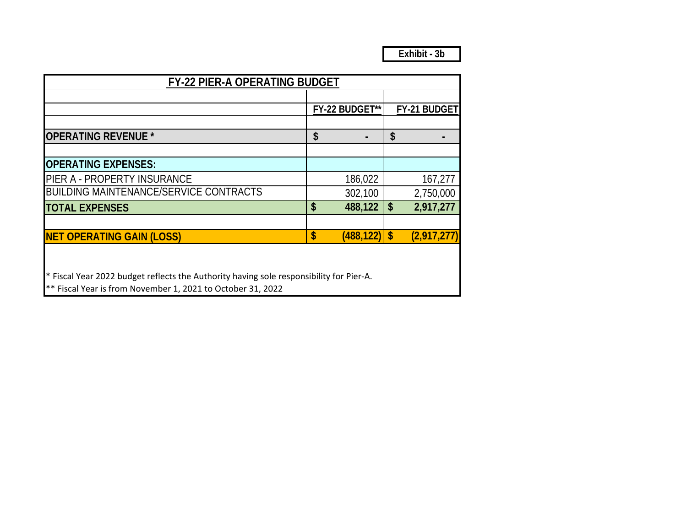| <b>FY-22 PIER-A OPERATING BUDGET</b>                                                    |                           |                 |                           |              |  |  |
|-----------------------------------------------------------------------------------------|---------------------------|-----------------|---------------------------|--------------|--|--|
|                                                                                         |                           |                 |                           |              |  |  |
|                                                                                         |                           | FY-22 BUDGET**  |                           | FY-21 BUDGET |  |  |
| <b>OPERATING REVENUE *</b>                                                              | \$                        |                 | \$                        |              |  |  |
|                                                                                         |                           |                 |                           |              |  |  |
| <b>OPERATING EXPENSES:</b>                                                              |                           |                 |                           |              |  |  |
| PIER A - PROPERTY INSURANCE                                                             |                           | 186,022         |                           | 167,277      |  |  |
| <b>BUILDING MAINTENANCE/SERVICE CONTRACTS</b>                                           |                           | 302,100         |                           | 2,750,000    |  |  |
| <b>TOTAL EXPENSES</b>                                                                   | $\boldsymbol{\mathsf{S}}$ | 488,122         | $\boldsymbol{\mathsf{S}}$ | 2,917,277    |  |  |
| <b>NET OPERATING GAIN (LOSS)</b>                                                        | $\boldsymbol{\mathsf{s}}$ | $(488, 122)$ \$ |                           | (2,917,277)  |  |  |
|                                                                                         |                           |                 |                           |              |  |  |
| * Fiscal Year 2022 budget reflects the Authority having sole responsibility for Pier-A. |                           |                 |                           |              |  |  |

\*\* Fiscal Year is from November 1, 2021 to October 31, 2022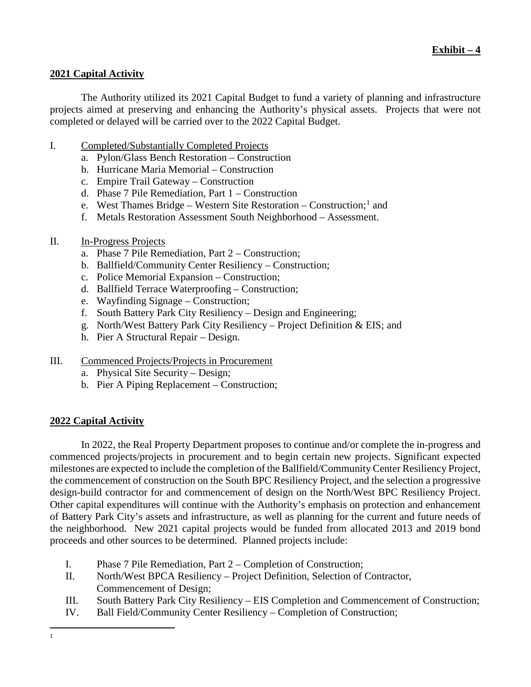# **2021 Capital Activity**

The Authority utilized its 2021 Capital Budget to fund a variety of planning and infrastructure projects aimed at preserving and enhancing the Authority's physical assets. Projects that were not completed or delayed will be carried over to the 2022 Capital Budget.

- I. Completed/Substantially Completed Projects
	- a. Pylon/Glass Bench Restoration Construction
	- b. Hurricane Maria Memorial Construction
	- c. Empire Trail Gateway Construction
	- d. Phase 7 Pile Remediation, Part 1 Construction
	- e. West Thames Bridge Western Site Restoration Construction;  $\frac{1}{1}$  $\frac{1}{1}$  $\frac{1}{1}$  and
	- f. Metals Restoration Assessment South Neighborhood Assessment.
- II. In-Progress Projects
	- a. Phase 7 Pile Remediation, Part 2 Construction;
	- b. Ballfield/Community Center Resiliency Construction;
	- c. Police Memorial Expansion Construction;
	- d. Ballfield Terrace Waterproofing Construction;
	- e. Wayfinding Signage Construction;
	- f. South Battery Park City Resiliency Design and Engineering;
	- g. North/West Battery Park City Resiliency Project Definition & EIS; and
	- h. Pier A Structural Repair Design.
- III. Commenced Projects/Projects in Procurement
	- a. Physical Site Security Design;
	- b. Pier A Piping Replacement Construction;

## **2022 Capital Activity**

In 2022, the Real Property Department proposes to continue and/or complete the in-progress and commenced projects/projects in procurement and to begin certain new projects. Significant expected milestones are expected to include the completion of the Ballfield/Community Center Resiliency Project, the commencement of construction on the South BPC Resiliency Project, and the selection a progressive design-build contractor for and commencement of design on the North/West BPC Resiliency Project. Other capital expenditures will continue with the Authority's emphasis on protection and enhancement of Battery Park City's assets and infrastructure, as well as planning for the current and future needs of the neighborhood. New 2021 capital projects would be funded from allocated 2013 and 2019 bond proceeds and other sources to be determined. Planned projects include:

- I. Phase 7 Pile Remediation, Part 2 Completion of Construction;
- II. North/West BPCA Resiliency Project Definition, Selection of Contractor, Commencement of Design;
- III. South Battery Park City Resiliency EIS Completion and Commencement of Construction;
- <span id="page-27-0"></span>IV. Ball Field/Community Center Resiliency – Completion of Construction;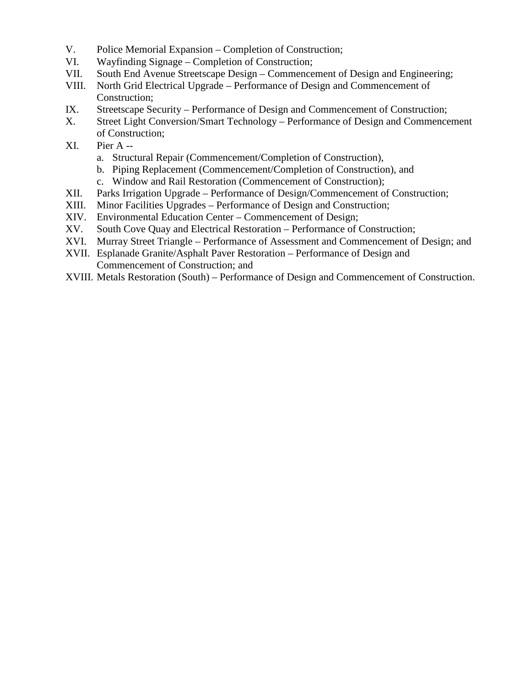- V. Police Memorial Expansion Completion of Construction;
- VI. Wayfinding Signage Completion of Construction;
- VII. South End Avenue Streetscape Design Commencement of Design and Engineering;
- VIII. North Grid Electrical Upgrade Performance of Design and Commencement of Construction;
- IX. Streetscape Security Performance of Design and Commencement of Construction;<br>X. Street Light Conversion/Smart Technology Performance of Design and Commence
- Street Light Conversion/Smart Technology Performance of Design and Commencement of Construction;
- XI. Pier A
	- a. Structural Repair (Commencement/Completion of Construction),
	- b. Piping Replacement (Commencement/Completion of Construction), and
	- c. Window and Rail Restoration (Commencement of Construction);
- XII. Parks Irrigation Upgrade Performance of Design/Commencement of Construction;
- XIII. Minor Facilities Upgrades Performance of Design and Construction;
- XIV. Environmental Education Center Commencement of Design;
- XV. South Cove Quay and Electrical Restoration Performance of Construction;
- XVI. Murray Street Triangle Performance of Assessment and Commencement of Design; and
- XVII. Esplanade Granite/Asphalt Paver Restoration Performance of Design and Commencement of Construction; and
- XVIII. Metals Restoration (South) Performance of Design and Commencement of Construction.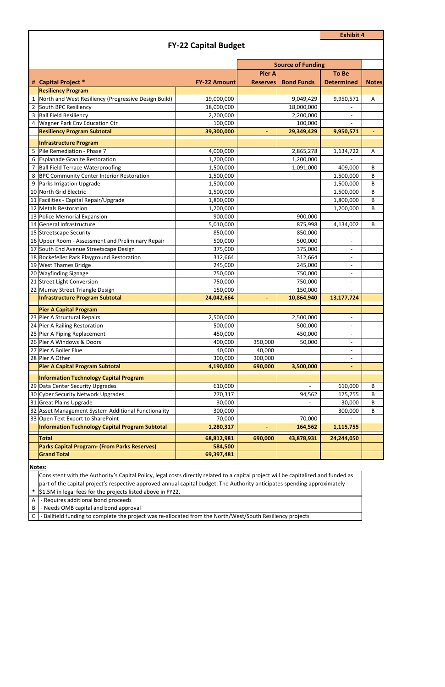**\*** \$1.5M in legal fees for the projects listed above in FY22.

A - Requires additional bond proceeds

### B | - Needs OMB capital and bond approval

C | - Ballfield funding to complete the project was re-allocated from the North/West/South Resiliency projects

|                |                                                                                                                                     |                       | <b>Source of Funding</b> |                   |                          |              |
|----------------|-------------------------------------------------------------------------------------------------------------------------------------|-----------------------|--------------------------|-------------------|--------------------------|--------------|
|                |                                                                                                                                     |                       | <b>Pier A</b>            |                   | <b>To Be</b>             |              |
|                | # Capital Project *                                                                                                                 | <b>FY-22 Amount</b>   | <b>Reserves</b>          | <b>Bond Funds</b> | <b>Determined</b>        | <b>Notes</b> |
|                | <b>Resiliency Program</b>                                                                                                           |                       |                          |                   |                          |              |
| $\mathbf{1}$   | North and West Resiliency (Progressive Design Build)                                                                                | 19,000,000            |                          | 9,049,429         | 9,950,571                | Α            |
|                | South BPC Resiliency                                                                                                                | 18,000,000            |                          | 18,000,000        |                          |              |
|                | 3 Ball Field Resiliency                                                                                                             | 2,200,000             |                          | 2,200,000         |                          |              |
| $\overline{4}$ | <b>Wagner Park Env Education Ctr</b>                                                                                                | 100,000               |                          | 100,000           |                          |              |
|                | <b>Resiliency Program Subtotal</b>                                                                                                  | 39,300,000            | ÷,                       | 29,349,429        | 9,950,571                |              |
|                | <b>Infrastructure Program</b>                                                                                                       |                       |                          |                   |                          |              |
|                | 5 Pile Remediation - Phase 7                                                                                                        | 4,000,000             |                          | 2,865,278         | 1,134,722                | A            |
|                | 6 Esplanade Granite Restoration                                                                                                     | 1,200,000             |                          | 1,200,000         |                          |              |
|                | <b>Ball Field Terrace Waterproofing</b>                                                                                             | 1,500,000             |                          | 1,091,000         | 409,000                  | B            |
|                | 8 BPC Community Center Interior Restoration                                                                                         | 1,500,000             |                          |                   | 1,500,000                | B            |
| 9              | Parks Irrigation Upgrade                                                                                                            | 1,500,000             |                          |                   | 1,500,000                | B            |
|                | 10 North Grid Electric                                                                                                              | 1,500,000             |                          |                   | 1,500,000                | B            |
|                | 11 Facilities - Capital Repair/Upgrade                                                                                              | 1,800,000             |                          |                   | 1,800,000                | B            |
|                | 12 Metals Restoration                                                                                                               | 1,200,000             |                          |                   | 1,200,000                | B            |
|                | 13 Police Memorial Expansion                                                                                                        | 900,000               |                          | 900,000           |                          |              |
|                | 14 General Infrastructure                                                                                                           | 5,010,000             |                          | 875,998           | 4,134,002                | B            |
|                | 15 Streetscape Security                                                                                                             | 850,000               |                          | 850,000           |                          |              |
|                | 16 Upper Room - Assessment and Preliminary Repair                                                                                   | 500,000               |                          | 500,000           |                          |              |
|                | 17 South End Avenue Streetscape Design                                                                                              | 375,000               |                          | 375,000           |                          |              |
|                | 18 Rockefeller Park Playground Restoration                                                                                          | 312,664               |                          | 312,664           | $\overline{\phantom{a}}$ |              |
|                | 19 West Thames Bridge                                                                                                               | 245,000               |                          | 245,000           | $\overline{\phantom{a}}$ |              |
|                | 20 Wayfinding Signage                                                                                                               | 750,000               |                          | 750,000           |                          |              |
|                | 21 Street Light Conversion                                                                                                          | 750,000               |                          | 750,000           | $\overline{\phantom{a}}$ |              |
|                | 22 Murray Street Triangle Design                                                                                                    | 150,000               |                          | 150,000           |                          |              |
|                | <b>Infrastructure Program Subtotal</b>                                                                                              | 24,042,664            |                          | 10,864,940        | 13,177,724               |              |
|                | <b>Pier A Capital Program</b>                                                                                                       |                       |                          |                   |                          |              |
|                | 23 Pier A Structural Repairs                                                                                                        | 2,500,000             |                          | 2,500,000         |                          |              |
|                | 24 Pier A Railing Restoration                                                                                                       | 500,000               |                          | 500,000           | $\qquad \qquad -$        |              |
|                | 25 Pier A Piping Replacement                                                                                                        | 450,000               |                          | 450,000           |                          |              |
|                | 26 Pier A Windows & Doors                                                                                                           | 400,000               | 350,000                  | 50,000            | $\overline{\phantom{a}}$ |              |
|                | 27 Pier A Boiler Flue                                                                                                               | 40,000                | 40,000                   |                   | $\overline{\phantom{0}}$ |              |
|                | 28 Pier A Other                                                                                                                     | 300,000               | 300,000                  |                   |                          |              |
|                | <b>Pier A Capital Program Subtotal</b>                                                                                              | 4,190,000             | 690,000                  | 3,500,000         | ٠                        |              |
|                | <b>Information Technology Capital Program</b>                                                                                       |                       |                          |                   |                          |              |
|                | 29 Data Center Security Upgrades                                                                                                    | 610,000               |                          |                   | 610,000                  | B            |
|                | 30 Cyber Security Network Upgrades                                                                                                  | 270,317               |                          | 94,562            | 175,755                  | B            |
|                | 31 Great Plains Upgrade                                                                                                             | 30,000                |                          |                   | 30,000                   | B            |
|                | 32 Asset Management System Additional Functionality                                                                                 |                       |                          |                   |                          |              |
|                | 33 Open Text Export to SharePoint                                                                                                   | 300,000<br>70,000     |                          | 70,000            | 300,000                  | B            |
|                | <b>Information Technology Capital Program Subtotal</b>                                                                              | 1,280,317             | $\blacksquare$           | 164,562           | 1,115,755                |              |
|                |                                                                                                                                     |                       |                          |                   |                          |              |
|                | <b>Total</b>                                                                                                                        | 68,812,981            | 690,000                  | 43,878,931        | 24,244,050               |              |
|                | <b>Parks Capital Program- (From Parks Reserves)</b><br><b>Grand Total</b>                                                           | 584,500<br>69,397,481 |                          |                   |                          |              |
|                |                                                                                                                                     |                       |                          |                   |                          |              |
|                | Notes:                                                                                                                              |                       |                          |                   |                          |              |
|                | Consistent with the Authority's Capital Policy, legal costs directly related to a capital project will be capitalized and funded as |                       |                          |                   |                          |              |

**Exhibit 4**

# **FY-22 Capital Budget**

part of the capital project's respective approved annual capital budget. The Authority anticipates spending approximately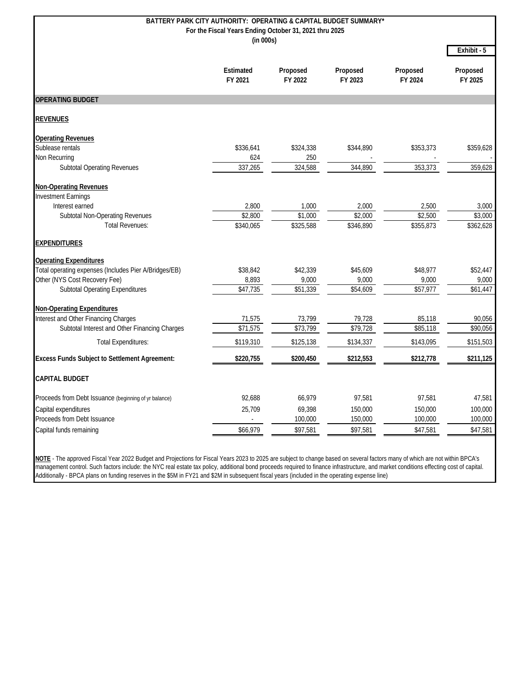|                                                       | BATTERY PARK CITY AUTHORITY: OPERATING & CAPITAL BUDGET SUMMARY* |                     |                     |                     |                     |
|-------------------------------------------------------|------------------------------------------------------------------|---------------------|---------------------|---------------------|---------------------|
|                                                       | For the Fiscal Years Ending October 31, 2021 thru 2025           |                     |                     |                     |                     |
| (in 000s)                                             |                                                                  |                     |                     |                     |                     |
|                                                       |                                                                  |                     |                     |                     | Exhibit - 5         |
|                                                       | Estimated<br>FY 2021                                             | Proposed<br>FY 2022 | Proposed<br>FY 2023 | Proposed<br>FY 2024 | Proposed<br>FY 2025 |
| <b>OPERATING BUDGET</b>                               |                                                                  |                     |                     |                     |                     |
| <b>REVENUES</b>                                       |                                                                  |                     |                     |                     |                     |
| <b>Operating Revenues</b>                             |                                                                  |                     |                     |                     |                     |
| Sublease rentals                                      | \$336,641                                                        | \$324,338           | \$344,890           | \$353,373           | \$359,628           |
| Non Recurring                                         | 624                                                              | 250                 |                     |                     |                     |
| <b>Subtotal Operating Revenues</b>                    | 337,265                                                          | 324,588             | 344,890             | 353,373             | 359,628             |
| <b>Non-Operating Revenues</b>                         |                                                                  |                     |                     |                     |                     |
| <b>Investment Earnings</b>                            |                                                                  |                     |                     |                     |                     |
| Interest earned                                       | 2,800                                                            | 1,000               | 2,000               | 2,500               | 3,000               |
| <b>Subtotal Non-Operating Revenues</b>                | \$2,800                                                          | \$1,000             | \$2,000             | \$2,500             | \$3,000             |
| <b>Total Revenues:</b>                                | \$340,065                                                        | \$325,588           | \$346,890           | \$355,873           | \$362,628           |
| <b>EXPENDITURES</b>                                   |                                                                  |                     |                     |                     |                     |
| <b>Operating Expenditures</b>                         |                                                                  |                     |                     |                     |                     |
| Total operating expenses (Includes Pier A/Bridges/EB) | \$38,842                                                         | \$42,339            | \$45,609            | \$48,977            | \$52,447            |
| Other (NYS Cost Recovery Fee)                         | 8,893                                                            | 9,000               | 9,000               | 9,000               | 9,000               |
| <b>Subtotal Operating Expenditures</b>                | \$47,735                                                         | \$51,339            | \$54,609            | \$57,977            | \$61,447            |
| <b>Non-Operating Expenditures</b>                     |                                                                  |                     |                     |                     |                     |
| Interest and Other Financing Charges                  | 71,575                                                           | 73,799              | 79,728              | 85,118              | 90,056              |
| Subtotal Interest and Other Financing Charges         | \$71,575                                                         | \$73,799            | \$79,728            | \$85,118            | \$90,056            |
| <b>Total Expenditures:</b>                            | \$119,310                                                        | \$125,138           | \$134,337           | \$143,095           | \$151,503           |
| <b>Excess Funds Subject to Settlement Agreement:</b>  | \$220,755                                                        | \$200,450           | \$212,553           | \$212,778           | \$211,125           |
| <b>CAPITAL BUDGET</b>                                 |                                                                  |                     |                     |                     |                     |
| Proceeds from Debt Issuance (beginning of yr balance) | 92,688                                                           | 66,979              | 97,581              | 97,581              | 47,581              |
| Capital expenditures                                  | 25,709                                                           | 69,398              | 150,000             | 150,000             | 100,000             |
| Proceeds from Debt Issuance                           | $\overline{a}$                                                   | 100,000             | 150,000             | 100,000             | 100,000             |
| Capital funds remaining                               | \$66,979                                                         | \$97,581            | \$97,581            | \$47,581            | \$47,581            |
|                                                       |                                                                  |                     |                     |                     |                     |

**NOTE** - The approved Fiscal Year 2022 Budget and Projections for Fiscal Years 2023 to 2025 are subject to change based on several factors many of which are not within BPCA's management control. Such factors include: the NYC real estate tax policy, additional bond proceeds required to finance infrastructure, and market conditions effecting cost of capital. Additionally - BPCA plans on funding reserves in the \$5M in FY21 and \$2M in subsequent fiscal years (included in the operating expense line)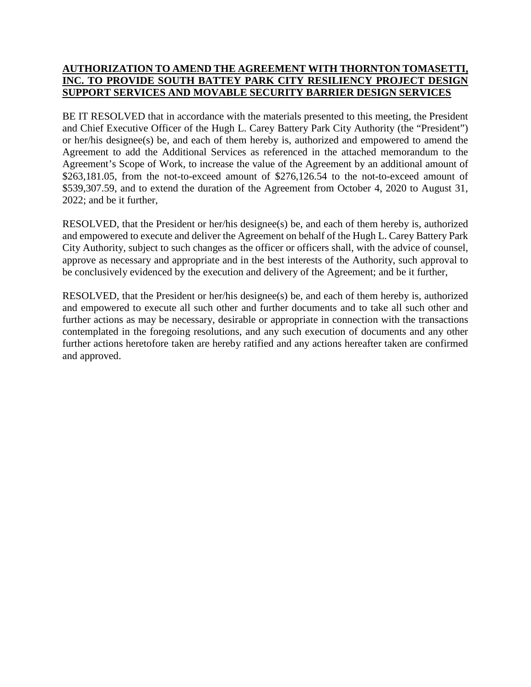# **AUTHORIZATION TO AMEND THE AGREEMENT WITH THORNTON TOMASETTI, INC. TO PROVIDE SOUTH BATTEY PARK CITY RESILIENCY PROJECT DESIGN SUPPORT SERVICES AND MOVABLE SECURITY BARRIER DESIGN SERVICES**

BE IT RESOLVED that in accordance with the materials presented to this meeting, the President and Chief Executive Officer of the Hugh L. Carey Battery Park City Authority (the "President") or her/his designee(s) be, and each of them hereby is, authorized and empowered to amend the Agreement to add the Additional Services as referenced in the attached memorandum to the Agreement's Scope of Work, to increase the value of the Agreement by an additional amount of \$263,181.05, from the not-to-exceed amount of \$276,126.54 to the not-to-exceed amount of \$539,307.59, and to extend the duration of the Agreement from October 4, 2020 to August 31, 2022; and be it further,

RESOLVED, that the President or her/his designee(s) be, and each of them hereby is, authorized and empowered to execute and deliver the Agreement on behalf of the Hugh L. Carey Battery Park City Authority, subject to such changes as the officer or officers shall, with the advice of counsel, approve as necessary and appropriate and in the best interests of the Authority, such approval to be conclusively evidenced by the execution and delivery of the Agreement; and be it further,

RESOLVED, that the President or her/his designee(s) be, and each of them hereby is, authorized and empowered to execute all such other and further documents and to take all such other and further actions as may be necessary, desirable or appropriate in connection with the transactions contemplated in the foregoing resolutions, and any such execution of documents and any other further actions heretofore taken are hereby ratified and any actions hereafter taken are confirmed and approved.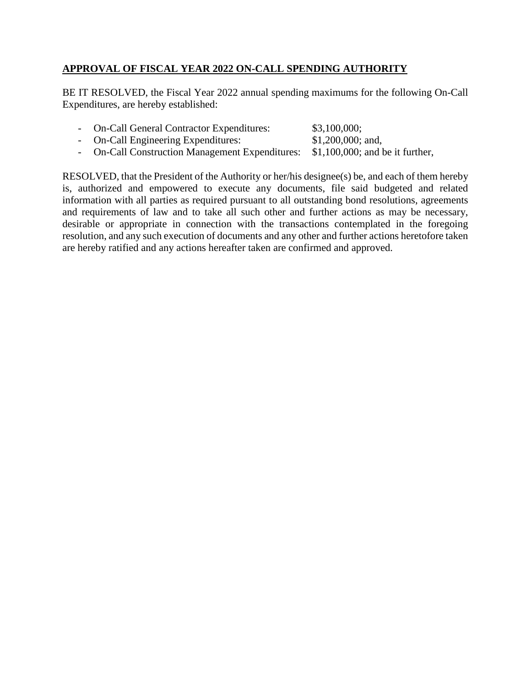# **APPROVAL OF FISCAL YEAR 2022 ON-CALL SPENDING AUTHORITY**

BE IT RESOLVED, the Fiscal Year 2022 annual spending maximums for the following On-Call Expenditures, are hereby established:

| - On-Call General Contractor Expenditures: |  | \$3,100,000; |  |
|--------------------------------------------|--|--------------|--|
|                                            |  | $A + A$      |  |

- On-Call Engineering Expenditures: \$1,200,000; and,

- On-Call Construction Management Expenditures: \$1,100,000; and be it further,

RESOLVED, that the President of the Authority or her/his designee(s) be, and each of them hereby is, authorized and empowered to execute any documents, file said budgeted and related information with all parties as required pursuant to all outstanding bond resolutions, agreements and requirements of law and to take all such other and further actions as may be necessary, desirable or appropriate in connection with the transactions contemplated in the foregoing resolution, and any such execution of documents and any other and further actions heretofore taken are hereby ratified and any actions hereafter taken are confirmed and approved.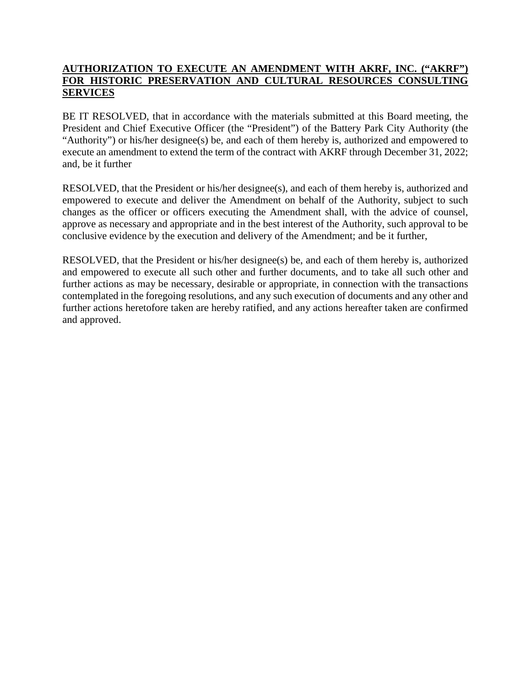# **AUTHORIZATION TO EXECUTE AN AMENDMENT WITH AKRF, INC. ("AKRF") FOR HISTORIC PRESERVATION AND CULTURAL RESOURCES CONSULTING SERVICES**

BE IT RESOLVED, that in accordance with the materials submitted at this Board meeting, the President and Chief Executive Officer (the "President") of the Battery Park City Authority (the "Authority") or his/her designee(s) be, and each of them hereby is, authorized and empowered to execute an amendment to extend the term of the contract with AKRF through December 31, 2022; and, be it further

RESOLVED, that the President or his/her designee(s), and each of them hereby is, authorized and empowered to execute and deliver the Amendment on behalf of the Authority, subject to such changes as the officer or officers executing the Amendment shall, with the advice of counsel, approve as necessary and appropriate and in the best interest of the Authority, such approval to be conclusive evidence by the execution and delivery of the Amendment; and be it further,

RESOLVED, that the President or his/her designee(s) be, and each of them hereby is, authorized and empowered to execute all such other and further documents, and to take all such other and further actions as may be necessary, desirable or appropriate, in connection with the transactions contemplated in the foregoing resolutions, and any such execution of documents and any other and further actions heretofore taken are hereby ratified, and any actions hereafter taken are confirmed and approved.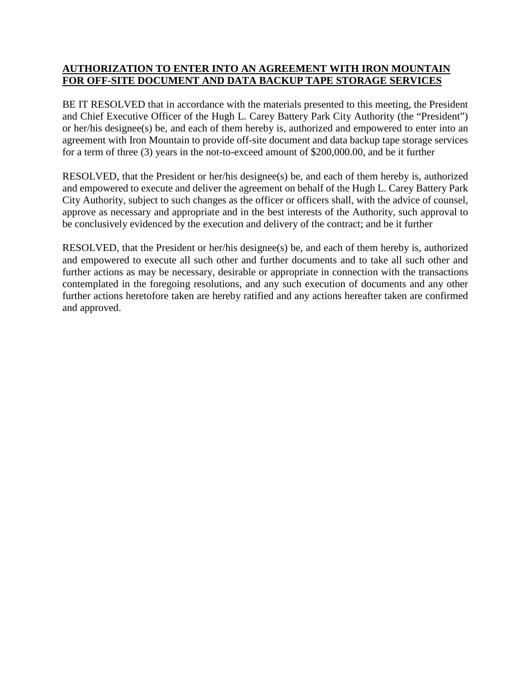# **AUTHORIZATION TO ENTER INTO AN AGREEMENT WITH IRON MOUNTAIN FOR OFF-SITE DOCUMENT AND DATA BACKUP TAPE STORAGE SERVICES**

BE IT RESOLVED that in accordance with the materials presented to this meeting, the President and Chief Executive Officer of the Hugh L. Carey Battery Park City Authority (the "President") or her/his designee(s) be, and each of them hereby is, authorized and empowered to enter into an agreement with Iron Mountain to provide off-site document and data backup tape storage services for a term of three (3) years in the not-to-exceed amount of \$200,000.00, and be it further

RESOLVED, that the President or her/his designee(s) be, and each of them hereby is, authorized and empowered to execute and deliver the agreement on behalf of the Hugh L. Carey Battery Park City Authority, subject to such changes as the officer or officers shall, with the advice of counsel, approve as necessary and appropriate and in the best interests of the Authority, such approval to be conclusively evidenced by the execution and delivery of the contract; and be it further

RESOLVED, that the President or her/his designee(s) be, and each of them hereby is, authorized and empowered to execute all such other and further documents and to take all such other and further actions as may be necessary, desirable or appropriate in connection with the transactions contemplated in the foregoing resolutions, and any such execution of documents and any other further actions heretofore taken are hereby ratified and any actions hereafter taken are confirmed and approved.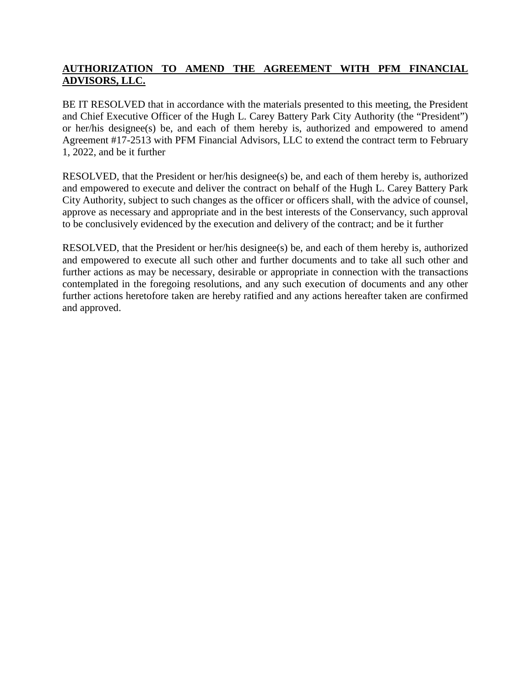# **AUTHORIZATION TO AMEND THE AGREEMENT WITH PFM FINANCIAL ADVISORS, LLC.**

BE IT RESOLVED that in accordance with the materials presented to this meeting, the President and Chief Executive Officer of the Hugh L. Carey Battery Park City Authority (the "President") or her/his designee(s) be, and each of them hereby is, authorized and empowered to amend Agreement #17-2513 with PFM Financial Advisors, LLC to extend the contract term to February 1, 2022, and be it further

RESOLVED, that the President or her/his designee(s) be, and each of them hereby is, authorized and empowered to execute and deliver the contract on behalf of the Hugh L. Carey Battery Park City Authority, subject to such changes as the officer or officers shall, with the advice of counsel, approve as necessary and appropriate and in the best interests of the Conservancy, such approval to be conclusively evidenced by the execution and delivery of the contract; and be it further

RESOLVED, that the President or her/his designee(s) be, and each of them hereby is, authorized and empowered to execute all such other and further documents and to take all such other and further actions as may be necessary, desirable or appropriate in connection with the transactions contemplated in the foregoing resolutions, and any such execution of documents and any other further actions heretofore taken are hereby ratified and any actions hereafter taken are confirmed and approved.